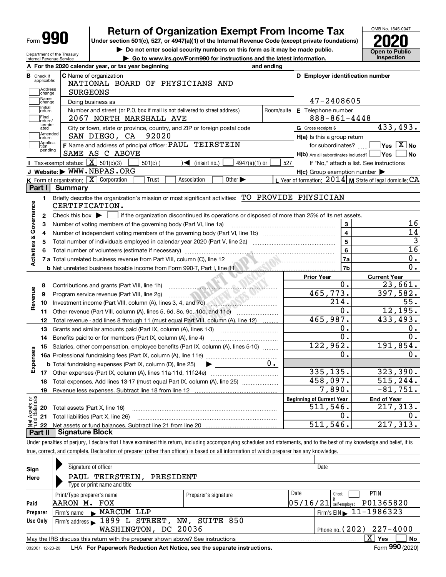| a ka<br>Form |  |
|--------------|--|
|--------------|--|

Department of the Treasury Internal Revenue Service

## **Return of Organization Exempt From Income Tax**

**Under section 501(c), 527, or 4947(a)(1) of the Internal Revenue Code (except private foundations) 2020**

**| Do not enter social security numbers on this form as it may be made public.**

**| Go to www.irs.gov/Form990 for instructions and the latest information. Inspection**



|                         |                                                    | A For the 2020 calendar year, or tax year beginning                                                                                                                                                                                                                                   | and ending |                                                                              |                                                         |
|-------------------------|----------------------------------------------------|---------------------------------------------------------------------------------------------------------------------------------------------------------------------------------------------------------------------------------------------------------------------------------------|------------|------------------------------------------------------------------------------|---------------------------------------------------------|
|                         | <b>B</b> Check if applicable:<br>Address<br>change | <b>C</b> Name of organization<br>NATIONAL BOARD OF PHYSICIANS AND<br><b>SURGEONS</b>                                                                                                                                                                                                  |            | D Employer identification number                                             |                                                         |
|                         | Name<br>change                                     | Doing business as                                                                                                                                                                                                                                                                     |            | 47-2408605                                                                   |                                                         |
|                         | Initial<br>return                                  | Number and street (or P.O. box if mail is not delivered to street address)                                                                                                                                                                                                            | Room/suite | E Telephone number                                                           |                                                         |
|                         | Final<br>return/                                   | 2067 NORTH MARSHALL AVE                                                                                                                                                                                                                                                               |            | $888 - 861 - 4448$                                                           |                                                         |
|                         | termin-<br>ated                                    | City or town, state or province, country, and ZIP or foreign postal code                                                                                                                                                                                                              |            | G Gross receipts \$                                                          | 433,493.                                                |
|                         | Amended<br>return                                  | 92020<br>SAN DIEGO, CA                                                                                                                                                                                                                                                                |            | $H(a)$ is this a group return                                                |                                                         |
|                         | Applica-<br>tion<br>pending                        | F Name and address of principal officer: PAUL TEIRSTEIN<br>SAME AS C ABOVE                                                                                                                                                                                                            |            | for subordinates?<br>$H(b)$ Are all subordinates included? $\Box$ Yes $\Box$ | $\sqrt{}$ Yes $\sqrt{}$ X $\sqrt{}$ No<br>∣No           |
|                         |                                                    | Tax-exempt status: $\boxed{\mathbf{X}}$ 501(c)(3)<br>$\sqrt{\frac{2}{1}}$ (insert no.)<br>$4947(a)(1)$ or<br>$501(c)$ (                                                                                                                                                               | 527        |                                                                              | If "No," attach a list. See instructions                |
|                         |                                                    | J Website: WWW.NBPAS.ORG                                                                                                                                                                                                                                                              |            | $H(c)$ Group exemption number $\blacktriangleright$                          |                                                         |
|                         |                                                    | K Form of organization: X Corporation<br>Trust<br>Association<br>Other $\blacktriangleright$                                                                                                                                                                                          |            |                                                                              | L Year of formation: 2014 M State of legal domicile: CA |
|                         | Part I I                                           | Summary                                                                                                                                                                                                                                                                               |            |                                                                              |                                                         |
| Activities & Governance | 1.                                                 | Briefly describe the organization's mission or most significant activities: TO PROVIDE PHYSICIAN<br>CERTIFICATION.                                                                                                                                                                    |            |                                                                              |                                                         |
|                         | $\mathbf{2}$                                       | Check this box $\blacktriangleright$<br>if the organization discontinued its operations or disposed of more than 25% of its net assets.                                                                                                                                               |            |                                                                              |                                                         |
|                         | 3                                                  | Number of voting members of the governing body (Part VI, line 1a)                                                                                                                                                                                                                     |            | 3                                                                            | 16                                                      |
|                         | 4                                                  |                                                                                                                                                                                                                                                                                       |            | $\overline{\mathbf{4}}$                                                      | 14                                                      |
|                         | 5                                                  |                                                                                                                                                                                                                                                                                       |            | 5                                                                            | 3                                                       |
|                         | 6                                                  |                                                                                                                                                                                                                                                                                       |            | 6                                                                            | $\overline{16}$                                         |
|                         |                                                    |                                                                                                                                                                                                                                                                                       |            | 7a                                                                           | 0.                                                      |
|                         |                                                    | <b>b</b> Net unrelated business taxable income from Form 990-T, Part I, line 11 <b>Marting the Control of the Control</b> of                                                                                                                                                          |            | 7 <sub>b</sub>                                                               | $\overline{0}$ .                                        |
|                         |                                                    |                                                                                                                                                                                                                                                                                       |            | <b>Prior Year</b>                                                            | <b>Current Year</b>                                     |
|                         | 8                                                  | Contributions and grants (Part VIII, line 1h)<br><b>Experience of the Constant Constant Constant Constant Constant Constant Constant Constant Constant Constant Constant Constant Constant Constant Constant Constant Constant Constant Constant Constant Constant Constant Const</b> |            | $\mathbf 0$ .                                                                | 23,661.                                                 |
| Revenue                 | 9                                                  | Program service revenue (Part VIII, line 2g)<br><u> Elizabeth Charles Charles Charles Charles Charles Charles Charles Charles Charles Charles Charles Charles</u>                                                                                                                     |            | 465,773.                                                                     | 397,582.                                                |
|                         | 10                                                 | Investment income (Part VIII, column (A), lines 3, 4, and 7d)                                                                                                                                                                                                                         |            | 214.                                                                         | 55.                                                     |
|                         |                                                    | 11 Other revenue (Part VIII, column (A), lines 5, 6d, 8c, 9c, 10c, and 11e)                                                                                                                                                                                                           |            | О.                                                                           | 12, 195.                                                |
|                         | 12                                                 | Total revenue - add lines 8 through 11 (must equal Part VIII, column (A), line 12)                                                                                                                                                                                                    |            | 465,987.                                                                     | 433,493.                                                |
|                         | 13                                                 | Grants and similar amounts paid (Part IX, column (A), lines 1-3)                                                                                                                                                                                                                      |            | Ο.                                                                           | 0.                                                      |
|                         | 14                                                 |                                                                                                                                                                                                                                                                                       |            | $\overline{0}$ .                                                             | 0.                                                      |
|                         | 15                                                 | Salaries, other compensation, employee benefits (Part IX, column (A), lines 5-10)                                                                                                                                                                                                     |            | 122,962.                                                                     | 191,854.                                                |
| Expenses                |                                                    |                                                                                                                                                                                                                                                                                       |            | 0.                                                                           | 0.                                                      |
|                         |                                                    | <b>b</b> Total fundraising expenses (Part IX, column (D), line 25)<br>$\blacktriangleright$                                                                                                                                                                                           | υ.         | 335, 135.                                                                    | 323,390.                                                |
|                         |                                                    |                                                                                                                                                                                                                                                                                       |            | 458,097.                                                                     | 515, 244.                                               |
|                         | 18                                                 | Total expenses. Add lines 13-17 (must equal Part IX, column (A), line 25)                                                                                                                                                                                                             |            | 7,890.                                                                       | $-81,751.$                                              |
|                         | 19                                                 |                                                                                                                                                                                                                                                                                       |            |                                                                              |                                                         |
| ăğ<br>sets<br>Salar     |                                                    |                                                                                                                                                                                                                                                                                       |            | <b>Beginning of Current Year</b><br>511, 546.                                | <b>End of Year</b><br>217,313.                          |
|                         |                                                    | <b>20</b> Total assets (Part X, line 16)                                                                                                                                                                                                                                              |            | 0.                                                                           | 0.                                                      |
|                         |                                                    | 21 Total liabilities (Part X, line 26)                                                                                                                                                                                                                                                |            | 511,546.                                                                     | 217, 313.                                               |
|                         | 22<br>Part II                                      | Net assets or fund balances. Subtract line 21 from line 20 manual contents of the Net assets or fund balances.<br><b>Signature Block</b>                                                                                                                                              |            |                                                                              |                                                         |

Under penalties of perjury, I declare that I have examined this return, including accompanying schedules and statements, and to the best of my knowledge and belief, it is true, correct, and complete. Declaration of preparer (other than officer) is based on all information of which preparer has any knowledge.

| Sign<br>Here    | Signature of officer<br>PAUL TEIRSTEIN,<br>PRESIDENT<br>Type or print name and title                   |                      | Date                                         |                                |  |  |  |  |
|-----------------|--------------------------------------------------------------------------------------------------------|----------------------|----------------------------------------------|--------------------------------|--|--|--|--|
| Paid            | Print/Type preparer's name<br>AARON M.<br>FOX                                                          | Preparer's signature | Date<br>Check<br> 05/16/21 <br>self-emploved | <b>PTIN</b><br>P01365820       |  |  |  |  |
| Preparer        | MARCUM LLP<br>Firm's name $\blacktriangleright$                                                        |                      | Firm's EIN 11-1986323                        |                                |  |  |  |  |
| Use Only        | Firm's address 1899 L STREET,                                                                          | NW, SUITE 850        |                                              |                                |  |  |  |  |
|                 | WASHINGTON, DC 20036                                                                                   |                      |                                              | Phone no. $(202)$ $227 - 4000$ |  |  |  |  |
|                 | $X \mid Y$ es<br>No<br>May the IRS discuss this return with the preparer shown above? See instructions |                      |                                              |                                |  |  |  |  |
| 032001 12-23-20 | LHA For Paperwork Reduction Act Notice, see the separate instructions.                                 |                      |                                              | Form 990 (2020)                |  |  |  |  |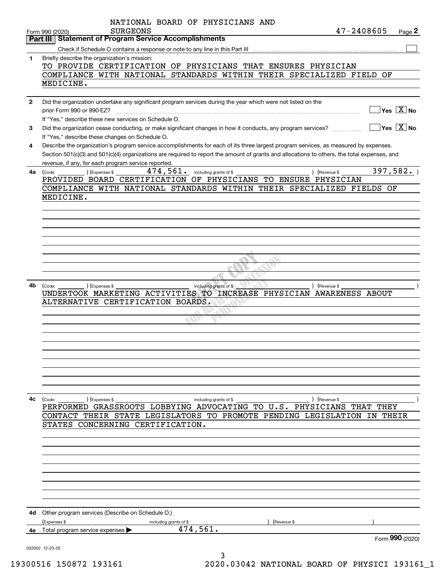|              | NATIONAL BOARD OF PHYSICIANS AND<br>47-2408605<br><b>SURGEONS</b><br>Page 2<br>Form 990 (2020)                                                                  |
|--------------|-----------------------------------------------------------------------------------------------------------------------------------------------------------------|
|              | <b>Statement of Program Service Accomplishments</b><br>Part III                                                                                                 |
|              |                                                                                                                                                                 |
| 1            | Briefly describe the organization's mission:                                                                                                                    |
|              | TO PROVIDE CERTIFICATION OF PHYSICIANS THAT ENSURES PHYSICIAN                                                                                                   |
|              | COMPLIANCE WITH NATIONAL STANDARDS WITHIN THEIR SPECIALIZED FIELD OF                                                                                            |
|              |                                                                                                                                                                 |
|              | MEDICINE.                                                                                                                                                       |
|              |                                                                                                                                                                 |
| $\mathbf{2}$ | Did the organization undertake any significant program services during the year which were not listed on the                                                    |
|              | $\overline{\ }$ Yes $\overline{\phantom{X}}$ No<br>prior Form 990 or 990-EZ?                                                                                    |
|              | If "Yes," describe these new services on Schedule O.                                                                                                            |
| 3            | $\overline{\ }$ Yes $\overline{\phantom{X}}$ No<br>Did the organization cease conducting, or make significant changes in how it conducts, any program services? |
|              | If "Yes," describe these changes on Schedule O.                                                                                                                 |
| 4            | Describe the organization's program service accomplishments for each of its three largest program services, as measured by expenses.                            |
|              |                                                                                                                                                                 |
|              | Section 501(c)(3) and 501(c)(4) organizations are required to report the amount of grants and allocations to others, the total expenses, and                    |
|              | revenue, if any, for each program service reported.                                                                                                             |
| 4a           | 397,582.<br>474,561.<br>including grants of \$<br>) (Expenses \$<br>) (Revenue \$<br>(Code:                                                                     |
|              | PROVIDED BOARD CERTIFICATION OF PHYSICIANS TO ENSURE PHYSICIAN                                                                                                  |
|              | COMPLIANCE WITH NATIONAL STANDARDS WITHIN THEIR SPECIALIZED FIELDS OF                                                                                           |
|              | MEDICINE.                                                                                                                                                       |
|              |                                                                                                                                                                 |
|              |                                                                                                                                                                 |
|              |                                                                                                                                                                 |
|              |                                                                                                                                                                 |
|              |                                                                                                                                                                 |
|              |                                                                                                                                                                 |
|              |                                                                                                                                                                 |
|              |                                                                                                                                                                 |
|              |                                                                                                                                                                 |
|              |                                                                                                                                                                 |
|              |                                                                                                                                                                 |
| 4b           | ) (Expenses \$<br>including grants of \$<br>) (Revenue \$<br>(Code:                                                                                             |
|              | UNDERTOOK MARKETING ACTIVITIES TO INCREASE PHYSICIAN AWARENESS ABOUT                                                                                            |
|              | ALTERNATIVE CERTIFICATION BOARDS.                                                                                                                               |
|              |                                                                                                                                                                 |
|              |                                                                                                                                                                 |
|              |                                                                                                                                                                 |
|              |                                                                                                                                                                 |
|              |                                                                                                                                                                 |
|              |                                                                                                                                                                 |
|              |                                                                                                                                                                 |
|              |                                                                                                                                                                 |
|              |                                                                                                                                                                 |
|              |                                                                                                                                                                 |
|              |                                                                                                                                                                 |
|              |                                                                                                                                                                 |
| 4с           | (Expenses \$<br>(Code:<br>) (Revenue \$<br>including grants of \$                                                                                               |
|              | PERFORMED GRASSROOTS LOBBYING ADVOCATING TO U.S. PHYSICIANS THAT THEY                                                                                           |
|              | CONTACT THEIR STATE LEGISLATORS TO PROMOTE PENDING LEGISLATION IN THEIR                                                                                         |
|              | STATES CONCERNING CERTIFICATION.                                                                                                                                |
|              |                                                                                                                                                                 |
|              |                                                                                                                                                                 |
|              |                                                                                                                                                                 |
|              |                                                                                                                                                                 |
|              |                                                                                                                                                                 |
|              |                                                                                                                                                                 |
|              |                                                                                                                                                                 |
|              |                                                                                                                                                                 |
|              |                                                                                                                                                                 |
|              |                                                                                                                                                                 |
|              |                                                                                                                                                                 |
| 4d           | Other program services (Describe on Schedule O.)                                                                                                                |
|              | (Expenses \$<br>including grants of \$<br>(Revenue \$                                                                                                           |
| 4е           | 474,561.<br>Total program service expenses ▶                                                                                                                    |
|              | Form 990 (2020)                                                                                                                                                 |
|              |                                                                                                                                                                 |
|              | 032002 12-23-20                                                                                                                                                 |
|              | ٦                                                                                                                                                               |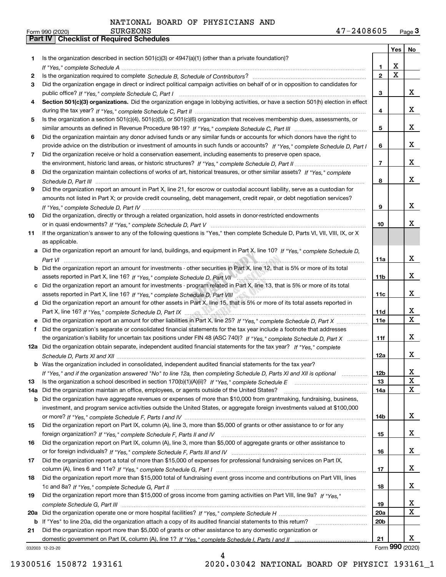| Is the organization described in section $501(c)(3)$ or $4947(a)(1)$ (other than a private foundation)?<br>1<br>х<br>1.<br>$\mathbf X$<br>$\overline{2}$<br>2<br>Did the organization engage in direct or indirect political campaign activities on behalf of or in opposition to candidates for<br>3<br>x<br>3<br>Section 501(c)(3) organizations. Did the organization engage in lobbying activities, or have a section 501(h) election in effect<br>4<br>x<br>4<br>Is the organization a section 501(c)(4), 501(c)(5), or 501(c)(6) organization that receives membership dues, assessments, or<br>5<br>x<br>5<br>Did the organization maintain any donor advised funds or any similar funds or accounts for which donors have the right to<br>6<br>x<br>provide advice on the distribution or investment of amounts in such funds or accounts? If "Yes," complete Schedule D, Part I<br>6<br>Did the organization receive or hold a conservation easement, including easements to preserve open space,<br>7<br>$\overline{7}$<br>Did the organization maintain collections of works of art, historical treasures, or other similar assets? If "Yes," complete<br>8<br>8<br>Did the organization report an amount in Part X, line 21, for escrow or custodial account liability, serve as a custodian for<br>9<br>amounts not listed in Part X; or provide credit counseling, debt management, credit repair, or debt negotiation services?<br>9<br>Did the organization, directly or through a related organization, hold assets in donor-restricted endowments<br>10<br>10<br>If the organization's answer to any of the following questions is "Yes," then complete Schedule D, Parts VI, VII, VIII, IX, or X<br>11<br>as applicable.<br>a Did the organization report an amount for land, buildings, and equipment in Part X, line 10? If "Yes." complete Schedule D.<br>11a<br><b>b</b> Did the organization report an amount for investments - other securities in Part X, line 12, that is 5% or more of its total<br>11 <sub>b</sub><br>c Did the organization report an amount for investments - program related in Part X, line 13, that is 5% or more of its total<br>11c<br>d Did the organization report an amount for other assets in Part X, line 15, that is 5% or more of its total assets reported in<br>X<br>11d<br>11e<br>Did the organization's separate or consolidated financial statements for the tax year include a footnote that addresses<br>f<br>X<br>the organization's liability for uncertain tax positions under FIN 48 (ASC 740)? If "Yes," complete Schedule D, Part X<br>11f<br>12a Did the organization obtain separate, independent audited financial statements for the tax year? If "Yes," complete<br>X<br>12a<br><b>b</b> Was the organization included in consolidated, independent audited financial statements for the tax year?<br>x<br>12 <sub>b</sub><br>If "Yes," and if the organization answered "No" to line 12a, then completing Schedule D, Parts XI and XII is optional<br>X<br>Is the organization a school described in section $170(b)(1)(A)(ii)?$ If "Yes," complete Schedule E<br>13<br>13<br>X<br>Did the organization maintain an office, employees, or agents outside of the United States?<br>14a<br>14a<br><b>b</b> Did the organization have aggregate revenues or expenses of more than \$10,000 from grantmaking, fundraising, business,<br>investment, and program service activities outside the United States, or aggregate foreign investments valued at \$100,000<br>X<br>14b<br>Did the organization report on Part IX, column (A), line 3, more than \$5,000 of grants or other assistance to or for any<br>15<br>X<br>15<br>Did the organization report on Part IX, column (A), line 3, more than \$5,000 of aggregate grants or other assistance to<br>16<br>X<br>16<br>Did the organization report a total of more than \$15,000 of expenses for professional fundraising services on Part IX,<br>17<br>X<br>17<br>Did the organization report more than \$15,000 total of fundraising event gross income and contributions on Part VIII, lines<br>18<br>X<br>18<br>Did the organization report more than \$15,000 of gross income from gaming activities on Part VIII, line 9a? If "Yes."<br>19<br>x<br>19<br>X<br><b>20a</b><br>20a<br>b If "Yes" to line 20a, did the organization attach a copy of its audited financial statements to this return?<br>20 <sub>b</sub><br>Did the organization report more than \$5,000 of grants or other assistance to any domestic organization or<br>21<br>21<br>Form 990 (2020)<br>032003 12-23-20 |  | Yes | No                      |
|------------------------------------------------------------------------------------------------------------------------------------------------------------------------------------------------------------------------------------------------------------------------------------------------------------------------------------------------------------------------------------------------------------------------------------------------------------------------------------------------------------------------------------------------------------------------------------------------------------------------------------------------------------------------------------------------------------------------------------------------------------------------------------------------------------------------------------------------------------------------------------------------------------------------------------------------------------------------------------------------------------------------------------------------------------------------------------------------------------------------------------------------------------------------------------------------------------------------------------------------------------------------------------------------------------------------------------------------------------------------------------------------------------------------------------------------------------------------------------------------------------------------------------------------------------------------------------------------------------------------------------------------------------------------------------------------------------------------------------------------------------------------------------------------------------------------------------------------------------------------------------------------------------------------------------------------------------------------------------------------------------------------------------------------------------------------------------------------------------------------------------------------------------------------------------------------------------------------------------------------------------------------------------------------------------------------------------------------------------------------------------------------------------------------------------------------------------------------------------------------------------------------------------------------------------------------------------------------------------------------------------------------------------------------------------------------------------------------------------------------------------------------------------------------------------------------------------------------------------------------------------------------------------------------------------------------------------------------------------------------------------------------------------------------------------------------------------------------------------------------------------------------------------------------------------------------------------------------------------------------------------------------------------------------------------------------------------------------------------------------------------------------------------------------------------------------------------------------------------------------------------------------------------------------------------------------------------------------------------------------------------------------------------------------------------------------------------------------------------------------------------------------------------------------------------------------------------------------------------------------------------------------------------------------------------------------------------------------------------------------------------------------------------------------------------------------------------------------------------------------------------------------------------------------------------------------------------------------------------------------------------------------------------------------------------------------------------------------------------------------------------------------------------------------------------------------------------------------------------------------------------------------------------------------------------------------------------------------------------------------------|--|-----|-------------------------|
|                                                                                                                                                                                                                                                                                                                                                                                                                                                                                                                                                                                                                                                                                                                                                                                                                                                                                                                                                                                                                                                                                                                                                                                                                                                                                                                                                                                                                                                                                                                                                                                                                                                                                                                                                                                                                                                                                                                                                                                                                                                                                                                                                                                                                                                                                                                                                                                                                                                                                                                                                                                                                                                                                                                                                                                                                                                                                                                                                                                                                                                                                                                                                                                                                                                                                                                                                                                                                                                                                                                                                                                                                                                                                                                                                                                                                                                                                                                                                                                                                                                                                                                                                                                                                                                                                                                                                                                                                                                                                                                                                                                                                              |  |     |                         |
|                                                                                                                                                                                                                                                                                                                                                                                                                                                                                                                                                                                                                                                                                                                                                                                                                                                                                                                                                                                                                                                                                                                                                                                                                                                                                                                                                                                                                                                                                                                                                                                                                                                                                                                                                                                                                                                                                                                                                                                                                                                                                                                                                                                                                                                                                                                                                                                                                                                                                                                                                                                                                                                                                                                                                                                                                                                                                                                                                                                                                                                                                                                                                                                                                                                                                                                                                                                                                                                                                                                                                                                                                                                                                                                                                                                                                                                                                                                                                                                                                                                                                                                                                                                                                                                                                                                                                                                                                                                                                                                                                                                                                              |  |     |                         |
|                                                                                                                                                                                                                                                                                                                                                                                                                                                                                                                                                                                                                                                                                                                                                                                                                                                                                                                                                                                                                                                                                                                                                                                                                                                                                                                                                                                                                                                                                                                                                                                                                                                                                                                                                                                                                                                                                                                                                                                                                                                                                                                                                                                                                                                                                                                                                                                                                                                                                                                                                                                                                                                                                                                                                                                                                                                                                                                                                                                                                                                                                                                                                                                                                                                                                                                                                                                                                                                                                                                                                                                                                                                                                                                                                                                                                                                                                                                                                                                                                                                                                                                                                                                                                                                                                                                                                                                                                                                                                                                                                                                                                              |  |     |                         |
|                                                                                                                                                                                                                                                                                                                                                                                                                                                                                                                                                                                                                                                                                                                                                                                                                                                                                                                                                                                                                                                                                                                                                                                                                                                                                                                                                                                                                                                                                                                                                                                                                                                                                                                                                                                                                                                                                                                                                                                                                                                                                                                                                                                                                                                                                                                                                                                                                                                                                                                                                                                                                                                                                                                                                                                                                                                                                                                                                                                                                                                                                                                                                                                                                                                                                                                                                                                                                                                                                                                                                                                                                                                                                                                                                                                                                                                                                                                                                                                                                                                                                                                                                                                                                                                                                                                                                                                                                                                                                                                                                                                                                              |  |     |                         |
|                                                                                                                                                                                                                                                                                                                                                                                                                                                                                                                                                                                                                                                                                                                                                                                                                                                                                                                                                                                                                                                                                                                                                                                                                                                                                                                                                                                                                                                                                                                                                                                                                                                                                                                                                                                                                                                                                                                                                                                                                                                                                                                                                                                                                                                                                                                                                                                                                                                                                                                                                                                                                                                                                                                                                                                                                                                                                                                                                                                                                                                                                                                                                                                                                                                                                                                                                                                                                                                                                                                                                                                                                                                                                                                                                                                                                                                                                                                                                                                                                                                                                                                                                                                                                                                                                                                                                                                                                                                                                                                                                                                                                              |  |     |                         |
|                                                                                                                                                                                                                                                                                                                                                                                                                                                                                                                                                                                                                                                                                                                                                                                                                                                                                                                                                                                                                                                                                                                                                                                                                                                                                                                                                                                                                                                                                                                                                                                                                                                                                                                                                                                                                                                                                                                                                                                                                                                                                                                                                                                                                                                                                                                                                                                                                                                                                                                                                                                                                                                                                                                                                                                                                                                                                                                                                                                                                                                                                                                                                                                                                                                                                                                                                                                                                                                                                                                                                                                                                                                                                                                                                                                                                                                                                                                                                                                                                                                                                                                                                                                                                                                                                                                                                                                                                                                                                                                                                                                                                              |  |     |                         |
|                                                                                                                                                                                                                                                                                                                                                                                                                                                                                                                                                                                                                                                                                                                                                                                                                                                                                                                                                                                                                                                                                                                                                                                                                                                                                                                                                                                                                                                                                                                                                                                                                                                                                                                                                                                                                                                                                                                                                                                                                                                                                                                                                                                                                                                                                                                                                                                                                                                                                                                                                                                                                                                                                                                                                                                                                                                                                                                                                                                                                                                                                                                                                                                                                                                                                                                                                                                                                                                                                                                                                                                                                                                                                                                                                                                                                                                                                                                                                                                                                                                                                                                                                                                                                                                                                                                                                                                                                                                                                                                                                                                                                              |  |     |                         |
|                                                                                                                                                                                                                                                                                                                                                                                                                                                                                                                                                                                                                                                                                                                                                                                                                                                                                                                                                                                                                                                                                                                                                                                                                                                                                                                                                                                                                                                                                                                                                                                                                                                                                                                                                                                                                                                                                                                                                                                                                                                                                                                                                                                                                                                                                                                                                                                                                                                                                                                                                                                                                                                                                                                                                                                                                                                                                                                                                                                                                                                                                                                                                                                                                                                                                                                                                                                                                                                                                                                                                                                                                                                                                                                                                                                                                                                                                                                                                                                                                                                                                                                                                                                                                                                                                                                                                                                                                                                                                                                                                                                                                              |  |     |                         |
|                                                                                                                                                                                                                                                                                                                                                                                                                                                                                                                                                                                                                                                                                                                                                                                                                                                                                                                                                                                                                                                                                                                                                                                                                                                                                                                                                                                                                                                                                                                                                                                                                                                                                                                                                                                                                                                                                                                                                                                                                                                                                                                                                                                                                                                                                                                                                                                                                                                                                                                                                                                                                                                                                                                                                                                                                                                                                                                                                                                                                                                                                                                                                                                                                                                                                                                                                                                                                                                                                                                                                                                                                                                                                                                                                                                                                                                                                                                                                                                                                                                                                                                                                                                                                                                                                                                                                                                                                                                                                                                                                                                                                              |  |     |                         |
|                                                                                                                                                                                                                                                                                                                                                                                                                                                                                                                                                                                                                                                                                                                                                                                                                                                                                                                                                                                                                                                                                                                                                                                                                                                                                                                                                                                                                                                                                                                                                                                                                                                                                                                                                                                                                                                                                                                                                                                                                                                                                                                                                                                                                                                                                                                                                                                                                                                                                                                                                                                                                                                                                                                                                                                                                                                                                                                                                                                                                                                                                                                                                                                                                                                                                                                                                                                                                                                                                                                                                                                                                                                                                                                                                                                                                                                                                                                                                                                                                                                                                                                                                                                                                                                                                                                                                                                                                                                                                                                                                                                                                              |  |     |                         |
|                                                                                                                                                                                                                                                                                                                                                                                                                                                                                                                                                                                                                                                                                                                                                                                                                                                                                                                                                                                                                                                                                                                                                                                                                                                                                                                                                                                                                                                                                                                                                                                                                                                                                                                                                                                                                                                                                                                                                                                                                                                                                                                                                                                                                                                                                                                                                                                                                                                                                                                                                                                                                                                                                                                                                                                                                                                                                                                                                                                                                                                                                                                                                                                                                                                                                                                                                                                                                                                                                                                                                                                                                                                                                                                                                                                                                                                                                                                                                                                                                                                                                                                                                                                                                                                                                                                                                                                                                                                                                                                                                                                                                              |  |     |                         |
|                                                                                                                                                                                                                                                                                                                                                                                                                                                                                                                                                                                                                                                                                                                                                                                                                                                                                                                                                                                                                                                                                                                                                                                                                                                                                                                                                                                                                                                                                                                                                                                                                                                                                                                                                                                                                                                                                                                                                                                                                                                                                                                                                                                                                                                                                                                                                                                                                                                                                                                                                                                                                                                                                                                                                                                                                                                                                                                                                                                                                                                                                                                                                                                                                                                                                                                                                                                                                                                                                                                                                                                                                                                                                                                                                                                                                                                                                                                                                                                                                                                                                                                                                                                                                                                                                                                                                                                                                                                                                                                                                                                                                              |  |     |                         |
|                                                                                                                                                                                                                                                                                                                                                                                                                                                                                                                                                                                                                                                                                                                                                                                                                                                                                                                                                                                                                                                                                                                                                                                                                                                                                                                                                                                                                                                                                                                                                                                                                                                                                                                                                                                                                                                                                                                                                                                                                                                                                                                                                                                                                                                                                                                                                                                                                                                                                                                                                                                                                                                                                                                                                                                                                                                                                                                                                                                                                                                                                                                                                                                                                                                                                                                                                                                                                                                                                                                                                                                                                                                                                                                                                                                                                                                                                                                                                                                                                                                                                                                                                                                                                                                                                                                                                                                                                                                                                                                                                                                                                              |  |     | x                       |
|                                                                                                                                                                                                                                                                                                                                                                                                                                                                                                                                                                                                                                                                                                                                                                                                                                                                                                                                                                                                                                                                                                                                                                                                                                                                                                                                                                                                                                                                                                                                                                                                                                                                                                                                                                                                                                                                                                                                                                                                                                                                                                                                                                                                                                                                                                                                                                                                                                                                                                                                                                                                                                                                                                                                                                                                                                                                                                                                                                                                                                                                                                                                                                                                                                                                                                                                                                                                                                                                                                                                                                                                                                                                                                                                                                                                                                                                                                                                                                                                                                                                                                                                                                                                                                                                                                                                                                                                                                                                                                                                                                                                                              |  |     |                         |
|                                                                                                                                                                                                                                                                                                                                                                                                                                                                                                                                                                                                                                                                                                                                                                                                                                                                                                                                                                                                                                                                                                                                                                                                                                                                                                                                                                                                                                                                                                                                                                                                                                                                                                                                                                                                                                                                                                                                                                                                                                                                                                                                                                                                                                                                                                                                                                                                                                                                                                                                                                                                                                                                                                                                                                                                                                                                                                                                                                                                                                                                                                                                                                                                                                                                                                                                                                                                                                                                                                                                                                                                                                                                                                                                                                                                                                                                                                                                                                                                                                                                                                                                                                                                                                                                                                                                                                                                                                                                                                                                                                                                                              |  |     | x                       |
|                                                                                                                                                                                                                                                                                                                                                                                                                                                                                                                                                                                                                                                                                                                                                                                                                                                                                                                                                                                                                                                                                                                                                                                                                                                                                                                                                                                                                                                                                                                                                                                                                                                                                                                                                                                                                                                                                                                                                                                                                                                                                                                                                                                                                                                                                                                                                                                                                                                                                                                                                                                                                                                                                                                                                                                                                                                                                                                                                                                                                                                                                                                                                                                                                                                                                                                                                                                                                                                                                                                                                                                                                                                                                                                                                                                                                                                                                                                                                                                                                                                                                                                                                                                                                                                                                                                                                                                                                                                                                                                                                                                                                              |  |     |                         |
|                                                                                                                                                                                                                                                                                                                                                                                                                                                                                                                                                                                                                                                                                                                                                                                                                                                                                                                                                                                                                                                                                                                                                                                                                                                                                                                                                                                                                                                                                                                                                                                                                                                                                                                                                                                                                                                                                                                                                                                                                                                                                                                                                                                                                                                                                                                                                                                                                                                                                                                                                                                                                                                                                                                                                                                                                                                                                                                                                                                                                                                                                                                                                                                                                                                                                                                                                                                                                                                                                                                                                                                                                                                                                                                                                                                                                                                                                                                                                                                                                                                                                                                                                                                                                                                                                                                                                                                                                                                                                                                                                                                                                              |  |     |                         |
|                                                                                                                                                                                                                                                                                                                                                                                                                                                                                                                                                                                                                                                                                                                                                                                                                                                                                                                                                                                                                                                                                                                                                                                                                                                                                                                                                                                                                                                                                                                                                                                                                                                                                                                                                                                                                                                                                                                                                                                                                                                                                                                                                                                                                                                                                                                                                                                                                                                                                                                                                                                                                                                                                                                                                                                                                                                                                                                                                                                                                                                                                                                                                                                                                                                                                                                                                                                                                                                                                                                                                                                                                                                                                                                                                                                                                                                                                                                                                                                                                                                                                                                                                                                                                                                                                                                                                                                                                                                                                                                                                                                                                              |  |     | x                       |
|                                                                                                                                                                                                                                                                                                                                                                                                                                                                                                                                                                                                                                                                                                                                                                                                                                                                                                                                                                                                                                                                                                                                                                                                                                                                                                                                                                                                                                                                                                                                                                                                                                                                                                                                                                                                                                                                                                                                                                                                                                                                                                                                                                                                                                                                                                                                                                                                                                                                                                                                                                                                                                                                                                                                                                                                                                                                                                                                                                                                                                                                                                                                                                                                                                                                                                                                                                                                                                                                                                                                                                                                                                                                                                                                                                                                                                                                                                                                                                                                                                                                                                                                                                                                                                                                                                                                                                                                                                                                                                                                                                                                                              |  |     |                         |
|                                                                                                                                                                                                                                                                                                                                                                                                                                                                                                                                                                                                                                                                                                                                                                                                                                                                                                                                                                                                                                                                                                                                                                                                                                                                                                                                                                                                                                                                                                                                                                                                                                                                                                                                                                                                                                                                                                                                                                                                                                                                                                                                                                                                                                                                                                                                                                                                                                                                                                                                                                                                                                                                                                                                                                                                                                                                                                                                                                                                                                                                                                                                                                                                                                                                                                                                                                                                                                                                                                                                                                                                                                                                                                                                                                                                                                                                                                                                                                                                                                                                                                                                                                                                                                                                                                                                                                                                                                                                                                                                                                                                                              |  |     | х                       |
|                                                                                                                                                                                                                                                                                                                                                                                                                                                                                                                                                                                                                                                                                                                                                                                                                                                                                                                                                                                                                                                                                                                                                                                                                                                                                                                                                                                                                                                                                                                                                                                                                                                                                                                                                                                                                                                                                                                                                                                                                                                                                                                                                                                                                                                                                                                                                                                                                                                                                                                                                                                                                                                                                                                                                                                                                                                                                                                                                                                                                                                                                                                                                                                                                                                                                                                                                                                                                                                                                                                                                                                                                                                                                                                                                                                                                                                                                                                                                                                                                                                                                                                                                                                                                                                                                                                                                                                                                                                                                                                                                                                                                              |  |     |                         |
|                                                                                                                                                                                                                                                                                                                                                                                                                                                                                                                                                                                                                                                                                                                                                                                                                                                                                                                                                                                                                                                                                                                                                                                                                                                                                                                                                                                                                                                                                                                                                                                                                                                                                                                                                                                                                                                                                                                                                                                                                                                                                                                                                                                                                                                                                                                                                                                                                                                                                                                                                                                                                                                                                                                                                                                                                                                                                                                                                                                                                                                                                                                                                                                                                                                                                                                                                                                                                                                                                                                                                                                                                                                                                                                                                                                                                                                                                                                                                                                                                                                                                                                                                                                                                                                                                                                                                                                                                                                                                                                                                                                                                              |  |     |                         |
|                                                                                                                                                                                                                                                                                                                                                                                                                                                                                                                                                                                                                                                                                                                                                                                                                                                                                                                                                                                                                                                                                                                                                                                                                                                                                                                                                                                                                                                                                                                                                                                                                                                                                                                                                                                                                                                                                                                                                                                                                                                                                                                                                                                                                                                                                                                                                                                                                                                                                                                                                                                                                                                                                                                                                                                                                                                                                                                                                                                                                                                                                                                                                                                                                                                                                                                                                                                                                                                                                                                                                                                                                                                                                                                                                                                                                                                                                                                                                                                                                                                                                                                                                                                                                                                                                                                                                                                                                                                                                                                                                                                                                              |  |     |                         |
|                                                                                                                                                                                                                                                                                                                                                                                                                                                                                                                                                                                                                                                                                                                                                                                                                                                                                                                                                                                                                                                                                                                                                                                                                                                                                                                                                                                                                                                                                                                                                                                                                                                                                                                                                                                                                                                                                                                                                                                                                                                                                                                                                                                                                                                                                                                                                                                                                                                                                                                                                                                                                                                                                                                                                                                                                                                                                                                                                                                                                                                                                                                                                                                                                                                                                                                                                                                                                                                                                                                                                                                                                                                                                                                                                                                                                                                                                                                                                                                                                                                                                                                                                                                                                                                                                                                                                                                                                                                                                                                                                                                                                              |  |     | x                       |
|                                                                                                                                                                                                                                                                                                                                                                                                                                                                                                                                                                                                                                                                                                                                                                                                                                                                                                                                                                                                                                                                                                                                                                                                                                                                                                                                                                                                                                                                                                                                                                                                                                                                                                                                                                                                                                                                                                                                                                                                                                                                                                                                                                                                                                                                                                                                                                                                                                                                                                                                                                                                                                                                                                                                                                                                                                                                                                                                                                                                                                                                                                                                                                                                                                                                                                                                                                                                                                                                                                                                                                                                                                                                                                                                                                                                                                                                                                                                                                                                                                                                                                                                                                                                                                                                                                                                                                                                                                                                                                                                                                                                                              |  |     |                         |
|                                                                                                                                                                                                                                                                                                                                                                                                                                                                                                                                                                                                                                                                                                                                                                                                                                                                                                                                                                                                                                                                                                                                                                                                                                                                                                                                                                                                                                                                                                                                                                                                                                                                                                                                                                                                                                                                                                                                                                                                                                                                                                                                                                                                                                                                                                                                                                                                                                                                                                                                                                                                                                                                                                                                                                                                                                                                                                                                                                                                                                                                                                                                                                                                                                                                                                                                                                                                                                                                                                                                                                                                                                                                                                                                                                                                                                                                                                                                                                                                                                                                                                                                                                                                                                                                                                                                                                                                                                                                                                                                                                                                                              |  |     | x                       |
|                                                                                                                                                                                                                                                                                                                                                                                                                                                                                                                                                                                                                                                                                                                                                                                                                                                                                                                                                                                                                                                                                                                                                                                                                                                                                                                                                                                                                                                                                                                                                                                                                                                                                                                                                                                                                                                                                                                                                                                                                                                                                                                                                                                                                                                                                                                                                                                                                                                                                                                                                                                                                                                                                                                                                                                                                                                                                                                                                                                                                                                                                                                                                                                                                                                                                                                                                                                                                                                                                                                                                                                                                                                                                                                                                                                                                                                                                                                                                                                                                                                                                                                                                                                                                                                                                                                                                                                                                                                                                                                                                                                                                              |  |     |                         |
|                                                                                                                                                                                                                                                                                                                                                                                                                                                                                                                                                                                                                                                                                                                                                                                                                                                                                                                                                                                                                                                                                                                                                                                                                                                                                                                                                                                                                                                                                                                                                                                                                                                                                                                                                                                                                                                                                                                                                                                                                                                                                                                                                                                                                                                                                                                                                                                                                                                                                                                                                                                                                                                                                                                                                                                                                                                                                                                                                                                                                                                                                                                                                                                                                                                                                                                                                                                                                                                                                                                                                                                                                                                                                                                                                                                                                                                                                                                                                                                                                                                                                                                                                                                                                                                                                                                                                                                                                                                                                                                                                                                                                              |  |     | X                       |
|                                                                                                                                                                                                                                                                                                                                                                                                                                                                                                                                                                                                                                                                                                                                                                                                                                                                                                                                                                                                                                                                                                                                                                                                                                                                                                                                                                                                                                                                                                                                                                                                                                                                                                                                                                                                                                                                                                                                                                                                                                                                                                                                                                                                                                                                                                                                                                                                                                                                                                                                                                                                                                                                                                                                                                                                                                                                                                                                                                                                                                                                                                                                                                                                                                                                                                                                                                                                                                                                                                                                                                                                                                                                                                                                                                                                                                                                                                                                                                                                                                                                                                                                                                                                                                                                                                                                                                                                                                                                                                                                                                                                                              |  |     |                         |
|                                                                                                                                                                                                                                                                                                                                                                                                                                                                                                                                                                                                                                                                                                                                                                                                                                                                                                                                                                                                                                                                                                                                                                                                                                                                                                                                                                                                                                                                                                                                                                                                                                                                                                                                                                                                                                                                                                                                                                                                                                                                                                                                                                                                                                                                                                                                                                                                                                                                                                                                                                                                                                                                                                                                                                                                                                                                                                                                                                                                                                                                                                                                                                                                                                                                                                                                                                                                                                                                                                                                                                                                                                                                                                                                                                                                                                                                                                                                                                                                                                                                                                                                                                                                                                                                                                                                                                                                                                                                                                                                                                                                                              |  |     |                         |
|                                                                                                                                                                                                                                                                                                                                                                                                                                                                                                                                                                                                                                                                                                                                                                                                                                                                                                                                                                                                                                                                                                                                                                                                                                                                                                                                                                                                                                                                                                                                                                                                                                                                                                                                                                                                                                                                                                                                                                                                                                                                                                                                                                                                                                                                                                                                                                                                                                                                                                                                                                                                                                                                                                                                                                                                                                                                                                                                                                                                                                                                                                                                                                                                                                                                                                                                                                                                                                                                                                                                                                                                                                                                                                                                                                                                                                                                                                                                                                                                                                                                                                                                                                                                                                                                                                                                                                                                                                                                                                                                                                                                                              |  |     | $\overline{\mathbf{X}}$ |
|                                                                                                                                                                                                                                                                                                                                                                                                                                                                                                                                                                                                                                                                                                                                                                                                                                                                                                                                                                                                                                                                                                                                                                                                                                                                                                                                                                                                                                                                                                                                                                                                                                                                                                                                                                                                                                                                                                                                                                                                                                                                                                                                                                                                                                                                                                                                                                                                                                                                                                                                                                                                                                                                                                                                                                                                                                                                                                                                                                                                                                                                                                                                                                                                                                                                                                                                                                                                                                                                                                                                                                                                                                                                                                                                                                                                                                                                                                                                                                                                                                                                                                                                                                                                                                                                                                                                                                                                                                                                                                                                                                                                                              |  |     |                         |
|                                                                                                                                                                                                                                                                                                                                                                                                                                                                                                                                                                                                                                                                                                                                                                                                                                                                                                                                                                                                                                                                                                                                                                                                                                                                                                                                                                                                                                                                                                                                                                                                                                                                                                                                                                                                                                                                                                                                                                                                                                                                                                                                                                                                                                                                                                                                                                                                                                                                                                                                                                                                                                                                                                                                                                                                                                                                                                                                                                                                                                                                                                                                                                                                                                                                                                                                                                                                                                                                                                                                                                                                                                                                                                                                                                                                                                                                                                                                                                                                                                                                                                                                                                                                                                                                                                                                                                                                                                                                                                                                                                                                                              |  |     |                         |
|                                                                                                                                                                                                                                                                                                                                                                                                                                                                                                                                                                                                                                                                                                                                                                                                                                                                                                                                                                                                                                                                                                                                                                                                                                                                                                                                                                                                                                                                                                                                                                                                                                                                                                                                                                                                                                                                                                                                                                                                                                                                                                                                                                                                                                                                                                                                                                                                                                                                                                                                                                                                                                                                                                                                                                                                                                                                                                                                                                                                                                                                                                                                                                                                                                                                                                                                                                                                                                                                                                                                                                                                                                                                                                                                                                                                                                                                                                                                                                                                                                                                                                                                                                                                                                                                                                                                                                                                                                                                                                                                                                                                                              |  |     |                         |
|                                                                                                                                                                                                                                                                                                                                                                                                                                                                                                                                                                                                                                                                                                                                                                                                                                                                                                                                                                                                                                                                                                                                                                                                                                                                                                                                                                                                                                                                                                                                                                                                                                                                                                                                                                                                                                                                                                                                                                                                                                                                                                                                                                                                                                                                                                                                                                                                                                                                                                                                                                                                                                                                                                                                                                                                                                                                                                                                                                                                                                                                                                                                                                                                                                                                                                                                                                                                                                                                                                                                                                                                                                                                                                                                                                                                                                                                                                                                                                                                                                                                                                                                                                                                                                                                                                                                                                                                                                                                                                                                                                                                                              |  |     |                         |
|                                                                                                                                                                                                                                                                                                                                                                                                                                                                                                                                                                                                                                                                                                                                                                                                                                                                                                                                                                                                                                                                                                                                                                                                                                                                                                                                                                                                                                                                                                                                                                                                                                                                                                                                                                                                                                                                                                                                                                                                                                                                                                                                                                                                                                                                                                                                                                                                                                                                                                                                                                                                                                                                                                                                                                                                                                                                                                                                                                                                                                                                                                                                                                                                                                                                                                                                                                                                                                                                                                                                                                                                                                                                                                                                                                                                                                                                                                                                                                                                                                                                                                                                                                                                                                                                                                                                                                                                                                                                                                                                                                                                                              |  |     |                         |
|                                                                                                                                                                                                                                                                                                                                                                                                                                                                                                                                                                                                                                                                                                                                                                                                                                                                                                                                                                                                                                                                                                                                                                                                                                                                                                                                                                                                                                                                                                                                                                                                                                                                                                                                                                                                                                                                                                                                                                                                                                                                                                                                                                                                                                                                                                                                                                                                                                                                                                                                                                                                                                                                                                                                                                                                                                                                                                                                                                                                                                                                                                                                                                                                                                                                                                                                                                                                                                                                                                                                                                                                                                                                                                                                                                                                                                                                                                                                                                                                                                                                                                                                                                                                                                                                                                                                                                                                                                                                                                                                                                                                                              |  |     |                         |
|                                                                                                                                                                                                                                                                                                                                                                                                                                                                                                                                                                                                                                                                                                                                                                                                                                                                                                                                                                                                                                                                                                                                                                                                                                                                                                                                                                                                                                                                                                                                                                                                                                                                                                                                                                                                                                                                                                                                                                                                                                                                                                                                                                                                                                                                                                                                                                                                                                                                                                                                                                                                                                                                                                                                                                                                                                                                                                                                                                                                                                                                                                                                                                                                                                                                                                                                                                                                                                                                                                                                                                                                                                                                                                                                                                                                                                                                                                                                                                                                                                                                                                                                                                                                                                                                                                                                                                                                                                                                                                                                                                                                                              |  |     |                         |
|                                                                                                                                                                                                                                                                                                                                                                                                                                                                                                                                                                                                                                                                                                                                                                                                                                                                                                                                                                                                                                                                                                                                                                                                                                                                                                                                                                                                                                                                                                                                                                                                                                                                                                                                                                                                                                                                                                                                                                                                                                                                                                                                                                                                                                                                                                                                                                                                                                                                                                                                                                                                                                                                                                                                                                                                                                                                                                                                                                                                                                                                                                                                                                                                                                                                                                                                                                                                                                                                                                                                                                                                                                                                                                                                                                                                                                                                                                                                                                                                                                                                                                                                                                                                                                                                                                                                                                                                                                                                                                                                                                                                                              |  |     |                         |
|                                                                                                                                                                                                                                                                                                                                                                                                                                                                                                                                                                                                                                                                                                                                                                                                                                                                                                                                                                                                                                                                                                                                                                                                                                                                                                                                                                                                                                                                                                                                                                                                                                                                                                                                                                                                                                                                                                                                                                                                                                                                                                                                                                                                                                                                                                                                                                                                                                                                                                                                                                                                                                                                                                                                                                                                                                                                                                                                                                                                                                                                                                                                                                                                                                                                                                                                                                                                                                                                                                                                                                                                                                                                                                                                                                                                                                                                                                                                                                                                                                                                                                                                                                                                                                                                                                                                                                                                                                                                                                                                                                                                                              |  |     |                         |
|                                                                                                                                                                                                                                                                                                                                                                                                                                                                                                                                                                                                                                                                                                                                                                                                                                                                                                                                                                                                                                                                                                                                                                                                                                                                                                                                                                                                                                                                                                                                                                                                                                                                                                                                                                                                                                                                                                                                                                                                                                                                                                                                                                                                                                                                                                                                                                                                                                                                                                                                                                                                                                                                                                                                                                                                                                                                                                                                                                                                                                                                                                                                                                                                                                                                                                                                                                                                                                                                                                                                                                                                                                                                                                                                                                                                                                                                                                                                                                                                                                                                                                                                                                                                                                                                                                                                                                                                                                                                                                                                                                                                                              |  |     |                         |
|                                                                                                                                                                                                                                                                                                                                                                                                                                                                                                                                                                                                                                                                                                                                                                                                                                                                                                                                                                                                                                                                                                                                                                                                                                                                                                                                                                                                                                                                                                                                                                                                                                                                                                                                                                                                                                                                                                                                                                                                                                                                                                                                                                                                                                                                                                                                                                                                                                                                                                                                                                                                                                                                                                                                                                                                                                                                                                                                                                                                                                                                                                                                                                                                                                                                                                                                                                                                                                                                                                                                                                                                                                                                                                                                                                                                                                                                                                                                                                                                                                                                                                                                                                                                                                                                                                                                                                                                                                                                                                                                                                                                                              |  |     |                         |
|                                                                                                                                                                                                                                                                                                                                                                                                                                                                                                                                                                                                                                                                                                                                                                                                                                                                                                                                                                                                                                                                                                                                                                                                                                                                                                                                                                                                                                                                                                                                                                                                                                                                                                                                                                                                                                                                                                                                                                                                                                                                                                                                                                                                                                                                                                                                                                                                                                                                                                                                                                                                                                                                                                                                                                                                                                                                                                                                                                                                                                                                                                                                                                                                                                                                                                                                                                                                                                                                                                                                                                                                                                                                                                                                                                                                                                                                                                                                                                                                                                                                                                                                                                                                                                                                                                                                                                                                                                                                                                                                                                                                                              |  |     |                         |
|                                                                                                                                                                                                                                                                                                                                                                                                                                                                                                                                                                                                                                                                                                                                                                                                                                                                                                                                                                                                                                                                                                                                                                                                                                                                                                                                                                                                                                                                                                                                                                                                                                                                                                                                                                                                                                                                                                                                                                                                                                                                                                                                                                                                                                                                                                                                                                                                                                                                                                                                                                                                                                                                                                                                                                                                                                                                                                                                                                                                                                                                                                                                                                                                                                                                                                                                                                                                                                                                                                                                                                                                                                                                                                                                                                                                                                                                                                                                                                                                                                                                                                                                                                                                                                                                                                                                                                                                                                                                                                                                                                                                                              |  |     |                         |
|                                                                                                                                                                                                                                                                                                                                                                                                                                                                                                                                                                                                                                                                                                                                                                                                                                                                                                                                                                                                                                                                                                                                                                                                                                                                                                                                                                                                                                                                                                                                                                                                                                                                                                                                                                                                                                                                                                                                                                                                                                                                                                                                                                                                                                                                                                                                                                                                                                                                                                                                                                                                                                                                                                                                                                                                                                                                                                                                                                                                                                                                                                                                                                                                                                                                                                                                                                                                                                                                                                                                                                                                                                                                                                                                                                                                                                                                                                                                                                                                                                                                                                                                                                                                                                                                                                                                                                                                                                                                                                                                                                                                                              |  |     |                         |
|                                                                                                                                                                                                                                                                                                                                                                                                                                                                                                                                                                                                                                                                                                                                                                                                                                                                                                                                                                                                                                                                                                                                                                                                                                                                                                                                                                                                                                                                                                                                                                                                                                                                                                                                                                                                                                                                                                                                                                                                                                                                                                                                                                                                                                                                                                                                                                                                                                                                                                                                                                                                                                                                                                                                                                                                                                                                                                                                                                                                                                                                                                                                                                                                                                                                                                                                                                                                                                                                                                                                                                                                                                                                                                                                                                                                                                                                                                                                                                                                                                                                                                                                                                                                                                                                                                                                                                                                                                                                                                                                                                                                                              |  |     |                         |
|                                                                                                                                                                                                                                                                                                                                                                                                                                                                                                                                                                                                                                                                                                                                                                                                                                                                                                                                                                                                                                                                                                                                                                                                                                                                                                                                                                                                                                                                                                                                                                                                                                                                                                                                                                                                                                                                                                                                                                                                                                                                                                                                                                                                                                                                                                                                                                                                                                                                                                                                                                                                                                                                                                                                                                                                                                                                                                                                                                                                                                                                                                                                                                                                                                                                                                                                                                                                                                                                                                                                                                                                                                                                                                                                                                                                                                                                                                                                                                                                                                                                                                                                                                                                                                                                                                                                                                                                                                                                                                                                                                                                                              |  |     |                         |
|                                                                                                                                                                                                                                                                                                                                                                                                                                                                                                                                                                                                                                                                                                                                                                                                                                                                                                                                                                                                                                                                                                                                                                                                                                                                                                                                                                                                                                                                                                                                                                                                                                                                                                                                                                                                                                                                                                                                                                                                                                                                                                                                                                                                                                                                                                                                                                                                                                                                                                                                                                                                                                                                                                                                                                                                                                                                                                                                                                                                                                                                                                                                                                                                                                                                                                                                                                                                                                                                                                                                                                                                                                                                                                                                                                                                                                                                                                                                                                                                                                                                                                                                                                                                                                                                                                                                                                                                                                                                                                                                                                                                                              |  |     |                         |
|                                                                                                                                                                                                                                                                                                                                                                                                                                                                                                                                                                                                                                                                                                                                                                                                                                                                                                                                                                                                                                                                                                                                                                                                                                                                                                                                                                                                                                                                                                                                                                                                                                                                                                                                                                                                                                                                                                                                                                                                                                                                                                                                                                                                                                                                                                                                                                                                                                                                                                                                                                                                                                                                                                                                                                                                                                                                                                                                                                                                                                                                                                                                                                                                                                                                                                                                                                                                                                                                                                                                                                                                                                                                                                                                                                                                                                                                                                                                                                                                                                                                                                                                                                                                                                                                                                                                                                                                                                                                                                                                                                                                                              |  |     |                         |
|                                                                                                                                                                                                                                                                                                                                                                                                                                                                                                                                                                                                                                                                                                                                                                                                                                                                                                                                                                                                                                                                                                                                                                                                                                                                                                                                                                                                                                                                                                                                                                                                                                                                                                                                                                                                                                                                                                                                                                                                                                                                                                                                                                                                                                                                                                                                                                                                                                                                                                                                                                                                                                                                                                                                                                                                                                                                                                                                                                                                                                                                                                                                                                                                                                                                                                                                                                                                                                                                                                                                                                                                                                                                                                                                                                                                                                                                                                                                                                                                                                                                                                                                                                                                                                                                                                                                                                                                                                                                                                                                                                                                                              |  |     |                         |
|                                                                                                                                                                                                                                                                                                                                                                                                                                                                                                                                                                                                                                                                                                                                                                                                                                                                                                                                                                                                                                                                                                                                                                                                                                                                                                                                                                                                                                                                                                                                                                                                                                                                                                                                                                                                                                                                                                                                                                                                                                                                                                                                                                                                                                                                                                                                                                                                                                                                                                                                                                                                                                                                                                                                                                                                                                                                                                                                                                                                                                                                                                                                                                                                                                                                                                                                                                                                                                                                                                                                                                                                                                                                                                                                                                                                                                                                                                                                                                                                                                                                                                                                                                                                                                                                                                                                                                                                                                                                                                                                                                                                                              |  |     |                         |
|                                                                                                                                                                                                                                                                                                                                                                                                                                                                                                                                                                                                                                                                                                                                                                                                                                                                                                                                                                                                                                                                                                                                                                                                                                                                                                                                                                                                                                                                                                                                                                                                                                                                                                                                                                                                                                                                                                                                                                                                                                                                                                                                                                                                                                                                                                                                                                                                                                                                                                                                                                                                                                                                                                                                                                                                                                                                                                                                                                                                                                                                                                                                                                                                                                                                                                                                                                                                                                                                                                                                                                                                                                                                                                                                                                                                                                                                                                                                                                                                                                                                                                                                                                                                                                                                                                                                                                                                                                                                                                                                                                                                                              |  |     |                         |
|                                                                                                                                                                                                                                                                                                                                                                                                                                                                                                                                                                                                                                                                                                                                                                                                                                                                                                                                                                                                                                                                                                                                                                                                                                                                                                                                                                                                                                                                                                                                                                                                                                                                                                                                                                                                                                                                                                                                                                                                                                                                                                                                                                                                                                                                                                                                                                                                                                                                                                                                                                                                                                                                                                                                                                                                                                                                                                                                                                                                                                                                                                                                                                                                                                                                                                                                                                                                                                                                                                                                                                                                                                                                                                                                                                                                                                                                                                                                                                                                                                                                                                                                                                                                                                                                                                                                                                                                                                                                                                                                                                                                                              |  |     |                         |
|                                                                                                                                                                                                                                                                                                                                                                                                                                                                                                                                                                                                                                                                                                                                                                                                                                                                                                                                                                                                                                                                                                                                                                                                                                                                                                                                                                                                                                                                                                                                                                                                                                                                                                                                                                                                                                                                                                                                                                                                                                                                                                                                                                                                                                                                                                                                                                                                                                                                                                                                                                                                                                                                                                                                                                                                                                                                                                                                                                                                                                                                                                                                                                                                                                                                                                                                                                                                                                                                                                                                                                                                                                                                                                                                                                                                                                                                                                                                                                                                                                                                                                                                                                                                                                                                                                                                                                                                                                                                                                                                                                                                                              |  |     |                         |
|                                                                                                                                                                                                                                                                                                                                                                                                                                                                                                                                                                                                                                                                                                                                                                                                                                                                                                                                                                                                                                                                                                                                                                                                                                                                                                                                                                                                                                                                                                                                                                                                                                                                                                                                                                                                                                                                                                                                                                                                                                                                                                                                                                                                                                                                                                                                                                                                                                                                                                                                                                                                                                                                                                                                                                                                                                                                                                                                                                                                                                                                                                                                                                                                                                                                                                                                                                                                                                                                                                                                                                                                                                                                                                                                                                                                                                                                                                                                                                                                                                                                                                                                                                                                                                                                                                                                                                                                                                                                                                                                                                                                                              |  |     |                         |
|                                                                                                                                                                                                                                                                                                                                                                                                                                                                                                                                                                                                                                                                                                                                                                                                                                                                                                                                                                                                                                                                                                                                                                                                                                                                                                                                                                                                                                                                                                                                                                                                                                                                                                                                                                                                                                                                                                                                                                                                                                                                                                                                                                                                                                                                                                                                                                                                                                                                                                                                                                                                                                                                                                                                                                                                                                                                                                                                                                                                                                                                                                                                                                                                                                                                                                                                                                                                                                                                                                                                                                                                                                                                                                                                                                                                                                                                                                                                                                                                                                                                                                                                                                                                                                                                                                                                                                                                                                                                                                                                                                                                                              |  |     |                         |
|                                                                                                                                                                                                                                                                                                                                                                                                                                                                                                                                                                                                                                                                                                                                                                                                                                                                                                                                                                                                                                                                                                                                                                                                                                                                                                                                                                                                                                                                                                                                                                                                                                                                                                                                                                                                                                                                                                                                                                                                                                                                                                                                                                                                                                                                                                                                                                                                                                                                                                                                                                                                                                                                                                                                                                                                                                                                                                                                                                                                                                                                                                                                                                                                                                                                                                                                                                                                                                                                                                                                                                                                                                                                                                                                                                                                                                                                                                                                                                                                                                                                                                                                                                                                                                                                                                                                                                                                                                                                                                                                                                                                                              |  |     | X                       |
|                                                                                                                                                                                                                                                                                                                                                                                                                                                                                                                                                                                                                                                                                                                                                                                                                                                                                                                                                                                                                                                                                                                                                                                                                                                                                                                                                                                                                                                                                                                                                                                                                                                                                                                                                                                                                                                                                                                                                                                                                                                                                                                                                                                                                                                                                                                                                                                                                                                                                                                                                                                                                                                                                                                                                                                                                                                                                                                                                                                                                                                                                                                                                                                                                                                                                                                                                                                                                                                                                                                                                                                                                                                                                                                                                                                                                                                                                                                                                                                                                                                                                                                                                                                                                                                                                                                                                                                                                                                                                                                                                                                                                              |  |     |                         |

4

032003 12-23-20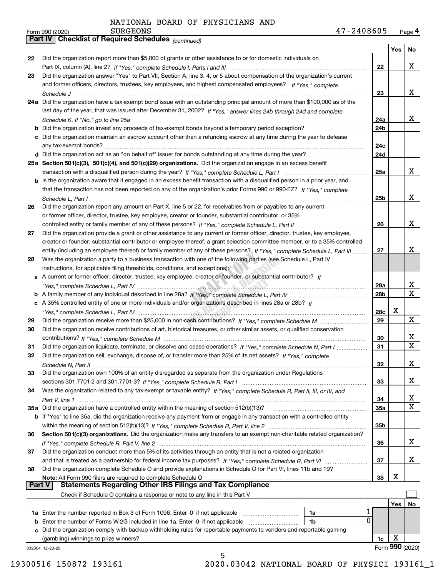*(continued)*

|    |                                                                                                                                    |            | Yes  | No                      |
|----|------------------------------------------------------------------------------------------------------------------------------------|------------|------|-------------------------|
| 22 | Did the organization report more than \$5,000 of grants or other assistance to or for domestic individuals on                      |            |      |                         |
|    |                                                                                                                                    | 22         |      | x                       |
| 23 | Did the organization answer "Yes" to Part VII, Section A, line 3, 4, or 5 about compensation of the organization's current         |            |      |                         |
|    | and former officers, directors, trustees, key employees, and highest compensated employees? If "Yes," complete                     |            |      |                         |
|    |                                                                                                                                    | 23         |      | x                       |
|    | 24a Did the organization have a tax-exempt bond issue with an outstanding principal amount of more than \$100,000 as of the        |            |      |                         |
|    | last day of the year, that was issued after December 31, 2002? If "Yes," answer lines 24b through 24d and complete                 |            |      |                         |
|    |                                                                                                                                    | 24a        |      | x                       |
|    | <b>b</b> Did the organization invest any proceeds of tax-exempt bonds beyond a temporary period exception?                         | 24b        |      |                         |
|    | c Did the organization maintain an escrow account other than a refunding escrow at any time during the year to defease             |            |      |                         |
|    | any tax-exempt bonds?                                                                                                              | 24c        |      |                         |
|    |                                                                                                                                    | 24d        |      |                         |
|    | 25a Section 501(c)(3), 501(c)(4), and 501(c)(29) organizations. Did the organization engage in an excess benefit                   |            |      |                         |
|    |                                                                                                                                    | 25a        |      | x                       |
|    | b Is the organization aware that it engaged in an excess benefit transaction with a disqualified person in a prior year, and       |            |      |                         |
|    | that the transaction has not been reported on any of the organization's prior Forms 990 or 990-EZ? If "Yes," complete              |            |      |                         |
|    | Schedule L, Part I                                                                                                                 | 25b        |      | x                       |
| 26 | Did the organization report any amount on Part X, line 5 or 22, for receivables from or payables to any current                    |            |      |                         |
|    | or former officer, director, trustee, key employee, creator or founder, substantial contributor, or 35%                            |            |      |                         |
|    | controlled entity or family member of any of these persons? If "Yes," complete Schedule L, Part II                                 | 26         |      | x                       |
| 27 | Did the organization provide a grant or other assistance to any current or former officer, director, trustee, key employee,        |            |      |                         |
|    | creator or founder, substantial contributor or employee thereof, a grant selection committee member, or to a 35% controlled        |            |      |                         |
|    | entity (including an employee thereof) or family member of any of these persons? If "Yes," complete Schedule L, Part III           | 27         |      | x                       |
| 28 | Was the organization a party to a business transaction with one of the following parties (see Schedule L, Part IV                  |            |      |                         |
|    | instructions, for applicable filing thresholds, conditions, and exceptions):                                                       |            |      |                         |
|    | a A current or former officer, director, trustee, key employee, creator or founder, or substantial contributor? If                 |            |      |                         |
|    |                                                                                                                                    | 28a        |      | x                       |
|    |                                                                                                                                    | 28b        |      | $\overline{\mathbf{X}}$ |
|    |                                                                                                                                    |            |      |                         |
|    | c A 35% controlled entity of one or more individuals and/or organizations described in lines 28a or 28b? If                        |            | х    |                         |
|    |                                                                                                                                    | 28c        |      | X                       |
| 29 |                                                                                                                                    | 29         |      |                         |
| 30 | Did the organization receive contributions of art, historical treasures, or other similar assets, or qualified conservation        |            |      |                         |
|    |                                                                                                                                    | 30         |      | x<br>$\mathbf X$        |
| 31 | Did the organization liquidate, terminate, or dissolve and cease operations? If "Yes," complete Schedule N, Part I                 | 31         |      |                         |
| 32 | Did the organization sell, exchange, dispose of, or transfer more than 25% of its net assets? If "Yes," complete                   |            |      |                         |
|    | Schedule N, Part II                                                                                                                | 32         |      | X                       |
| 33 | Did the organization own 100% of an entity disregarded as separate from the organization under Regulations                         |            |      |                         |
|    |                                                                                                                                    | 33         |      | х                       |
| 34 | Was the organization related to any tax-exempt or taxable entity? If "Yes," complete Schedule R, Part II, III, or IV, and          |            |      |                         |
|    | Part V, line 1                                                                                                                     | 34         |      | х                       |
|    | 35a Did the organization have a controlled entity within the meaning of section 512(b)(13)?                                        | <b>35a</b> |      | $\overline{\mathbf{X}}$ |
|    | <b>b</b> If "Yes" to line 35a, did the organization receive any payment from or engage in any transaction with a controlled entity |            |      |                         |
|    |                                                                                                                                    | 35b        |      |                         |
| 36 | Section 501(c)(3) organizations. Did the organization make any transfers to an exempt non-charitable related organization?         |            |      |                         |
|    |                                                                                                                                    | 36         |      | X                       |
| 37 | Did the organization conduct more than 5% of its activities through an entity that is not a related organization                   |            |      |                         |
|    | and that is treated as a partnership for federal income tax purposes? If "Yes," complete Schedule R, Part VI                       | 37         |      | X                       |
| 38 | Did the organization complete Schedule O and provide explanations in Schedule O for Part VI, lines 11b and 19?                     |            |      |                         |
|    | Note: All Form 990 filers are required to complete Schedule O                                                                      | 38         | X    |                         |
|    | <b>Part V</b><br><b>Statements Regarding Other IRS Filings and Tax Compliance</b>                                                  |            |      |                         |
|    | Check if Schedule O contains a response or note to any line in this Part V                                                         |            |      |                         |
|    |                                                                                                                                    |            | Yes∣ | No                      |
|    | 1a Enter the number reported in Box 3 of Form 1096. Enter -0- if not applicable<br>1a                                              |            |      |                         |
| b  | 0<br>Enter the number of Forms W-2G included in line 1a. Enter -0- if not applicable<br>1b                                         |            |      |                         |
| c  | Did the organization comply with backup withholding rules for reportable payments to vendors and reportable gaming                 |            |      |                         |
|    | (gambling) winnings to prize winners?                                                                                              | 1c         | X    |                         |
|    | 032004 12-23-20                                                                                                                    |            |      | Form 990 (2020)         |
|    | 5                                                                                                                                  |            |      |                         |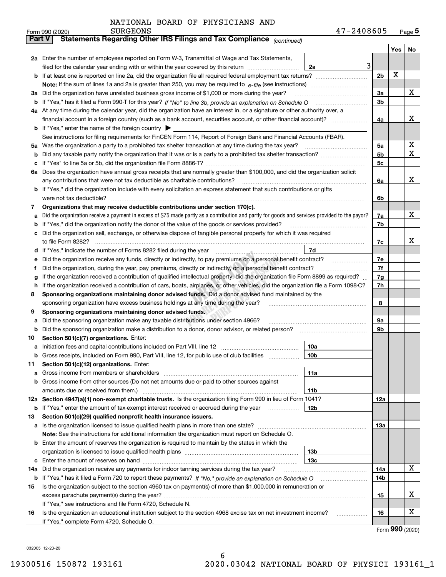|  | NATIONAL BOARD OF PHYSICIANS AND |  |
|--|----------------------------------|--|
|  |                                  |  |

|               | 47-2408605<br><b>SURGEONS</b><br>Form 990 (2020)                                                                                                |                |     | <u>Page</u> 5 |
|---------------|-------------------------------------------------------------------------------------------------------------------------------------------------|----------------|-----|---------------|
| <b>Part V</b> | Statements Regarding Other IRS Filings and Tax Compliance (continued)                                                                           |                |     |               |
|               |                                                                                                                                                 |                | Yes | No            |
|               | 2a Enter the number of employees reported on Form W-3, Transmittal of Wage and Tax Statements,                                                  |                |     |               |
|               | 3<br>filed for the calendar year ending with or within the year covered by this return<br>2a                                                    |                |     |               |
|               |                                                                                                                                                 | 2 <sub>b</sub> | х   |               |
|               |                                                                                                                                                 |                |     |               |
| За            | Did the organization have unrelated business gross income of \$1,000 or more during the year?                                                   | За             |     | х             |
|               |                                                                                                                                                 | 3b             |     |               |
|               | 4a At any time during the calendar year, did the organization have an interest in, or a signature or other authority over, a                    |                |     |               |
|               | financial account in a foreign country (such as a bank account, securities account, or other financial account)?                                | 4a             |     | х             |
|               | <b>b</b> If "Yes," enter the name of the foreign country $\blacktriangleright$                                                                  |                |     |               |
|               | See instructions for filing requirements for FinCEN Form 114, Report of Foreign Bank and Financial Accounts (FBAR).                             |                |     |               |
| 5a            | Was the organization a party to a prohibited tax shelter transaction at any time during the tax year?                                           | 5a             |     | X             |
| b             |                                                                                                                                                 | 5b             |     | Χ             |
| с             |                                                                                                                                                 | 5c             |     |               |
|               | 6a Does the organization have annual gross receipts that are normally greater than \$100,000, and did the organization solicit                  |                |     |               |
|               |                                                                                                                                                 | 6a             |     | х             |
|               | <b>b</b> If "Yes," did the organization include with every solicitation an express statement that such contributions or gifts                   |                |     |               |
|               | were not tax deductible?                                                                                                                        | 6b             |     |               |
| 7             | Organizations that may receive deductible contributions under section 170(c).                                                                   |                |     |               |
| а             | Did the organization receive a payment in excess of \$75 made partly as a contribution and partly for goods and services provided to the payor? | 7a             |     | х             |
|               | <b>b</b> If "Yes," did the organization notify the donor of the value of the goods or services provided?                                        | 7b             |     |               |
|               | c Did the organization sell, exchange, or otherwise dispose of tangible personal property for which it was required                             |                |     |               |
|               |                                                                                                                                                 | 7c             |     | х             |
|               | 7d                                                                                                                                              |                |     |               |
| е             | Did the organization receive any funds, directly or indirectly, to pay premiums on a personal benefit contract?                                 | 7e             |     |               |
| Ť.            | Did the organization, during the year, pay premiums, directly or indirectly, on a personal benefit contract?                                    | 7f             |     |               |
| g             | If the organization received a contribution of qualified intellectual property, did the organization file Form 8899 as required?                | 7g             |     |               |
| h.            | If the organization received a contribution of cars, boats, airplanes, or other vehicles, did the organization file a Form 1098-C?              | 7h             |     |               |
| 8             | Sponsoring organizations maintaining donor advised funds. Did a donor advised fund maintained by the                                            |                |     |               |
|               | sponsoring organization have excess business holdings at any time during the year?                                                              | 8              |     |               |
| 9             | Sponsoring organizations maintaining donor advised funds.                                                                                       |                |     |               |
| а             | Did the sponsoring organization make any taxable distributions under section 4966?                                                              | 9а             |     |               |
| b             | Did the sponsoring organization make a distribution to a donor, donor advisor, or related person?                                               | 9b             |     |               |
| 10            | Section 501(c)(7) organizations. Enter:                                                                                                         |                |     |               |
|               | 10a                                                                                                                                             |                |     |               |
|               | 10 <sub>b</sub><br>Gross receipts, included on Form 990, Part VIII, line 12, for public use of club facilities                                  |                |     |               |
| 11            | Section 501(c)(12) organizations. Enter:                                                                                                        |                |     |               |
|               | 11a                                                                                                                                             |                |     |               |
|               | <b>b</b> Gross income from other sources (Do not net amounts due or paid to other sources against                                               |                |     |               |
|               | 11b                                                                                                                                             |                |     |               |
|               | 12a Section 4947(a)(1) non-exempt charitable trusts. Is the organization filing Form 990 in lieu of Form 1041?                                  | 12a            |     |               |
|               | 12b<br><b>b</b> If "Yes," enter the amount of tax-exempt interest received or accrued during the year <i>manument</i>                           |                |     |               |
| 13            | Section 501(c)(29) qualified nonprofit health insurance issuers.                                                                                |                |     |               |
|               | a Is the organization licensed to issue qualified health plans in more than one state?                                                          | 13а            |     |               |
|               | Note: See the instructions for additional information the organization must report on Schedule O.                                               |                |     |               |
|               | <b>b</b> Enter the amount of reserves the organization is required to maintain by the states in which the                                       |                |     |               |
|               | 13b                                                                                                                                             |                |     |               |
|               | 13c                                                                                                                                             |                |     |               |
| 14a           | Did the organization receive any payments for indoor tanning services during the tax year?                                                      | 14a            |     | х             |
|               | <b>b</b> If "Yes," has it filed a Form 720 to report these payments? If "No," provide an explanation on Schedule O                              | 14b            |     |               |
| 15            | Is the organization subject to the section 4960 tax on payment(s) of more than \$1,000,000 in remuneration or                                   |                |     |               |
|               |                                                                                                                                                 | 15             |     | x             |
|               | If "Yes," see instructions and file Form 4720, Schedule N.                                                                                      |                |     |               |
| 16            | Is the organization an educational institution subject to the section 4968 excise tax on net investment income?                                 | 16             |     | x             |
|               | If "Yes," complete Form 4720, Schedule O.                                                                                                       |                |     |               |

Form (2020) **990**

032005 12-23-20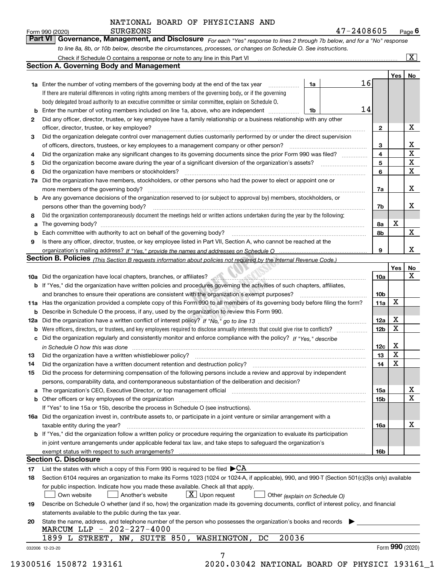| Form 990 (2020) | <b>SURGEONS</b>                                                                                                  | 47-2408605                                                                                                                  | $P_{\text{aqe}}$ 6 |
|-----------------|------------------------------------------------------------------------------------------------------------------|-----------------------------------------------------------------------------------------------------------------------------|--------------------|
|                 |                                                                                                                  | Part VI Governance, Management, and Disclosure For each "Yes" response to lines 2 through 7b below, and for a "No" response |                    |
|                 | to line 8a, 8b, or 10b below, describe the circumstances, processes, or changes on Schedule O. See instructions. |                                                                                                                             |                    |

|              |                                                                                                                                                                                                                                |        |    |                         | Yes         | No                      |
|--------------|--------------------------------------------------------------------------------------------------------------------------------------------------------------------------------------------------------------------------------|--------|----|-------------------------|-------------|-------------------------|
|              | <b>1a</b> Enter the number of voting members of the governing body at the end of the tax year <i>manumum</i>                                                                                                                   | 1a     | 16 |                         |             |                         |
|              | If there are material differences in voting rights among members of the governing body, or if the governing                                                                                                                    |        |    |                         |             |                         |
|              | body delegated broad authority to an executive committee or similar committee, explain on Schedule O.                                                                                                                          |        |    |                         |             |                         |
| b            | Enter the number of voting members included on line 1a, above, who are independent                                                                                                                                             | $1$ 1b | 14 |                         |             |                         |
| $\mathbf{2}$ | Did any officer, director, trustee, or key employee have a family relationship or a business relationship with any other                                                                                                       |        |    |                         |             |                         |
|              | officer, director, trustee, or key employee?                                                                                                                                                                                   |        |    | $\mathbf{2}$            |             | х                       |
| 3            | Did the organization delegate control over management duties customarily performed by or under the direct supervision                                                                                                          |        |    |                         |             |                         |
|              |                                                                                                                                                                                                                                |        |    | 3                       |             | X                       |
| 4            | Did the organization make any significant changes to its governing documents since the prior Form 990 was filed?                                                                                                               |        |    | $\overline{\mathbf{4}}$ |             | X                       |
| 5            |                                                                                                                                                                                                                                |        |    | 5                       |             | $\overline{\mathbf{x}}$ |
| 6            | Did the organization have members or stockholders?                                                                                                                                                                             |        |    | 6                       |             | X                       |
|              | 7a Did the organization have members, stockholders, or other persons who had the power to elect or appoint one or                                                                                                              |        |    |                         |             |                         |
|              |                                                                                                                                                                                                                                |        |    | 7a                      |             | X                       |
|              | <b>b</b> Are any governance decisions of the organization reserved to (or subject to approval by) members, stockholders, or                                                                                                    |        |    |                         |             |                         |
|              | persons other than the governing body?                                                                                                                                                                                         |        |    | 7b                      |             | х                       |
| 8            | Did the organization contemporaneously document the meetings held or written actions undertaken during the vear by the following:                                                                                              |        |    |                         |             |                         |
| a            |                                                                                                                                                                                                                                |        |    | 8a                      | X           |                         |
| b            | Each committee with authority to act on behalf of the governing body? [10] manufacture manufacture with authority to act on behalf of the governing body? [10] manufacture with authority of the state with an interval and th |        |    | 8b                      |             | X                       |
| 9            | Is there any officer, director, trustee, or key employee listed in Part VII, Section A, who cannot be reached at the                                                                                                           |        |    |                         |             |                         |
|              |                                                                                                                                                                                                                                |        |    | 9                       |             | X                       |
|              | Section B. Policies (This Section B requests information about policies not required by the Internal Revenue Code.)                                                                                                            |        |    |                         |             |                         |
|              |                                                                                                                                                                                                                                |        |    |                         | Yes         | No                      |
|              | 10a Did the organization have local chapters, branches, or affiliates? <b>Annumia and all constructs</b> consumed the organization have local chapters, branches, or affiliates?                                               |        |    | 10a                     |             | X                       |
|              | <b>b</b> If "Yes," did the organization have written policies and procedures governing the activities of such chapters, affiliates,                                                                                            |        |    |                         |             |                         |
|              | and branches to ensure their operations are consistent with the organization's exempt purposes?                                                                                                                                |        |    | 10 <sub>b</sub>         |             |                         |
|              | 11a Has the organization provided a complete copy of this Form 990 to all members of its governing body before filing the form?                                                                                                |        |    | 11a                     | X           |                         |
|              | <b>b</b> Describe in Schedule O the process, if any, used by the organization to review this Form 990.                                                                                                                         |        |    |                         |             |                         |
|              |                                                                                                                                                                                                                                |        |    | 12a                     | X           |                         |
|              |                                                                                                                                                                                                                                |        |    |                         | X           |                         |
| b            |                                                                                                                                                                                                                                |        |    | 12 <sub>b</sub>         |             |                         |
| c            | Did the organization regularly and consistently monitor and enforce compliance with the policy? If "Yes," describe                                                                                                             |        |    |                         | X           |                         |
|              | in Schedule O how this was done material contracts and the set of the state of the state of the state of the state of the state of the state of the state of the state of the state of the state of the state of the state of  |        |    | 12c                     | X           |                         |
| 13           |                                                                                                                                                                                                                                |        |    | 13                      | $\mathbf X$ |                         |
| 14           | Did the organization have a written document retention and destruction policy? manufactured and the organization have a written document retention and destruction policy?                                                     |        |    | 14                      |             |                         |
| 15           | Did the process for determining compensation of the following persons include a review and approval by independent                                                                                                             |        |    |                         |             |                         |
|              | persons, comparability data, and contemporaneous substantiation of the deliberation and decision?                                                                                                                              |        |    |                         |             |                         |
|              | a The organization's CEO, Executive Director, or top management official manufactured content content of the organization's CEO, Executive Director, or top management official manufactured content of the state of the state |        |    | 15a                     |             | х                       |
|              | <b>b</b> Other officers or key employees of the organization                                                                                                                                                                   |        |    | 15b                     |             | $\mathbf X$             |
|              | If "Yes" to line 15a or 15b, describe the process in Schedule O (see instructions).                                                                                                                                            |        |    |                         |             |                         |
|              | 16a Did the organization invest in, contribute assets to, or participate in a joint venture or similar arrangement with a                                                                                                      |        |    |                         |             |                         |
|              | taxable entity during the year?                                                                                                                                                                                                |        |    | 16a                     |             | X                       |
|              | b If "Yes," did the organization follow a written policy or procedure requiring the organization to evaluate its participation                                                                                                 |        |    |                         |             |                         |
|              | in joint venture arrangements under applicable federal tax law, and take steps to safeguard the organization's                                                                                                                 |        |    |                         |             |                         |
|              | exempt status with respect to such arrangements?                                                                                                                                                                               |        |    | 16b                     |             |                         |
|              | <b>Section C. Disclosure</b>                                                                                                                                                                                                   |        |    |                         |             |                         |
| 17           | List the states with which a copy of this Form 990 is required to be filed $\blacktriangleright$ CA                                                                                                                            |        |    |                         |             |                         |
| 18           | Section 6104 requires an organization to make its Forms 1023 (1024 or 1024-A, if applicable), 990, and 990-T (Section 501(c)(3)s only) available                                                                               |        |    |                         |             |                         |
|              | for public inspection. Indicate how you made these available. Check all that apply.                                                                                                                                            |        |    |                         |             |                         |
|              | $X$ Upon request<br>Another's website<br>Own website<br>Other (explain on Schedule O)                                                                                                                                          |        |    |                         |             |                         |
| 19           | Describe on Schedule O whether (and if so, how) the organization made its governing documents, conflict of interest policy, and financial                                                                                      |        |    |                         |             |                         |
|              | statements available to the public during the tax year.                                                                                                                                                                        |        |    |                         |             |                         |
| 20           | State the name, address, and telephone number of the person who possesses the organization's books and records                                                                                                                 |        |    |                         |             |                         |
|              | MARCUM LLP - 202-227-4000                                                                                                                                                                                                      |        |    |                         |             |                         |
|              | 20036<br>1899 L STREET, NW, SUITE 850,<br>WASHINGTON, DC                                                                                                                                                                       |        |    |                         |             |                         |
|              |                                                                                                                                                                                                                                |        |    |                         |             | Form 990 (2020)         |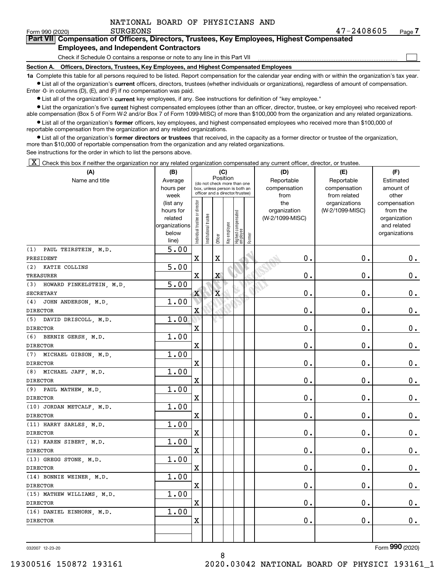|  |  |  |  | NATIONAL BOARD OF PHYSICIANS AND |  |
|--|--|--|--|----------------------------------|--|
|--|--|--|--|----------------------------------|--|

 $\mathcal{L}^{\text{max}}$ 

| orm 990 (2020) <sup>.</sup> | <b>SURGEONS</b>                               | 47-2408605                                                                                 | Page $\prime$ |
|-----------------------------|-----------------------------------------------|--------------------------------------------------------------------------------------------|---------------|
|                             |                                               | Part VII Compensation of Officers, Directors, Trustees, Key Employees, Highest Compensated |               |
|                             | <b>Employees, and Independent Contractors</b> |                                                                                            |               |

Check if Schedule O contains a response or note to any line in this Part VII

**Section A. Officers, Directors, Trustees, Key Employees, and Highest Compensated Employees**

**1a**  Complete this table for all persons required to be listed. Report compensation for the calendar year ending with or within the organization's tax year. **•** List all of the organization's current officers, directors, trustees (whether individuals or organizations), regardless of amount of compensation.

Enter -0- in columns (D), (E), and (F) if no compensation was paid.

 $\bullet$  List all of the organization's  $\,$ current key employees, if any. See instructions for definition of "key employee."

• List the organization's five current highest compensated employees (other than an officer, director, trustee, or key employee) who received report-■ List the organization's five current highest compensated employees (other than an officer, director, trustee, or key employee) who received report-<br>able compensation (Box 5 of Form W-2 and/or Box 7 of Form 1099-MISC) of

**•** List all of the organization's former officers, key employees, and highest compensated employees who received more than \$100,000 of reportable compensation from the organization and any related organizations.

**former directors or trustees**  ¥ List all of the organization's that received, in the capacity as a former director or trustee of the organization, more than \$10,000 of reportable compensation from the organization and any related organizations.

See instructions for the order in which to list the persons above.

 $\boxed{\textbf{X}}$  Check this box if neither the organization nor any related organization compensated any current officer, director, or trustee.

| (A)                          | (B)               |                                |                                                                  | (C)                     |              |                                   |        | (D)             | (E)                           | (F)                   |
|------------------------------|-------------------|--------------------------------|------------------------------------------------------------------|-------------------------|--------------|-----------------------------------|--------|-----------------|-------------------------------|-----------------------|
| Name and title               | Average           |                                | (do not check more than one                                      | Position                |              |                                   |        | Reportable      | Reportable                    | Estimated             |
|                              | hours per         |                                | box, unless person is both an<br>officer and a director/trustee) |                         |              |                                   |        | compensation    | compensation                  | amount of             |
|                              | week<br>(list any |                                |                                                                  |                         |              |                                   |        | from<br>the     | from related<br>organizations | other<br>compensation |
|                              | hours for         |                                |                                                                  |                         |              |                                   |        | organization    | (W-2/1099-MISC)               | from the              |
|                              | related           |                                |                                                                  |                         |              |                                   |        | (W-2/1099-MISC) |                               | organization          |
|                              | organizations     |                                |                                                                  |                         |              |                                   |        |                 |                               | and related           |
|                              | below             | Individual trustee or director | Institutional trustee                                            | Officer                 | Key employee | Highest compensated<br>  employee | Former |                 |                               | organizations         |
|                              | line)             |                                |                                                                  |                         |              |                                   |        |                 |                               |                       |
| (1) PAUL TEIRSTEIN, M.D.     | 5.00              |                                |                                                                  |                         |              |                                   |        |                 |                               |                       |
| PRESIDENT                    |                   | $\mathbf X$                    |                                                                  | X                       |              |                                   |        | $\mathbf 0$ .   | $\mathbf 0$ .                 | 0.                    |
| (2) KATIE COLLINS            | 5.00              |                                |                                                                  |                         |              |                                   |        |                 |                               |                       |
| TREASURER                    |                   | $\mathbf X$                    |                                                                  | X                       |              |                                   |        | $0$ .           | 0.                            | $0_{\cdot}$           |
| (3) HOWARD FINKELSTEIN, M.D. | 5.00              |                                |                                                                  |                         |              |                                   |        |                 |                               |                       |
| SECRETARY                    |                   | $\mathbf X$                    |                                                                  | $\overline{\mathbf{X}}$ |              |                                   |        | $0$ .           | 0.                            | 0.                    |
| (4) JOHN ANDERSON, M.D.      | 1.00              |                                |                                                                  |                         |              |                                   |        |                 |                               |                       |
| <b>DIRECTOR</b>              |                   | $\mathbf X$                    |                                                                  |                         |              |                                   |        | $0$ .           | 0.                            | $\mathbf 0$ .         |
| (5) DAVID DRISCOLL, M.D.     | 1.00              |                                |                                                                  |                         |              |                                   |        |                 |                               |                       |
| <b>DIRECTOR</b>              |                   | $\mathbf X$                    |                                                                  |                         |              |                                   |        | $\mathbf 0$ .   | 0.                            | $0_{\cdot}$           |
| (6) BERNIE GERSH, M.D.       | 1.00              |                                |                                                                  |                         |              |                                   |        |                 |                               |                       |
| <b>DIRECTOR</b>              |                   | $\mathbf X$                    |                                                                  |                         |              |                                   |        | $\mathbf 0$ .   | $\mathbf 0$ .                 | $\mathbf 0$ .         |
| (7) MICHAEL GIBSON, M.D.     | 1.00              |                                |                                                                  |                         |              |                                   |        |                 |                               |                       |
| <b>DIRECTOR</b>              |                   | $\mathbf X$                    |                                                                  |                         |              |                                   |        | $\mathbf 0$ .   | $\mathbf 0$ .                 | $0_{.}$               |
| (8) MICHAEL JAFF, M.D.       | 1.00              |                                |                                                                  |                         |              |                                   |        |                 |                               |                       |
| <b>DIRECTOR</b>              |                   | $\mathbf X$                    |                                                                  |                         |              |                                   |        | 0.              | 0.                            | $\mathbf 0$ .         |
| (9) PAUL MATHEW, M.D.        | 1.00              |                                |                                                                  |                         |              |                                   |        |                 |                               |                       |
| <b>DIRECTOR</b>              |                   | $\mathbf x$                    |                                                                  |                         |              |                                   |        | $\mathbf 0$ .   | 0.                            | $\mathbf 0$ .         |
| (10) JORDAN METCALF, M.D.    | 1.00              |                                |                                                                  |                         |              |                                   |        |                 |                               |                       |
| <b>DIRECTOR</b>              |                   | $\mathbf X$                    |                                                                  |                         |              |                                   |        | $\mathbf 0$ .   | $\mathbf 0$ .                 | $\mathbf 0$ .         |
| (11) HARRY SARLES, M.D.      | 1.00              |                                |                                                                  |                         |              |                                   |        |                 |                               |                       |
| <b>DIRECTOR</b>              |                   | $\mathbf x$                    |                                                                  |                         |              |                                   |        | $\mathbf 0$ .   | 0.                            | $\mathbf 0$ .         |
| (12) KAREN SIBERT, M.D.      | 1.00              |                                |                                                                  |                         |              |                                   |        |                 |                               |                       |
| <b>DIRECTOR</b>              |                   | $\mathbf X$                    |                                                                  |                         |              |                                   |        | 0.              | $\mathbf 0$ .                 | 0.                    |
| (13) GREGG STONE, M.D.       | 1.00              |                                |                                                                  |                         |              |                                   |        |                 |                               |                       |
| <b>DIRECTOR</b>              |                   | $\mathbf x$                    |                                                                  |                         |              |                                   |        | $\mathbf 0$ .   | $\mathbf 0$ .                 | $\mathbf 0$ .         |
| (14) BONNIE WEINER, M.D.     | 1.00              |                                |                                                                  |                         |              |                                   |        |                 |                               |                       |
| <b>DIRECTOR</b>              |                   | $\mathbf X$                    |                                                                  |                         |              |                                   |        | $\mathbf 0$ .   | $\mathbf 0$ .                 | 0.                    |
| (15) MATHEW WILLIAMS, M.D.   | 1.00              |                                |                                                                  |                         |              |                                   |        |                 |                               |                       |
| <b>DIRECTOR</b>              |                   | $\mathbf X$                    |                                                                  |                         |              |                                   |        | $\mathbf 0$ .   | $\mathbf 0$ .                 | $0_{.}$               |
| (16) DANIEL EINHORN, M.D.    | 1.00              |                                |                                                                  |                         |              |                                   |        |                 |                               |                       |
| <b>DIRECTOR</b>              |                   | $\mathbf X$                    |                                                                  |                         |              |                                   |        | $\mathbf 0$ .   | 0.                            | 0.                    |
|                              |                   |                                |                                                                  |                         |              |                                   |        |                 |                               |                       |
|                              |                   |                                |                                                                  |                         |              |                                   |        |                 |                               |                       |

032007 12-23-20

Form (2020) **990**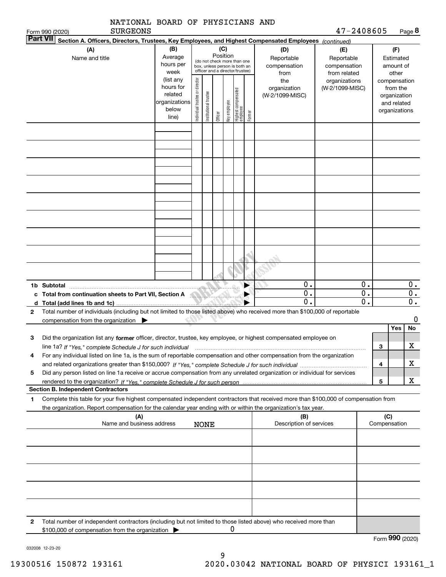|              | NATIONAL BOARD OF PHYSICIANS AND                                                                                                                                                                                                                                          |                                                                                                                                                                                                        |                                |                       |         |              |                                 |        |                                                   |                                  |                                            |                                        |                 |                                                                          |
|--------------|---------------------------------------------------------------------------------------------------------------------------------------------------------------------------------------------------------------------------------------------------------------------------|--------------------------------------------------------------------------------------------------------------------------------------------------------------------------------------------------------|--------------------------------|-----------------------|---------|--------------|---------------------------------|--------|---------------------------------------------------|----------------------------------|--------------------------------------------|----------------------------------------|-----------------|--------------------------------------------------------------------------|
|              | <b>SURGEONS</b><br>Form 990 (2020)                                                                                                                                                                                                                                        |                                                                                                                                                                                                        |                                |                       |         |              |                                 |        |                                                   | 47-2408605                       |                                            |                                        |                 | Page 8                                                                   |
|              | <b>Part VII</b><br>Section A. Officers, Directors, Trustees, Key Employees, and Highest Compensated Employees (continued)                                                                                                                                                 |                                                                                                                                                                                                        |                                |                       |         |              |                                 |        |                                                   |                                  |                                            |                                        |                 |                                                                          |
|              | (A)<br>Name and title                                                                                                                                                                                                                                                     | (B)<br>(C)<br>(D)<br>Position<br>Average<br>Reportable<br>(do not check more than one<br>hours per<br>compensation<br>box, unless person is both an<br>officer and a director/trustee)<br>week<br>from |                                |                       |         |              |                                 |        | (E)<br>Reportable<br>compensation<br>from related |                                  |                                            | (F)<br>Estimated<br>amount of<br>other |                 |                                                                          |
|              |                                                                                                                                                                                                                                                                           | (list any<br>hours for<br>related<br>organizations<br>below<br>line)                                                                                                                                   | Individual trustee or director | Institutional trustee | Officer | Key employee | Highest compensated<br>employee | Former | the<br>organization<br>(W-2/1099-MISC)            | organizations<br>(W-2/1099-MISC) |                                            |                                        |                 | compensation<br>from the<br>organization<br>and related<br>organizations |
|              |                                                                                                                                                                                                                                                                           |                                                                                                                                                                                                        |                                |                       |         |              |                                 |        |                                                   |                                  |                                            |                                        |                 |                                                                          |
|              |                                                                                                                                                                                                                                                                           |                                                                                                                                                                                                        |                                |                       |         |              |                                 |        |                                                   |                                  |                                            |                                        |                 |                                                                          |
|              |                                                                                                                                                                                                                                                                           |                                                                                                                                                                                                        |                                |                       |         |              |                                 |        |                                                   |                                  |                                            |                                        |                 |                                                                          |
|              |                                                                                                                                                                                                                                                                           |                                                                                                                                                                                                        |                                |                       |         |              |                                 |        |                                                   |                                  |                                            |                                        |                 |                                                                          |
|              | 1b Subtotal<br>c Total from continuation sheets to Part VII, Section A<br>d Total (add lines 1b and 1c)                                                                                                                                                                   |                                                                                                                                                                                                        |                                |                       |         |              |                                 |        | 0.<br>$\overline{0}$ .<br>$\mathbf 0$             |                                  | 0.<br>$\overline{0}$ .<br>$\overline{0}$ . |                                        |                 | 0.<br>$0$ .<br>$\overline{\mathbf{0}}$ .                                 |
| $\mathbf{2}$ | Total number of individuals (including but not limited to those listed above) who received more than \$100,000 of reportable<br>compensation from the organization $\blacktriangleright$                                                                                  |                                                                                                                                                                                                        |                                |                       |         |              |                                 |        |                                                   |                                  |                                            |                                        | Yes             | 0<br>No                                                                  |
| З            | Did the organization list any former officer, director, trustee, key employee, or highest compensated employee on<br>line 1a? If "Yes," complete Schedule J for such individual manufactured contained and the line 1a? If "Yes," complete Schedule J for such individual |                                                                                                                                                                                                        |                                |                       |         |              |                                 |        |                                                   |                                  |                                            | 3                                      |                 | Χ                                                                        |
| 4            | For any individual listed on line 1a, is the sum of reportable compensation and other compensation from the organization                                                                                                                                                  |                                                                                                                                                                                                        |                                |                       |         |              |                                 |        |                                                   |                                  |                                            | 4                                      |                 | x.                                                                       |
| 5            | Did any person listed on line 1a receive or accrue compensation from any unrelated organization or individual for services<br><b>Section B. Independent Contractors</b>                                                                                                   |                                                                                                                                                                                                        |                                |                       |         |              |                                 |        |                                                   |                                  |                                            | 5                                      |                 | x                                                                        |
| 1            | Complete this table for your five highest compensated independent contractors that received more than \$100,000 of compensation from<br>the organization. Report compensation for the calendar year ending with or within the organization's tax year.                    |                                                                                                                                                                                                        |                                |                       |         |              |                                 |        |                                                   |                                  |                                            |                                        |                 |                                                                          |
|              | (A)<br>Name and business address                                                                                                                                                                                                                                          |                                                                                                                                                                                                        |                                | <b>NONE</b>           |         |              |                                 |        | (B)<br>Description of services                    |                                  |                                            | (C)                                    | Compensation    |                                                                          |
|              |                                                                                                                                                                                                                                                                           |                                                                                                                                                                                                        |                                |                       |         |              |                                 |        |                                                   |                                  |                                            |                                        |                 |                                                                          |
|              |                                                                                                                                                                                                                                                                           |                                                                                                                                                                                                        |                                |                       |         |              |                                 |        |                                                   |                                  |                                            |                                        |                 |                                                                          |
|              |                                                                                                                                                                                                                                                                           |                                                                                                                                                                                                        |                                |                       |         |              |                                 |        |                                                   |                                  |                                            |                                        |                 |                                                                          |
| $\mathbf{2}$ | Total number of independent contractors (including but not limited to those listed above) who received more than                                                                                                                                                          |                                                                                                                                                                                                        |                                |                       |         |              |                                 |        |                                                   |                                  |                                            |                                        |                 |                                                                          |
|              | \$100,000 of compensation from the organization                                                                                                                                                                                                                           |                                                                                                                                                                                                        |                                |                       |         | 0            |                                 |        |                                                   |                                  |                                            |                                        | Form 990 (2020) |                                                                          |
|              |                                                                                                                                                                                                                                                                           |                                                                                                                                                                                                        |                                |                       |         |              |                                 |        |                                                   |                                  |                                            |                                        |                 |                                                                          |

032008 12-23-20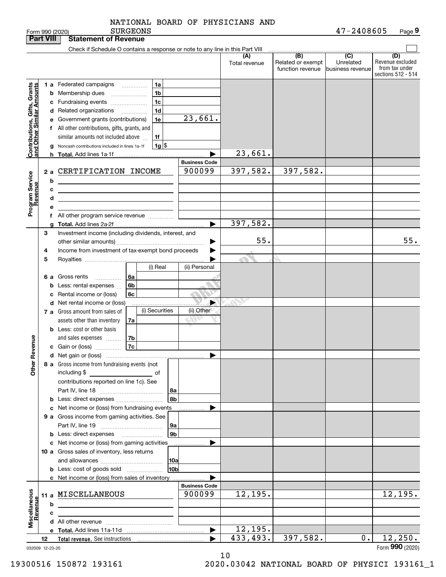|                                                           | <b>Part VIII</b> |         | <b>Statement of Revenue</b>                                                                                          |                      |                      |                                              |                                                 |                                                                 |
|-----------------------------------------------------------|------------------|---------|----------------------------------------------------------------------------------------------------------------------|----------------------|----------------------|----------------------------------------------|-------------------------------------------------|-----------------------------------------------------------------|
|                                                           |                  |         | Check if Schedule O contains a response or note to any line in this Part VIII                                        |                      |                      |                                              |                                                 |                                                                 |
|                                                           |                  |         |                                                                                                                      |                      | (A)<br>Total revenue | (B)<br>Related or exempt<br>function revenue | $\overline{C}$<br>Unrelated<br>business revenue | (D)<br>Revenue excluded<br>from tax under<br>sections 512 - 514 |
|                                                           |                  |         | 1 a Federated campaigns<br>1a<br>$\cdots$                                                                            |                      |                      |                                              |                                                 |                                                                 |
| Contributions, Gifts, Grants<br>and Other Similar Amounts |                  |         | 1 <sub>b</sub><br><b>b</b> Membership dues                                                                           |                      |                      |                                              |                                                 |                                                                 |
|                                                           |                  |         | 1 <sub>c</sub><br>c Fundraising events                                                                               |                      |                      |                                              |                                                 |                                                                 |
|                                                           |                  |         | 1 <sub>d</sub><br>d Related organizations                                                                            |                      |                      |                                              |                                                 |                                                                 |
|                                                           |                  |         | $\overline{\phantom{a}}$<br>1e<br>e Government grants (contributions)                                                | 23,661.              |                      |                                              |                                                 |                                                                 |
|                                                           |                  |         | f All other contributions, gifts, grants, and                                                                        |                      |                      |                                              |                                                 |                                                                 |
|                                                           |                  |         | similar amounts not included above<br>1f                                                                             |                      |                      |                                              |                                                 |                                                                 |
|                                                           |                  |         | $1g$ \$<br>Noncash contributions included in lines 1a-1f                                                             |                      |                      |                                              |                                                 |                                                                 |
|                                                           |                  | g<br>h. |                                                                                                                      |                      | 23,661.              |                                              |                                                 |                                                                 |
|                                                           |                  |         |                                                                                                                      | <b>Business Code</b> |                      |                                              |                                                 |                                                                 |
|                                                           | 2a               |         | CERTIFICATION INCOME                                                                                                 | 900099               | 397,582.             | 397,582.                                     |                                                 |                                                                 |
|                                                           |                  | b       |                                                                                                                      |                      |                      |                                              |                                                 |                                                                 |
|                                                           |                  | с       | <u> 1989 - Johann Stein, mars an dùthchan an t-Alban ann an t-Alban ann an t-Alban ann an t-Alban ann an t-Alban</u> |                      |                      |                                              |                                                 |                                                                 |
|                                                           |                  | d       |                                                                                                                      |                      |                      |                                              |                                                 |                                                                 |
|                                                           |                  | е       | the contract of the contract of the contract of the contract of the                                                  |                      |                      |                                              |                                                 |                                                                 |
| Program Service<br>Revenue                                |                  |         | f All other program service revenue                                                                                  |                      |                      |                                              |                                                 |                                                                 |
|                                                           |                  |         |                                                                                                                      | ▶                    | 397,582.             |                                              |                                                 |                                                                 |
|                                                           | 3                |         | Investment income (including dividends, interest, and                                                                |                      |                      |                                              |                                                 |                                                                 |
|                                                           |                  |         |                                                                                                                      |                      | 55.                  |                                              |                                                 | 55.                                                             |
|                                                           | 4                |         | Income from investment of tax-exempt bond proceeds                                                                   |                      |                      |                                              |                                                 |                                                                 |
|                                                           | 5                |         |                                                                                                                      |                      |                      |                                              |                                                 |                                                                 |
|                                                           |                  |         | (i) Real                                                                                                             | (ii) Personal        |                      |                                              |                                                 |                                                                 |
|                                                           | 6а               |         | Gross rents<br>6а<br>.                                                                                               |                      |                      |                                              |                                                 |                                                                 |
|                                                           |                  | b       | 6b<br>Less: rental expenses                                                                                          |                      |                      |                                              |                                                 |                                                                 |
|                                                           |                  | c       | Rental income or (loss)<br>6c                                                                                        |                      |                      |                                              |                                                 |                                                                 |
|                                                           |                  |         | d Net rental income or (loss)                                                                                        | ▶                    |                      |                                              |                                                 |                                                                 |
|                                                           |                  |         | (i) Securities<br>7 a Gross amount from sales of                                                                     | (ii) Other           |                      |                                              |                                                 |                                                                 |
|                                                           |                  |         | assets other than inventory<br>7a                                                                                    |                      |                      |                                              |                                                 |                                                                 |
|                                                           |                  |         | <b>b</b> Less: cost or other basis                                                                                   |                      |                      |                                              |                                                 |                                                                 |
|                                                           |                  |         | 7b<br>and sales expenses                                                                                             |                      |                      |                                              |                                                 |                                                                 |
| Revenue                                                   |                  |         | 7c<br>c Gain or (loss)                                                                                               |                      |                      |                                              |                                                 |                                                                 |
|                                                           |                  |         |                                                                                                                      | ▶                    |                      |                                              |                                                 |                                                                 |
| ₩                                                         |                  |         | 8 a Gross income from fundraising events (not                                                                        |                      |                      |                                              |                                                 |                                                                 |
| <b>Other</b>                                              |                  |         | including \$                                                                                                         |                      |                      |                                              |                                                 |                                                                 |
|                                                           |                  |         | contributions reported on line 1c). See                                                                              |                      |                      |                                              |                                                 |                                                                 |
|                                                           |                  |         | 8a                                                                                                                   |                      |                      |                                              |                                                 |                                                                 |
|                                                           |                  |         | 8b                                                                                                                   |                      |                      |                                              |                                                 |                                                                 |
|                                                           |                  |         | c Net income or (loss) from fundraising events                                                                       |                      |                      |                                              |                                                 |                                                                 |
|                                                           |                  |         | 9 a Gross income from gaming activities. See                                                                         |                      |                      |                                              |                                                 |                                                                 |
|                                                           |                  |         | 9a                                                                                                                   |                      |                      |                                              |                                                 |                                                                 |
|                                                           |                  |         | 9 <sub>b</sub><br><b>b</b> Less: direct expenses <b>manually</b>                                                     |                      |                      |                                              |                                                 |                                                                 |
|                                                           |                  |         | c Net income or (loss) from gaming activities                                                                        |                      |                      |                                              |                                                 |                                                                 |
|                                                           |                  |         | 10 a Gross sales of inventory, less returns                                                                          |                      |                      |                                              |                                                 |                                                                 |
|                                                           |                  |         | 10a                                                                                                                  |                      |                      |                                              |                                                 |                                                                 |
|                                                           |                  |         | 10 <sub>b</sub><br><b>b</b> Less: cost of goods sold                                                                 |                      |                      |                                              |                                                 |                                                                 |
|                                                           |                  |         | c Net income or (loss) from sales of inventory                                                                       | <b>Business Code</b> |                      |                                              |                                                 |                                                                 |
|                                                           |                  |         | 11 a MISCELLANEOUS                                                                                                   | 900099               | 12, 195.             |                                              |                                                 | 12, 195.                                                        |
| Miscellaneous<br>Revenue                                  |                  |         |                                                                                                                      |                      |                      |                                              |                                                 |                                                                 |
|                                                           |                  | b       |                                                                                                                      |                      |                      |                                              |                                                 |                                                                 |
|                                                           |                  | c       |                                                                                                                      |                      |                      |                                              |                                                 |                                                                 |
|                                                           |                  |         |                                                                                                                      | ▶                    | 12, 195.             |                                              |                                                 |                                                                 |
|                                                           | 12               |         |                                                                                                                      |                      | 433, 493.            | 397,582.                                     | 0.                                              | 12, 250.                                                        |
| 032009 12-23-20                                           |                  |         |                                                                                                                      |                      |                      |                                              |                                                 | Form 990 (2020)                                                 |
|                                                           |                  |         |                                                                                                                      |                      | 1 <sub>0</sub>       |                                              |                                                 |                                                                 |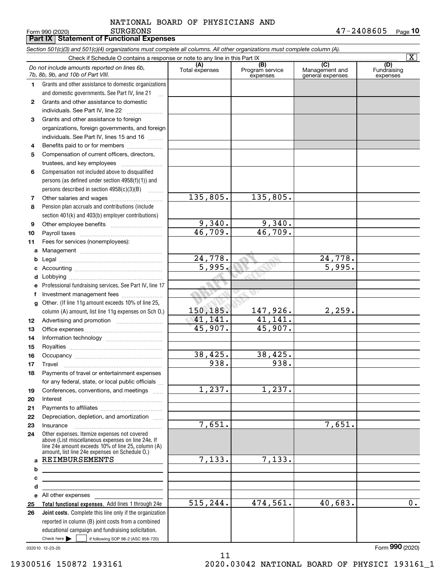Form 990 (2020) Page **10** SURGEONS 47-2408605

# **Part IX Statement of Functional Expenses**

|    | Section 501(c)(3) and 501(c)(4) organizations must complete all columns. All other organizations must complete column (A).                                                                                 |                       |                                    |                                           |                                |
|----|------------------------------------------------------------------------------------------------------------------------------------------------------------------------------------------------------------|-----------------------|------------------------------------|-------------------------------------------|--------------------------------|
|    | Check if Schedule O contains a response or note to any line in this Part IX                                                                                                                                |                       |                                    |                                           | $\overline{\mathbf{X}}$        |
|    | Do not include amounts reported on lines 6b,<br>7b, 8b, 9b, and 10b of Part VIII.                                                                                                                          | (A)<br>Total expenses | (B)<br>Program service<br>expenses | (C)<br>Management and<br>general expenses | (D)<br>Fundraising<br>expenses |
| 1. | Grants and other assistance to domestic organizations                                                                                                                                                      |                       |                                    |                                           |                                |
|    | and domestic governments. See Part IV, line 21                                                                                                                                                             |                       |                                    |                                           |                                |
| 2  | Grants and other assistance to domestic                                                                                                                                                                    |                       |                                    |                                           |                                |
|    | individuals. See Part IV, line 22                                                                                                                                                                          |                       |                                    |                                           |                                |
| 3  | Grants and other assistance to foreign                                                                                                                                                                     |                       |                                    |                                           |                                |
|    | organizations, foreign governments, and foreign                                                                                                                                                            |                       |                                    |                                           |                                |
|    | individuals. See Part IV, lines 15 and 16                                                                                                                                                                  |                       |                                    |                                           |                                |
| 4  | Benefits paid to or for members                                                                                                                                                                            |                       |                                    |                                           |                                |
| 5  | Compensation of current officers, directors,                                                                                                                                                               |                       |                                    |                                           |                                |
|    | trustees, and key employees                                                                                                                                                                                |                       |                                    |                                           |                                |
| 6  | Compensation not included above to disqualified                                                                                                                                                            |                       |                                    |                                           |                                |
|    | persons (as defined under section 4958(f)(1)) and                                                                                                                                                          |                       |                                    |                                           |                                |
|    | persons described in section 4958(c)(3)(B)                                                                                                                                                                 |                       |                                    |                                           |                                |
| 7  | Other salaries and wages                                                                                                                                                                                   | 135,805.              | 135,805.                           |                                           |                                |
| 8  | Pension plan accruals and contributions (include                                                                                                                                                           |                       |                                    |                                           |                                |
|    | section 401(k) and 403(b) employer contributions)                                                                                                                                                          |                       |                                    |                                           |                                |
| 9  |                                                                                                                                                                                                            | 9,340.                | 9,340.                             |                                           |                                |
| 10 |                                                                                                                                                                                                            | 46,709.               | 46,709.                            |                                           |                                |
| 11 | Fees for services (nonemployees):                                                                                                                                                                          |                       |                                    |                                           |                                |
| a  |                                                                                                                                                                                                            |                       |                                    |                                           |                                |
| b  |                                                                                                                                                                                                            | 24,778.               |                                    | 24,778.                                   |                                |
| c  |                                                                                                                                                                                                            | 5,995.                |                                    | $\overline{5,995}$ .                      |                                |
| d  |                                                                                                                                                                                                            |                       |                                    |                                           |                                |
| е  | Professional fundraising services. See Part IV, line 17                                                                                                                                                    |                       |                                    |                                           |                                |
| f  | Investment management fees                                                                                                                                                                                 | -58                   |                                    |                                           |                                |
| g  | Other. (If line 11g amount exceeds 10% of line 25,                                                                                                                                                         |                       |                                    |                                           |                                |
|    | column (A) amount, list line 11g expenses on Sch O.)                                                                                                                                                       | 150,185.              | 147,926.                           | 2,259.                                    |                                |
| 12 |                                                                                                                                                                                                            | 41,141.               | 41, 141.                           |                                           |                                |
| 13 |                                                                                                                                                                                                            | 45,907.               | 45,907.                            |                                           |                                |
| 14 |                                                                                                                                                                                                            |                       |                                    |                                           |                                |
| 15 |                                                                                                                                                                                                            |                       |                                    |                                           |                                |
| 16 |                                                                                                                                                                                                            | 38,425.               | 38,425.                            |                                           |                                |
| 17 |                                                                                                                                                                                                            | $\overline{938}$ .    | 938.                               |                                           |                                |
| 18 | Payments of travel or entertainment expenses                                                                                                                                                               |                       |                                    |                                           |                                |
|    | for any federal, state, or local public officials                                                                                                                                                          |                       |                                    |                                           |                                |
| 19 | Conferences, conventions, and meetings                                                                                                                                                                     | 1,237.                | 1,237.                             |                                           |                                |
| 20 | Interest                                                                                                                                                                                                   |                       |                                    |                                           |                                |
| 21 |                                                                                                                                                                                                            |                       |                                    |                                           |                                |
| 22 | Depreciation, depletion, and amortization                                                                                                                                                                  |                       |                                    |                                           |                                |
| 23 | Insurance                                                                                                                                                                                                  | 7,651.                |                                    | 7,651.                                    |                                |
| 24 | Other expenses. Itemize expenses not covered<br>above (List miscellaneous expenses on line 24e. If<br>line 24e amount exceeds 10% of line 25, column (A)<br>amount, list line 24e expenses on Schedule O.) |                       |                                    |                                           |                                |
| a  | REIMBURSEMENTS                                                                                                                                                                                             | 7,133.                | 7,133.                             |                                           |                                |
| b  |                                                                                                                                                                                                            |                       |                                    |                                           |                                |
| с  |                                                                                                                                                                                                            |                       |                                    |                                           |                                |
| d  | <u> 1980 - Johann Barn, mars eta bainar eta idazlea (h. 1980).</u>                                                                                                                                         |                       |                                    |                                           |                                |
| е  | All other expenses and the state of the state of the state of the state of the state of the state of the state                                                                                             |                       |                                    |                                           |                                |
| 25 | Total functional expenses. Add lines 1 through 24e                                                                                                                                                         | 515, 244.             | 474,561.                           | 40,683.                                   | $\overline{0}$ .               |
| 26 | Joint costs. Complete this line only if the organization                                                                                                                                                   |                       |                                    |                                           |                                |
|    | reported in column (B) joint costs from a combined                                                                                                                                                         |                       |                                    |                                           |                                |
|    | educational campaign and fundraising solicitation.                                                                                                                                                         |                       |                                    |                                           |                                |
|    | Check here $\blacktriangleright$<br>if following SOP 98-2 (ASC 958-720)                                                                                                                                    |                       |                                    |                                           |                                |

032010 12-23-20

19300516 150872 193161 2020.03042 NATIONAL BOARD OF PHYSICI 193161\_1

Form (2020) **990**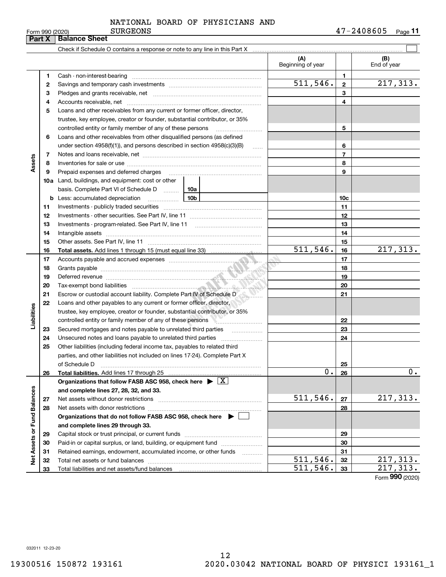|  | orm 990 <i>(</i> 2020) |
|--|------------------------|

| Form 990 (2020)<br>Part X   |    | <b>SURGEONS</b><br><b>Balance Sheet</b>                                                                                                                                                                                       |                          |                | 47-4408605<br>Page II |
|-----------------------------|----|-------------------------------------------------------------------------------------------------------------------------------------------------------------------------------------------------------------------------------|--------------------------|----------------|-----------------------|
|                             |    |                                                                                                                                                                                                                               |                          |                |                       |
|                             |    |                                                                                                                                                                                                                               | (A)<br>Beginning of year |                | (B)<br>End of year    |
|                             | 1. |                                                                                                                                                                                                                               |                          | 1              |                       |
|                             | 2  |                                                                                                                                                                                                                               | 511, 546.                | $\mathbf{2}$   | 217,313.              |
|                             | З  |                                                                                                                                                                                                                               |                          | 3              |                       |
|                             | 4  |                                                                                                                                                                                                                               |                          | 4              |                       |
|                             | 5  | Loans and other receivables from any current or former officer, director,                                                                                                                                                     |                          |                |                       |
|                             |    | trustee, key employee, creator or founder, substantial contributor, or 35%                                                                                                                                                    |                          |                |                       |
|                             |    |                                                                                                                                                                                                                               |                          | 5              |                       |
|                             | 6  | Loans and other receivables from other disqualified persons (as defined                                                                                                                                                       |                          |                |                       |
|                             |    | under section $4958(f)(1)$ , and persons described in section $4958(c)(3)(B)$<br>$\sim$                                                                                                                                       |                          | 6              |                       |
|                             | 7  |                                                                                                                                                                                                                               |                          | $\overline{7}$ |                       |
| Assets                      | 8  |                                                                                                                                                                                                                               |                          | 8              |                       |
|                             | 9  | Prepaid expenses and deferred charges [11] [11] Prepaid expenses and deferred charges [11] [11] Martin Marian Marian Marian Marian Marian Marian Marian Marian Marian Marian Marian Marian Marian Marian Marian Marian Marian |                          | 9              |                       |
|                             |    | <b>10a</b> Land, buildings, and equipment: cost or other                                                                                                                                                                      |                          |                |                       |
|                             |    |                                                                                                                                                                                                                               |                          |                |                       |
|                             |    | 10b                                                                                                                                                                                                                           |                          | 10c            |                       |
|                             | 11 |                                                                                                                                                                                                                               |                          | 11             |                       |
|                             | 12 |                                                                                                                                                                                                                               |                          | 12             |                       |
|                             | 13 |                                                                                                                                                                                                                               |                          | 13             |                       |
|                             | 14 |                                                                                                                                                                                                                               |                          | 14             |                       |
|                             | 15 |                                                                                                                                                                                                                               |                          | 15             |                       |
|                             | 16 |                                                                                                                                                                                                                               | 511, 546.                | 16             | 217,313.              |
|                             | 17 |                                                                                                                                                                                                                               |                          | 17             |                       |
|                             | 18 |                                                                                                                                                                                                                               |                          | 18             |                       |
|                             | 19 |                                                                                                                                                                                                                               |                          | 19             |                       |
|                             | 20 |                                                                                                                                                                                                                               |                          | 20             |                       |
|                             | 21 | Escrow or custodial account liability. Complete Part IV of Schedule D                                                                                                                                                         |                          | 21             |                       |
|                             | 22 | Loans and other payables to any current or former officer, director,                                                                                                                                                          |                          |                |                       |
| Liabilities                 |    | trustee, key employee, creator or founder, substantial contributor, or 35%                                                                                                                                                    |                          |                |                       |
|                             |    | controlled entity or family member of any of these persons                                                                                                                                                                    |                          | 22             |                       |
|                             | 23 | Secured mortgages and notes payable to unrelated third parties                                                                                                                                                                |                          | 23             |                       |
|                             | 24 |                                                                                                                                                                                                                               |                          | 24             |                       |
|                             | 25 | Other liabilities (including federal income tax, payables to related third                                                                                                                                                    |                          |                |                       |
|                             |    | parties, and other liabilities not included on lines 17-24). Complete Part X                                                                                                                                                  |                          |                |                       |
|                             |    | of Schedule D                                                                                                                                                                                                                 |                          | 25             |                       |
|                             | 26 |                                                                                                                                                                                                                               | 0.                       | 26             | 0.                    |
|                             |    | Organizations that follow FASB ASC 958, check here $\blacktriangleright \lfloor X \rfloor$                                                                                                                                    |                          |                |                       |
|                             |    | and complete lines 27, 28, 32, and 33.                                                                                                                                                                                        |                          |                |                       |
|                             | 27 |                                                                                                                                                                                                                               | 511,546.                 | 27             | 217,313.              |
|                             | 28 |                                                                                                                                                                                                                               |                          | 28             |                       |
|                             |    | Organizations that do not follow FASB ASC 958, check here $\triangleright$                                                                                                                                                    |                          |                |                       |
|                             |    | and complete lines 29 through 33.                                                                                                                                                                                             |                          |                |                       |
|                             | 29 |                                                                                                                                                                                                                               |                          | 29             |                       |
|                             | 30 | Paid-in or capital surplus, or land, building, or equipment fund                                                                                                                                                              |                          | 30             |                       |
| Net Assets or Fund Balances | 31 | Retained earnings, endowment, accumulated income, or other funds                                                                                                                                                              |                          | 31             |                       |
|                             | 32 |                                                                                                                                                                                                                               | 511,546.                 | 32             | 217,313.              |
|                             | 33 |                                                                                                                                                                                                                               | 511,546.                 | 33             | 217,313.              |

Form (2020) **990**

032011 12-23-20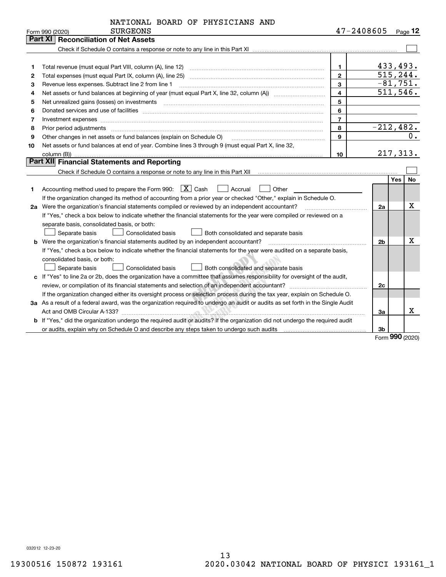| NATIONAL BOARD OF PHYSICIANS AND |  |
|----------------------------------|--|
|----------------------------------|--|

|    | <b>SURGEONS</b><br>Form 990 (2020)                                                                                                                                                                                             | 47-2408605     |                | Page $12$        |
|----|--------------------------------------------------------------------------------------------------------------------------------------------------------------------------------------------------------------------------------|----------------|----------------|------------------|
|    | <b>Part XI   Reconciliation of Net Assets</b>                                                                                                                                                                                  |                |                |                  |
|    |                                                                                                                                                                                                                                |                |                |                  |
|    |                                                                                                                                                                                                                                |                |                |                  |
| 1  |                                                                                                                                                                                                                                | $\mathbf{1}$   |                | 433,493.         |
| 2  |                                                                                                                                                                                                                                | $\overline{2}$ |                | 515,244.         |
| з  | Revenue less expenses. Subtract line 2 from line 1                                                                                                                                                                             | 3              |                | $-81,751.$       |
| 4  | Net assets or fund balances at beginning of year (must equal Part X, line 32, column (A)) <i>manageredial</i>                                                                                                                  | $\overline{4}$ |                | 511, 546.        |
| 5  | Net unrealized gains (losses) on investments [11] matter contracts and the state of the state of the state of the state of the state of the state of the state of the state of the state of the state of the state of the stat | 5              |                |                  |
| 6  |                                                                                                                                                                                                                                | 6              |                |                  |
| 7  |                                                                                                                                                                                                                                | $\overline{7}$ |                |                  |
| 8  | Prior period adjustments www.communication.communication.com/news/communication.com/news/communication.com/new                                                                                                                 | 8              |                | $-212,482.$      |
| 9  | Other changes in net assets or fund balances (explain on Schedule O)                                                                                                                                                           | 9              |                | $0$ .            |
| 10 | Net assets or fund balances at end of year. Combine lines 3 through 9 (must equal Part X, line 32,                                                                                                                             |                |                |                  |
|    | column (B)).                                                                                                                                                                                                                   | 10             |                | 217,313.         |
|    | Part XII Financial Statements and Reporting                                                                                                                                                                                    |                |                |                  |
|    |                                                                                                                                                                                                                                |                |                |                  |
|    |                                                                                                                                                                                                                                |                |                | <b>No</b><br>Yes |
| 1  | Accounting method used to prepare the Form 990: $\boxed{\textbf{X}}$ Cash<br>  Accrual<br>Other                                                                                                                                |                |                |                  |
|    | If the organization changed its method of accounting from a prior year or checked "Other," explain in Schedule O.                                                                                                              |                |                |                  |
|    | 2a Were the organization's financial statements compiled or reviewed by an independent accountant?                                                                                                                             |                | 2a             | х                |
|    | If "Yes," check a box below to indicate whether the financial statements for the year were compiled or reviewed on a                                                                                                           |                |                |                  |
|    | separate basis, consolidated basis, or both:                                                                                                                                                                                   |                |                |                  |
|    | Separate basis<br>Consolidated basis<br>Both consolidated and separate basis                                                                                                                                                   |                |                |                  |
|    | <b>b</b> Were the organization's financial statements audited by an independent accountant?                                                                                                                                    |                | 2 <sub>b</sub> | x                |
|    | If "Yes," check a box below to indicate whether the financial statements for the year were audited on a separate basis,                                                                                                        |                |                |                  |
|    | consolidated basis, or both:                                                                                                                                                                                                   |                |                |                  |
|    | Separate basis<br><b>Consolidated basis</b><br>Both consolidated and separate basis                                                                                                                                            |                |                |                  |
|    | c If "Yes" to line 2a or 2b, does the organization have a committee that assumes responsibility for oversight of the audit,                                                                                                    |                |                |                  |
|    |                                                                                                                                                                                                                                |                | 2c             |                  |
|    | If the organization changed either its oversight process or selection process during the tax year, explain on Schedule O.                                                                                                      |                |                |                  |
|    | 3a As a result of a federal award, was the organization required to undergo an audit or audits as set forth in the Single Audit                                                                                                |                |                |                  |
|    |                                                                                                                                                                                                                                |                | 3a             | х                |
|    | <b>b</b> If "Yes," did the organization undergo the required audit or audits? If the organization did not undergo the required audit                                                                                           |                |                |                  |
|    |                                                                                                                                                                                                                                |                | 3 <sub>b</sub> |                  |

Form (2020) **990**

032012 12-23-20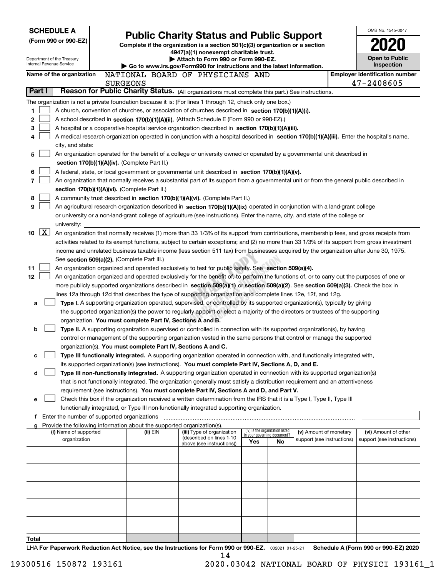|                          | <b>SCHEDULE A</b>                             |                                                                        |                                                                                                                                                                                                                                                                |     |                                                                |                            | OMB No. 1545-0047                                   |
|--------------------------|-----------------------------------------------|------------------------------------------------------------------------|----------------------------------------------------------------------------------------------------------------------------------------------------------------------------------------------------------------------------------------------------------------|-----|----------------------------------------------------------------|----------------------------|-----------------------------------------------------|
|                          | (Form 990 or 990-EZ)                          |                                                                        | <b>Public Charity Status and Public Support</b>                                                                                                                                                                                                                |     |                                                                |                            |                                                     |
|                          |                                               |                                                                        | Complete if the organization is a section $501(c)(3)$ organization or a section<br>4947(a)(1) nonexempt charitable trust.                                                                                                                                      |     |                                                                |                            |                                                     |
|                          | Department of the Treasury                    |                                                                        | Attach to Form 990 or Form 990-EZ.                                                                                                                                                                                                                             |     |                                                                |                            | <b>Open to Public</b>                               |
| Internal Revenue Service |                                               |                                                                        | Go to www.irs.gov/Form990 for instructions and the latest information.                                                                                                                                                                                         |     |                                                                |                            | Inspection                                          |
|                          | Name of the organization                      | <b>SURGEONS</b>                                                        | NATIONAL BOARD OF PHYSICIANS AND                                                                                                                                                                                                                               |     |                                                                |                            | <b>Employer identification number</b><br>47-2408605 |
| Part I                   |                                               |                                                                        | Reason for Public Charity Status. (All organizations must complete this part.) See instructions.                                                                                                                                                               |     |                                                                |                            |                                                     |
|                          |                                               |                                                                        | The organization is not a private foundation because it is: (For lines 1 through 12, check only one box.)                                                                                                                                                      |     |                                                                |                            |                                                     |
| 1.                       |                                               |                                                                        | A church, convention of churches, or association of churches described in section 170(b)(1)(A)(i).                                                                                                                                                             |     |                                                                |                            |                                                     |
| 2                        |                                               |                                                                        | A school described in section 170(b)(1)(A)(ii). (Attach Schedule E (Form 990 or 990-EZ).)                                                                                                                                                                      |     |                                                                |                            |                                                     |
| 3                        |                                               |                                                                        | A hospital or a cooperative hospital service organization described in section 170(b)(1)(A)(iii).                                                                                                                                                              |     |                                                                |                            |                                                     |
| 4                        |                                               |                                                                        | A medical research organization operated in conjunction with a hospital described in section 170(b)(1)(A)(iii). Enter the hospital's name,                                                                                                                     |     |                                                                |                            |                                                     |
|                          | city, and state:                              |                                                                        |                                                                                                                                                                                                                                                                |     |                                                                |                            |                                                     |
| 5                        |                                               |                                                                        | An organization operated for the benefit of a college or university owned or operated by a governmental unit described in                                                                                                                                      |     |                                                                |                            |                                                     |
|                          |                                               | section 170(b)(1)(A)(iv). (Complete Part II.)                          |                                                                                                                                                                                                                                                                |     |                                                                |                            |                                                     |
| 6                        |                                               |                                                                        | A federal, state, or local government or governmental unit described in section $170(b)(1)(A)(v)$ .                                                                                                                                                            |     |                                                                |                            |                                                     |
| 7                        |                                               |                                                                        | An organization that normally receives a substantial part of its support from a governmental unit or from the general public described in                                                                                                                      |     |                                                                |                            |                                                     |
|                          |                                               | section 170(b)(1)(A)(vi). (Complete Part II.)                          |                                                                                                                                                                                                                                                                |     |                                                                |                            |                                                     |
| 8<br>9                   |                                               |                                                                        | A community trust described in section 170(b)(1)(A)(vi). (Complete Part II.)<br>An agricultural research organization described in section 170(b)(1)(A)(ix) operated in conjunction with a land-grant college                                                  |     |                                                                |                            |                                                     |
|                          |                                               |                                                                        | or university or a non-land-grant college of agriculture (see instructions). Enter the name, city, and state of the college or                                                                                                                                 |     |                                                                |                            |                                                     |
|                          | university:                                   |                                                                        |                                                                                                                                                                                                                                                                |     |                                                                |                            |                                                     |
| X <br>10                 |                                               |                                                                        | An organization that normally receives (1) more than 33 1/3% of its support from contributions, membership fees, and gross receipts from                                                                                                                       |     |                                                                |                            |                                                     |
|                          |                                               |                                                                        | activities related to its exempt functions, subject to certain exceptions; and (2) no more than 33 1/3% of its support from gross investment                                                                                                                   |     |                                                                |                            |                                                     |
|                          |                                               |                                                                        | income and unrelated business taxable income (less section 511 tax) from businesses acquired by the organization after June 30, 1975.                                                                                                                          |     |                                                                |                            |                                                     |
|                          |                                               | See section 509(a)(2). (Complete Part III.)                            |                                                                                                                                                                                                                                                                |     |                                                                |                            |                                                     |
| 11                       |                                               |                                                                        | An organization organized and operated exclusively to test for public safety. See section 509(a)(4).                                                                                                                                                           |     |                                                                |                            |                                                     |
| 12                       |                                               |                                                                        | An organization organized and operated exclusively for the benefit of, to perform the functions of, or to carry out the purposes of one or                                                                                                                     |     |                                                                |                            |                                                     |
|                          |                                               |                                                                        | more publicly supported organizations described in section 509(a)(1) or section 509(a)(2). See section 509(a)(3). Check the box in                                                                                                                             |     |                                                                |                            |                                                     |
|                          |                                               |                                                                        | lines 12a through 12d that describes the type of supporting organization and complete lines 12e, 12f, and 12g.                                                                                                                                                 |     |                                                                |                            |                                                     |
| a                        |                                               |                                                                        | Type I. A supporting organization operated, supervised, or controlled by its supported organization(s), typically by giving<br>the supported organization(s) the power to regularly appoint or elect a majority of the directors or trustees of the supporting |     |                                                                |                            |                                                     |
|                          |                                               | organization. You must complete Part IV, Sections A and B.             |                                                                                                                                                                                                                                                                |     |                                                                |                            |                                                     |
| b                        |                                               |                                                                        | Type II. A supporting organization supervised or controlled in connection with its supported organization(s), by having                                                                                                                                        |     |                                                                |                            |                                                     |
|                          |                                               |                                                                        | control or management of the supporting organization vested in the same persons that control or manage the supported                                                                                                                                           |     |                                                                |                            |                                                     |
|                          |                                               | organization(s). You must complete Part IV, Sections A and C.          |                                                                                                                                                                                                                                                                |     |                                                                |                            |                                                     |
| с                        |                                               |                                                                        | Type III functionally integrated. A supporting organization operated in connection with, and functionally integrated with,                                                                                                                                     |     |                                                                |                            |                                                     |
|                          |                                               |                                                                        | its supported organization(s) (see instructions). You must complete Part IV, Sections A, D, and E.                                                                                                                                                             |     |                                                                |                            |                                                     |
| d                        |                                               |                                                                        | Type III non-functionally integrated. A supporting organization operated in connection with its supported organization(s)                                                                                                                                      |     |                                                                |                            |                                                     |
|                          |                                               |                                                                        | that is not functionally integrated. The organization generally must satisfy a distribution requirement and an attentiveness                                                                                                                                   |     |                                                                |                            |                                                     |
|                          |                                               |                                                                        | requirement (see instructions). You must complete Part IV, Sections A and D, and Part V.                                                                                                                                                                       |     |                                                                |                            |                                                     |
| е                        |                                               |                                                                        | Check this box if the organization received a written determination from the IRS that it is a Type I, Type II, Type III<br>functionally integrated, or Type III non-functionally integrated supporting organization.                                           |     |                                                                |                            |                                                     |
|                          | f Enter the number of supported organizations |                                                                        |                                                                                                                                                                                                                                                                |     |                                                                |                            |                                                     |
|                          |                                               | Provide the following information about the supported organization(s). |                                                                                                                                                                                                                                                                |     |                                                                |                            |                                                     |
|                          | (i) Name of supported                         | (ii) EIN                                                               | (iii) Type of organization                                                                                                                                                                                                                                     |     | (iv) Is the organization listed<br>in your governing document? | (v) Amount of monetary     | (vi) Amount of other                                |
|                          | organization                                  |                                                                        | (described on lines 1-10<br>above (see instructions))                                                                                                                                                                                                          | Yes | No                                                             | support (see instructions) | support (see instructions)                          |
|                          |                                               |                                                                        |                                                                                                                                                                                                                                                                |     |                                                                |                            |                                                     |
|                          |                                               |                                                                        |                                                                                                                                                                                                                                                                |     |                                                                |                            |                                                     |
|                          |                                               |                                                                        |                                                                                                                                                                                                                                                                |     |                                                                |                            |                                                     |
|                          |                                               |                                                                        |                                                                                                                                                                                                                                                                |     |                                                                |                            |                                                     |
|                          |                                               |                                                                        |                                                                                                                                                                                                                                                                |     |                                                                |                            |                                                     |
|                          |                                               |                                                                        |                                                                                                                                                                                                                                                                |     |                                                                |                            |                                                     |
|                          |                                               |                                                                        |                                                                                                                                                                                                                                                                |     |                                                                |                            |                                                     |
|                          |                                               |                                                                        |                                                                                                                                                                                                                                                                |     |                                                                |                            |                                                     |
|                          |                                               |                                                                        |                                                                                                                                                                                                                                                                |     |                                                                |                            |                                                     |
| Total                    |                                               |                                                                        |                                                                                                                                                                                                                                                                |     |                                                                |                            |                                                     |
|                          |                                               |                                                                        | $1\mu\Lambda$ For Depersion Reduction Act Notice, see the Instructions for Form 990 or 990-F7 $\sim$ 22021 01.25.21 Schedule A (Form 990 or 990-F7) 2020                                                                                                       |     |                                                                |                            |                                                     |

LHA For Paperwork Reduction Act Notice, see the Instructions for Form 990 or 990-EZ. <sub>032021</sub> o1-25-21 Schedule A (Form 990 or 990-EZ) 2020 14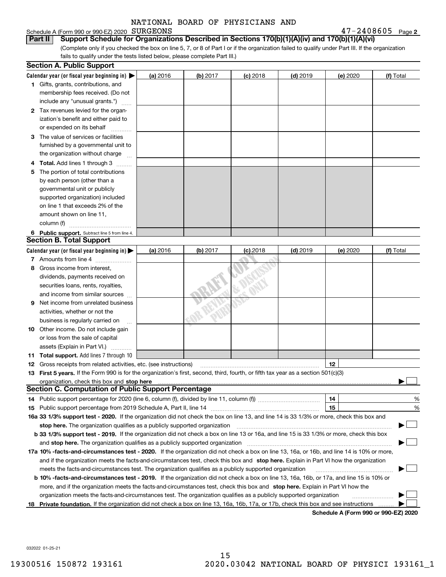## Schedule A (Form 990 or 990-EZ) 2020 SURGEONS

**2**SURGEONS 47-2408605

(Complete only if you checked the box on line 5, 7, or 8 of Part I or if the organization failed to qualify under Part III. If the organization fails to qualify under the tests listed below, please complete Part III.) **Part II Support Schedule for Organizations Described in Sections 170(b)(1)(A)(iv) and 170(b)(1)(A)(vi)**

|    | <b>Section A. Public Support</b>                                                                                                                                                                                                    |          |          |            |            |                                      |           |
|----|-------------------------------------------------------------------------------------------------------------------------------------------------------------------------------------------------------------------------------------|----------|----------|------------|------------|--------------------------------------|-----------|
|    | Calendar year (or fiscal year beginning in) $\blacktriangleright$                                                                                                                                                                   | (a) 2016 | (b) 2017 | $(c)$ 2018 | $(d)$ 2019 | (e) 2020                             | (f) Total |
|    | <b>1</b> Gifts, grants, contributions, and                                                                                                                                                                                          |          |          |            |            |                                      |           |
|    | membership fees received. (Do not                                                                                                                                                                                                   |          |          |            |            |                                      |           |
|    | include any "unusual grants.")                                                                                                                                                                                                      |          |          |            |            |                                      |           |
|    | 2 Tax revenues levied for the organ-                                                                                                                                                                                                |          |          |            |            |                                      |           |
|    | ization's benefit and either paid to                                                                                                                                                                                                |          |          |            |            |                                      |           |
|    | or expended on its behalf                                                                                                                                                                                                           |          |          |            |            |                                      |           |
|    | 3 The value of services or facilities                                                                                                                                                                                               |          |          |            |            |                                      |           |
|    | furnished by a governmental unit to                                                                                                                                                                                                 |          |          |            |            |                                      |           |
|    | the organization without charge                                                                                                                                                                                                     |          |          |            |            |                                      |           |
| 4  | <b>Total.</b> Add lines 1 through 3                                                                                                                                                                                                 |          |          |            |            |                                      |           |
| 5  | The portion of total contributions                                                                                                                                                                                                  |          |          |            |            |                                      |           |
|    | by each person (other than a                                                                                                                                                                                                        |          |          |            |            |                                      |           |
|    | governmental unit or publicly                                                                                                                                                                                                       |          |          |            |            |                                      |           |
|    | supported organization) included                                                                                                                                                                                                    |          |          |            |            |                                      |           |
|    | on line 1 that exceeds 2% of the                                                                                                                                                                                                    |          |          |            |            |                                      |           |
|    | amount shown on line 11,                                                                                                                                                                                                            |          |          |            |            |                                      |           |
|    | column (f)                                                                                                                                                                                                                          |          |          |            |            |                                      |           |
|    | 6 Public support. Subtract line 5 from line 4.                                                                                                                                                                                      |          |          |            |            |                                      |           |
|    | <b>Section B. Total Support</b>                                                                                                                                                                                                     |          |          |            |            |                                      |           |
|    | Calendar year (or fiscal year beginning in) $\blacktriangleright$                                                                                                                                                                   | (a) 2016 | (b) 2017 | $(c)$ 2018 | $(d)$ 2019 | (e) 2020                             | (f) Total |
|    | 7 Amounts from line 4                                                                                                                                                                                                               |          |          |            |            |                                      |           |
| 8  | Gross income from interest,                                                                                                                                                                                                         |          |          |            |            |                                      |           |
|    | dividends, payments received on                                                                                                                                                                                                     |          |          |            |            |                                      |           |
|    | securities loans, rents, royalties,                                                                                                                                                                                                 |          |          |            |            |                                      |           |
|    | and income from similar sources                                                                                                                                                                                                     |          |          |            |            |                                      |           |
| 9  | Net income from unrelated business                                                                                                                                                                                                  |          |          |            |            |                                      |           |
|    | activities, whether or not the                                                                                                                                                                                                      |          |          |            |            |                                      |           |
|    | business is regularly carried on                                                                                                                                                                                                    |          |          |            |            |                                      |           |
|    | <b>10</b> Other income. Do not include gain                                                                                                                                                                                         |          |          |            |            |                                      |           |
|    | or loss from the sale of capital                                                                                                                                                                                                    |          |          |            |            |                                      |           |
|    | assets (Explain in Part VI.)                                                                                                                                                                                                        |          |          |            |            |                                      |           |
|    | 11 Total support. Add lines 7 through 10                                                                                                                                                                                            |          |          |            |            |                                      |           |
|    | <b>12</b> Gross receipts from related activities, etc. (see instructions)                                                                                                                                                           |          |          |            |            | 12                                   |           |
|    | 13 First 5 years. If the Form 990 is for the organization's first, second, third, fourth, or fifth tax year as a section 501(c)(3)                                                                                                  |          |          |            |            |                                      |           |
|    | organization, check this box and <b>stop here</b> with the construction of the construction of the state of the construction of the construction of the construction of the construction of the construction of the construction of |          |          |            |            |                                      |           |
|    | <b>Section C. Computation of Public Support Percentage</b>                                                                                                                                                                          |          |          |            |            |                                      |           |
|    | 14 Public support percentage for 2020 (line 6, column (f), divided by line 11, column (f) <i>marroummaname</i>                                                                                                                      |          |          |            |            | 14                                   | %         |
|    |                                                                                                                                                                                                                                     |          |          |            |            | 15                                   | %         |
|    | 16a 33 1/3% support test - 2020. If the organization did not check the box on line 13, and line 14 is 33 1/3% or more, check this box and                                                                                           |          |          |            |            |                                      |           |
|    | stop here. The organization qualifies as a publicly supported organization                                                                                                                                                          |          |          |            |            |                                      | ▔▁」       |
|    | b 33 1/3% support test - 2019. If the organization did not check a box on line 13 or 16a, and line 15 is 33 1/3% or more, check this box                                                                                            |          |          |            |            |                                      |           |
|    | and stop here. The organization qualifies as a publicly supported organization                                                                                                                                                      |          |          |            |            |                                      |           |
|    | 17a 10% -facts-and-circumstances test - 2020. If the organization did not check a box on line 13, 16a, or 16b, and line 14 is 10% or more,                                                                                          |          |          |            |            |                                      |           |
|    | and if the organization meets the facts-and-circumstances test, check this box and stop here. Explain in Part VI how the organization                                                                                               |          |          |            |            |                                      |           |
|    | meets the facts-and-circumstances test. The organization qualifies as a publicly supported organization                                                                                                                             |          |          |            |            |                                      |           |
|    | <b>b 10% -facts-and-circumstances test - 2019.</b> If the organization did not check a box on line 13, 16a, 16b, or 17a, and line 15 is 10% or                                                                                      |          |          |            |            |                                      |           |
|    | more, and if the organization meets the facts-and-circumstances test, check this box and stop here. Explain in Part VI how the                                                                                                      |          |          |            |            |                                      |           |
|    | organization meets the facts-and-circumstances test. The organization qualifies as a publicly supported organization                                                                                                                |          |          |            |            |                                      |           |
| 18 | Private foundation. If the organization did not check a box on line 13, 16a, 16b, 17a, or 17b, check this box and see instructions                                                                                                  |          |          |            |            |                                      |           |
|    |                                                                                                                                                                                                                                     |          |          |            |            | Schedule A (Form 990 or 990-EZ) 2020 |           |

**Schedule A (Form 990 or 990-EZ) 2020**

032022 01-25-21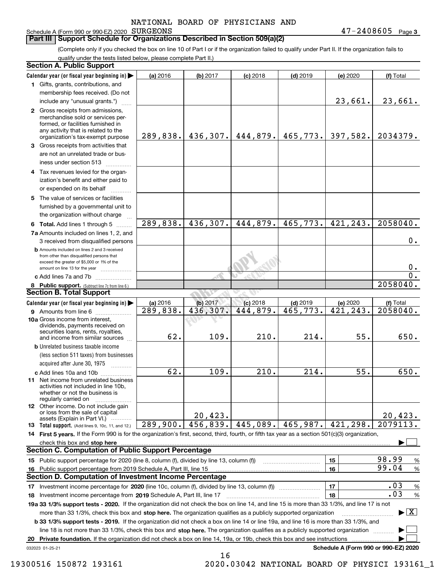## Schedule A (Form 990 or 990-EZ) 2020 SURGEONS

**3** SURGEONS 47-2408605

## **Part III** | Support Schedule for Organizations Described in Section 509(a)(2)

(Complete only if you checked the box on line 10 of Part I or if the organization failed to qualify under Part II. If the organization fails to qualify under the tests listed below, please complete Part II.)

|    | <b>Section A. Public Support</b>                                                                                                                                                                                                    |                   |                  |                            |                  |                                      |                                          |
|----|-------------------------------------------------------------------------------------------------------------------------------------------------------------------------------------------------------------------------------------|-------------------|------------------|----------------------------|------------------|--------------------------------------|------------------------------------------|
|    | Calendar year (or fiscal year beginning in)                                                                                                                                                                                         | (a) 2016          | (b) 2017         | $(c)$ 2018                 | $(d)$ 2019       | (e) 2020                             | (f) Total                                |
|    | 1 Gifts, grants, contributions, and                                                                                                                                                                                                 |                   |                  |                            |                  |                                      |                                          |
|    | membership fees received. (Do not                                                                                                                                                                                                   |                   |                  |                            |                  |                                      |                                          |
|    | include any "unusual grants.")                                                                                                                                                                                                      |                   |                  |                            |                  | 23,661.                              | 23,661.                                  |
|    | 2 Gross receipts from admissions,<br>merchandise sold or services per-<br>formed, or facilities furnished in<br>any activity that is related to the<br>organization's tax-exempt purpose                                            |                   |                  | 289,838. 436,307. 444,879. | 465,773.         | 397,582.                             | 2034379.                                 |
|    | 3 Gross receipts from activities that<br>are not an unrelated trade or bus-<br>iness under section 513                                                                                                                              |                   |                  |                            |                  |                                      |                                          |
|    | 4 Tax revenues levied for the organ-<br>ization's benefit and either paid to<br>or expended on its behalf                                                                                                                           |                   |                  |                            |                  |                                      |                                          |
|    | 5 The value of services or facilities<br>furnished by a governmental unit to<br>the organization without charge                                                                                                                     |                   |                  |                            |                  |                                      |                                          |
|    | 6 Total. Add lines 1 through 5                                                                                                                                                                                                      | 289,838.          | 436, 307.        | 444,879.                   | 465,773.         | 421,243.                             | 2058040.                                 |
|    | 7a Amounts included on lines 1, 2, and<br>3 received from disqualified persons                                                                                                                                                      |                   |                  |                            |                  |                                      | $0$ .                                    |
|    | <b>b</b> Amounts included on lines 2 and 3 received<br>from other than disqualified persons that<br>exceed the greater of \$5,000 or 1% of the<br>amount on line 13 for the year                                                    |                   |                  |                            |                  |                                      | 0.                                       |
|    | c Add lines 7a and 7b                                                                                                                                                                                                               |                   |                  |                            |                  |                                      | $\overline{0}$ .                         |
|    | 8 Public support. (Subtract line 7c from line 6.)                                                                                                                                                                                   |                   |                  |                            |                  |                                      | 2058040.                                 |
|    | <b>Section B. Total Support</b>                                                                                                                                                                                                     |                   |                  |                            |                  |                                      |                                          |
|    | Calendar year (or fiscal year beginning in)                                                                                                                                                                                         | (a) 2016          | (b) 2017         | $(c)$ 2018                 | $(d)$ 2019       | (e) 2020                             | (f) Total                                |
|    | <b>9</b> Amounts from line 6<br>10a Gross income from interest,<br>dividends, payments received on<br>securities loans, rents, royalties,<br>and income from similar sources                                                        | 289,838.<br>62.   | 436,307.<br>109. | 444,879.<br>210.           | 465,773.<br>214. | 421, 243.<br>55.                     | 2058040.<br>650.                         |
|    | <b>b</b> Unrelated business taxable income<br>(less section 511 taxes) from businesses<br>acquired after June 30, 1975                                                                                                              |                   |                  |                            |                  |                                      |                                          |
|    | c Add lines 10a and 10b<br><b>11</b> Net income from unrelated business<br>activities not included in line 10b,<br>whether or not the business is<br>regularly carried on                                                           | $\overline{62}$ . | 109.             | 210.                       | 214.             | 55.                                  | 650.                                     |
|    | <b>12</b> Other income. Do not include gain<br>or loss from the sale of capital<br>assets (Explain in Part VI.)                                                                                                                     |                   | 20,423.          |                            |                  |                                      | 20,423.                                  |
|    | <b>13</b> Total support. (Add lines 9, 10c, 11, and 12.)                                                                                                                                                                            | 289,900.          | 456,839.         | 445,089.                   | 465,987.         | 421,298.                             | $\overline{2}079113.$                    |
|    | 14 First 5 years. If the Form 990 is for the organization's first, second, third, fourth, or fifth tax year as a section 501(c)(3) organization,                                                                                    |                   |                  |                            |                  |                                      |                                          |
|    | check this box and <b>stop here</b> with the construction of the construction of the change of the change of the change of the change of the change of the change of the change of the change of the change of the change of the ch |                   |                  |                            |                  |                                      |                                          |
|    | <b>Section C. Computation of Public Support Percentage</b>                                                                                                                                                                          |                   |                  |                            |                  |                                      |                                          |
|    | 15 Public support percentage for 2020 (line 8, column (f), divided by line 13, column (f))                                                                                                                                          |                   |                  |                            |                  | 15                                   | 98.99<br>$\%$<br>99.04                   |
| 16 | Public support percentage from 2019 Schedule A, Part III, line 15<br><b>Section D. Computation of Investment Income Percentage</b>                                                                                                  |                   |                  |                            |                  | 16                                   | $\%$                                     |
|    |                                                                                                                                                                                                                                     |                   |                  |                            |                  |                                      | .03                                      |
|    | 17 Investment income percentage for 2020 (line 10c, column (f), divided by line 13, column (f))                                                                                                                                     |                   |                  |                            |                  | 17                                   | %<br>.03                                 |
|    | 18 Investment income percentage from 2019 Schedule A, Part III, line 17<br>19a 33 1/3% support tests - 2020. If the organization did not check the box on line 14, and line 15 is more than 33 1/3%, and line 17 is not             |                   |                  |                            |                  | 18                                   | $\%$                                     |
|    | more than 33 1/3%, check this box and stop here. The organization qualifies as a publicly supported organization                                                                                                                    |                   |                  |                            |                  |                                      | $\blacktriangleright$ $\boxed{\text{X}}$ |
|    | <b>b 33 1/3% support tests - 2019.</b> If the organization did not check a box on line 14 or line 19a, and line 16 is more than 33 1/3%, and                                                                                        |                   |                  |                            |                  |                                      |                                          |
|    | line 18 is not more than 33 1/3%, check this box and stop here. The organization qualifies as a publicly supported organization                                                                                                     |                   |                  |                            |                  |                                      |                                          |
| 20 | Private foundation. If the organization did not check a box on line 14, 19a, or 19b, check this box and see instructions<br>032023 01-25-21                                                                                         |                   |                  |                            |                  | Schedule A (Form 990 or 990-EZ) 2020 |                                          |
|    |                                                                                                                                                                                                                                     |                   |                  |                            |                  |                                      |                                          |

16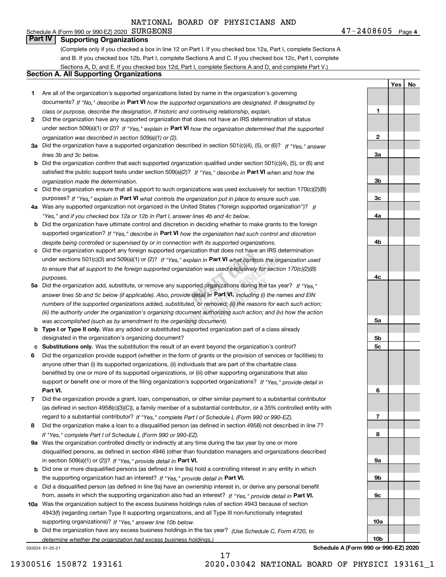## Schedule A (Form 990 or 990-EZ) 2020 SURGEONS **Part IV Supporting Organizations**

**4**SURGEONS 47-2408605

**1**

**2**

**3a**

**3b**

**3c**

**4a**

**4b**

**4c**

**5a**

**5b5c**

**6**

**7**

**8**

**9a**

**9b**

**9c**

**10a**

**10b**

**Yes No**

## (Complete only if you checked a box in line 12 on Part I. If you checked box 12a, Part I, complete Sections A and B. If you checked box 12b, Part I, complete Sections A and C. If you checked box 12c, Part I, complete Sections A, D, and E. If you checked box 12d, Part I, complete Sections A and D, and complete Part V.)

## **Section A. All Supporting Organizations**

- **1** Are all of the organization's supported organizations listed by name in the organization's governing documents? If "No," describe in **Part VI** how the supported organizations are designated. If designated by *class or purpose, describe the designation. If historic and continuing relationship, explain.*
- **2** Did the organization have any supported organization that does not have an IRS determination of status under section 509(a)(1) or (2)? If "Yes," explain in Part VI how the organization determined that the supported *organization was described in section 509(a)(1) or (2).*
- **3a** Did the organization have a supported organization described in section 501(c)(4), (5), or (6)? If "Yes," answer *lines 3b and 3c below.*
- **b** Did the organization confirm that each supported organization qualified under section 501(c)(4), (5), or (6) and satisfied the public support tests under section 509(a)(2)? If "Yes," describe in **Part VI** when and how the *organization made the determination.*
- **c**Did the organization ensure that all support to such organizations was used exclusively for section 170(c)(2)(B) purposes? If "Yes," explain in **Part VI** what controls the organization put in place to ensure such use.
- **4a***If* Was any supported organization not organized in the United States ("foreign supported organization")? *"Yes," and if you checked box 12a or 12b in Part I, answer lines 4b and 4c below.*
- **b** Did the organization have ultimate control and discretion in deciding whether to make grants to the foreign supported organization? If "Yes," describe in **Part VI** how the organization had such control and discretion *despite being controlled or supervised by or in connection with its supported organizations.*
- For cristic that all support to the foreign supported organization was used exercisively for section 17 or  $\sigma$ <sub>/(e/(e/)</sub><br> **5a** Did the organization add, substitute, or remove any supported organizations during the tax yea **c** Did the organization support any foreign supported organization that does not have an IRS determination under sections 501(c)(3) and 509(a)(1) or (2)? If "Yes," explain in **Part VI** what controls the organization used *to ensure that all support to the foreign supported organization was used exclusively for section 170(c)(2)(B) purposes.*
- n **Part VI,** including (i) the<br>moved; (ii) the reasons fo.<br>thorizing such action: anc answer lines 5b and 5c below (if applicable). Also, provide detail in **Part VI,** including (i) the names and EIN *numbers of the supported organizations added, substituted, or removed; (ii) the reasons for each such action; (iii) the authority under the organization's organizing document authorizing such action; and (iv) how the action was accomplished (such as by amendment to the organizing document).*
- **b** Type I or Type II only. Was any added or substituted supported organization part of a class already designated in the organization's organizing document?
- **cSubstitutions only.**  Was the substitution the result of an event beyond the organization's control?
- **6** Did the organization provide support (whether in the form of grants or the provision of services or facilities) to **Part VI.** *If "Yes," provide detail in* support or benefit one or more of the filing organization's supported organizations? anyone other than (i) its supported organizations, (ii) individuals that are part of the charitable class benefited by one or more of its supported organizations, or (iii) other supporting organizations that also
- **7**Did the organization provide a grant, loan, compensation, or other similar payment to a substantial contributor *If "Yes," complete Part I of Schedule L (Form 990 or 990-EZ).* regard to a substantial contributor? (as defined in section 4958(c)(3)(C)), a family member of a substantial contributor, or a 35% controlled entity with
- **8** Did the organization make a loan to a disqualified person (as defined in section 4958) not described in line 7? *If "Yes," complete Part I of Schedule L (Form 990 or 990-EZ).*
- **9a** Was the organization controlled directly or indirectly at any time during the tax year by one or more in section 509(a)(1) or (2))? If "Yes," *provide detail in* <code>Part VI.</code> disqualified persons, as defined in section 4946 (other than foundation managers and organizations described
- **b** Did one or more disqualified persons (as defined in line 9a) hold a controlling interest in any entity in which the supporting organization had an interest? If "Yes," provide detail in P**art VI**.
- **c**Did a disqualified person (as defined in line 9a) have an ownership interest in, or derive any personal benefit from, assets in which the supporting organization also had an interest? If "Yes," provide detail in P**art VI.**
- **10a** Was the organization subject to the excess business holdings rules of section 4943 because of section supporting organizations)? If "Yes," answer line 10b below. 4943(f) (regarding certain Type II supporting organizations, and all Type III non-functionally integrated
- **b** Did the organization have any excess business holdings in the tax year? (Use Schedule C, Form 4720, to *determine whether the organization had excess business holdings.)*

17

032024 01-25-21

**Schedule A (Form 990 or 990-EZ) 2020**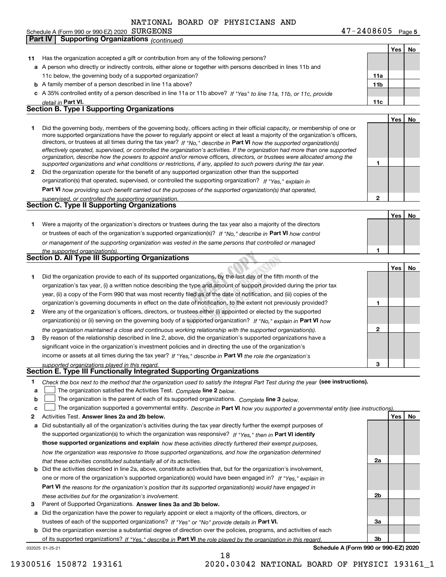Schedule A (Form 990 or 990-EZ) 2020  $\texttt{SURGEDNS}$ **Part IV Supporting Organizations** *(continued)*

| 11           | Has the organization accepted a gift or contribution from any of the following persons?                                                                                                                                                                                                                                                                                                                                                                                                                                                                                                                                                              |                 |            |    |
|--------------|------------------------------------------------------------------------------------------------------------------------------------------------------------------------------------------------------------------------------------------------------------------------------------------------------------------------------------------------------------------------------------------------------------------------------------------------------------------------------------------------------------------------------------------------------------------------------------------------------------------------------------------------------|-----------------|------------|----|
|              | a A person who directly or indirectly controls, either alone or together with persons described in lines 11b and                                                                                                                                                                                                                                                                                                                                                                                                                                                                                                                                     |                 |            |    |
|              | 11c below, the governing body of a supported organization?                                                                                                                                                                                                                                                                                                                                                                                                                                                                                                                                                                                           | 11a             |            |    |
|              | <b>b</b> A family member of a person described in line 11a above?                                                                                                                                                                                                                                                                                                                                                                                                                                                                                                                                                                                    | 11 <sub>b</sub> |            |    |
| c            | A 35% controlled entity of a person described in line 11a or 11b above? If "Yes" to line 11a, 11b, or 11c, provide                                                                                                                                                                                                                                                                                                                                                                                                                                                                                                                                   |                 |            |    |
|              | detail in Part VI.                                                                                                                                                                                                                                                                                                                                                                                                                                                                                                                                                                                                                                   | 11c             |            |    |
|              | <b>Section B. Type I Supporting Organizations</b>                                                                                                                                                                                                                                                                                                                                                                                                                                                                                                                                                                                                    |                 |            |    |
|              |                                                                                                                                                                                                                                                                                                                                                                                                                                                                                                                                                                                                                                                      |                 | <b>Yes</b> | No |
| 1            | Did the governing body, members of the governing body, officers acting in their official capacity, or membership of one or<br>more supported organizations have the power to regularly appoint or elect at least a majority of the organization's officers,<br>directors, or trustees at all times during the tax year? If "No," describe in Part VI how the supported organization(s)<br>effectively operated, supervised, or controlled the organization's activities. If the organization had more than one supported<br>organization, describe how the powers to appoint and/or remove officers, directors, or trustees were allocated among the | 1               |            |    |
| $\mathbf{2}$ | supported organizations and what conditions or restrictions, if any, applied to such powers during the tax year.<br>Did the organization operate for the benefit of any supported organization other than the supported                                                                                                                                                                                                                                                                                                                                                                                                                              |                 |            |    |
|              | organization(s) that operated, supervised, or controlled the supporting organization? If "Yes," explain in                                                                                                                                                                                                                                                                                                                                                                                                                                                                                                                                           |                 |            |    |
|              |                                                                                                                                                                                                                                                                                                                                                                                                                                                                                                                                                                                                                                                      |                 |            |    |
|              | Part VI how providing such benefit carried out the purposes of the supported organization(s) that operated,                                                                                                                                                                                                                                                                                                                                                                                                                                                                                                                                          | 2               |            |    |
|              | supervised, or controlled the supporting organization.<br>Section C. Type II Supporting Organizations                                                                                                                                                                                                                                                                                                                                                                                                                                                                                                                                                |                 |            |    |
|              |                                                                                                                                                                                                                                                                                                                                                                                                                                                                                                                                                                                                                                                      |                 | Yes        | No |
| 1.           | Were a majority of the organization's directors or trustees during the tax year also a majority of the directors                                                                                                                                                                                                                                                                                                                                                                                                                                                                                                                                     |                 |            |    |
|              | or trustees of each of the organization's supported organization(s)? If "No," describe in Part VI how control                                                                                                                                                                                                                                                                                                                                                                                                                                                                                                                                        |                 |            |    |
|              | or management of the supporting organization was vested in the same persons that controlled or managed                                                                                                                                                                                                                                                                                                                                                                                                                                                                                                                                               |                 |            |    |
|              | the supported organization(s).                                                                                                                                                                                                                                                                                                                                                                                                                                                                                                                                                                                                                       | 1               |            |    |
|              | Section D. All Type III Supporting Organizations                                                                                                                                                                                                                                                                                                                                                                                                                                                                                                                                                                                                     |                 |            |    |
|              |                                                                                                                                                                                                                                                                                                                                                                                                                                                                                                                                                                                                                                                      |                 | Yes        | No |
| 1            | Did the organization provide to each of its supported organizations, by the last day of the fifth month of the                                                                                                                                                                                                                                                                                                                                                                                                                                                                                                                                       |                 |            |    |
|              | organization's tax year, (i) a written notice describing the type and amount of support provided during the prior tax                                                                                                                                                                                                                                                                                                                                                                                                                                                                                                                                |                 |            |    |
|              | year, (ii) a copy of the Form 990 that was most recently filed as of the date of notification, and (iii) copies of the                                                                                                                                                                                                                                                                                                                                                                                                                                                                                                                               |                 |            |    |
|              | organization's governing documents in effect on the date of notification, to the extent not previously provided?                                                                                                                                                                                                                                                                                                                                                                                                                                                                                                                                     | 1               |            |    |
| $\mathbf{2}$ | Were any of the organization's officers, directors, or trustees either (i) appointed or elected by the supported                                                                                                                                                                                                                                                                                                                                                                                                                                                                                                                                     |                 |            |    |
|              | organization(s) or (ii) serving on the governing body of a supported organization? If "No." explain in Part VI how                                                                                                                                                                                                                                                                                                                                                                                                                                                                                                                                   |                 |            |    |
|              | the organization maintained a close and continuous working relationship with the supported organization(s).                                                                                                                                                                                                                                                                                                                                                                                                                                                                                                                                          | $\overline{2}$  |            |    |
| 3            | By reason of the relationship described in line 2, above, did the organization's supported organizations have a                                                                                                                                                                                                                                                                                                                                                                                                                                                                                                                                      |                 |            |    |
|              | significant voice in the organization's investment policies and in directing the use of the organization's                                                                                                                                                                                                                                                                                                                                                                                                                                                                                                                                           |                 |            |    |
|              | income or assets at all times during the tax year? If "Yes," describe in Part VI the role the organization's                                                                                                                                                                                                                                                                                                                                                                                                                                                                                                                                         |                 |            |    |
|              | supported organizations played in this regard.                                                                                                                                                                                                                                                                                                                                                                                                                                                                                                                                                                                                       | 3               |            |    |
|              | Section E. Type III Functionally Integrated Supporting Organizations                                                                                                                                                                                                                                                                                                                                                                                                                                                                                                                                                                                 |                 |            |    |
| 1            | Check the box next to the method that the organization used to satisfy the Integral Part Test during the year (see instructions).                                                                                                                                                                                                                                                                                                                                                                                                                                                                                                                    |                 |            |    |
| a            | The organization satisfied the Activities Test. Complete line 2 below.                                                                                                                                                                                                                                                                                                                                                                                                                                                                                                                                                                               |                 |            |    |
| þ            | The organization is the parent of each of its supported organizations. Complete line 3 below.                                                                                                                                                                                                                                                                                                                                                                                                                                                                                                                                                        |                 |            |    |
| c            | The organization supported a governmental entity. Describe in Part VI how you supported a governmental entity (see instructions).                                                                                                                                                                                                                                                                                                                                                                                                                                                                                                                    |                 |            |    |

- **2**Activities Test. Answer lines 2a and 2b below.
- **Answer lines 2a and 2b below. Yes No** Did substantially all of the organization's activities during the tax year directly further the exempt purposes of **ab** Did the activities described in line 2a, above, constitute activities that, but for the organization's involvement, the supported organization(s) to which the organization was responsive? If "Yes," then in **Part VI identify those supported organizations and explain**  *how these activities directly furthered their exempt purposes, how the organization was responsive to those supported organizations, and how the organization determined that these activities constituted substantially all of its activities.*
- **Part VI**  *the reasons for the organization's position that its supported organization(s) would have engaged in* one or more of the organization's supported organization(s) would have been engaged in? If "Yes," e*xplain in these activities but for the organization's involvement.*
- **3**Parent of Supported Organizations. Answer lines 3a and 3b below.

**a**trustees of each of the supported organizations? If "Yes" or "No" provide details in P**art VI.** Did the organization have the power to regularly appoint or elect a majority of the officers, directors, or

032025 01-25-21 **bPart VI**  *If "Yes," describe in the role played by the organization in this regard.* of its supported organizations? Did the organization exercise a substantial degree of direction over the policies, programs, and activities of each

**Schedule A (Form 990 or 990-EZ) 2020**

**2a**

**2b**

**3a**

**3b**

**5**SURGEONS 47-2408605

**Yes No**

19300516 150872 193161 2020.03042 NATIONAL BOARD OF PHYSICI 193161\_1

18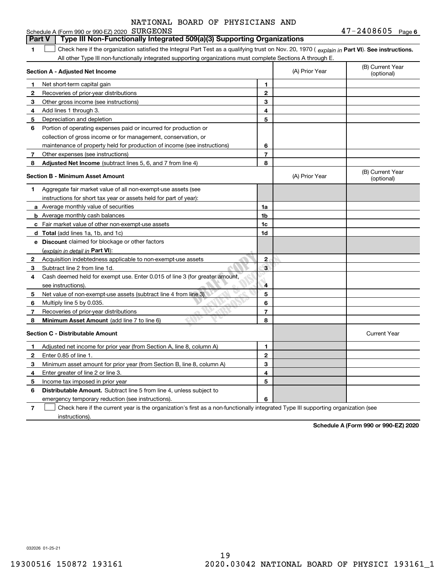|              | Schedule A (Form 990 or 990-EZ) 2020 SURGEONS                                                                                                  |                |                                | $47 - 2408605$ Page 6          |
|--------------|------------------------------------------------------------------------------------------------------------------------------------------------|----------------|--------------------------------|--------------------------------|
|              | Type III Non-Functionally Integrated 509(a)(3) Supporting Organizations<br><b>Part V</b>                                                       |                |                                |                                |
| 1            | Check here if the organization satisfied the Integral Part Test as a qualifying trust on Nov. 20, 1970 (explain in Part VI). See instructions. |                |                                |                                |
|              | All other Type III non-functionally integrated supporting organizations must complete Sections A through E.                                    |                |                                |                                |
|              | Section A - Adjusted Net Income                                                                                                                | (A) Prior Year | (B) Current Year<br>(optional) |                                |
| 1            | Net short-term capital gain                                                                                                                    | 1              |                                |                                |
| 2            | Recoveries of prior-year distributions                                                                                                         | $\overline{2}$ |                                |                                |
| З            | Other gross income (see instructions)                                                                                                          | 3              |                                |                                |
| 4            | Add lines 1 through 3.                                                                                                                         | 4              |                                |                                |
| 5            | Depreciation and depletion                                                                                                                     | 5              |                                |                                |
| 6            | Portion of operating expenses paid or incurred for production or                                                                               |                |                                |                                |
|              | collection of gross income or for management, conservation, or                                                                                 |                |                                |                                |
|              | maintenance of property held for production of income (see instructions)                                                                       | 6              |                                |                                |
| 7            | Other expenses (see instructions)                                                                                                              | 7              |                                |                                |
| 8            | Adjusted Net Income (subtract lines 5, 6, and 7 from line 4)                                                                                   | 8              |                                |                                |
|              | <b>Section B - Minimum Asset Amount</b>                                                                                                        |                | (A) Prior Year                 | (B) Current Year<br>(optional) |
| 1            | Aggregate fair market value of all non-exempt-use assets (see                                                                                  |                |                                |                                |
|              | instructions for short tax year or assets held for part of year):                                                                              |                |                                |                                |
|              | a Average monthly value of securities                                                                                                          | 1a             |                                |                                |
|              | <b>b</b> Average monthly cash balances                                                                                                         | 1b             |                                |                                |
|              | <b>c</b> Fair market value of other non-exempt-use assets                                                                                      | 1c             |                                |                                |
|              | d Total (add lines 1a, 1b, and 1c)                                                                                                             | 1d             |                                |                                |
|              | e Discount claimed for blockage or other factors                                                                                               |                |                                |                                |
|              | (explain in detail in Part VI):                                                                                                                |                |                                |                                |
| $\mathbf{2}$ | Acquisition indebtedness applicable to non-exempt-use assets                                                                                   | $\mathbf{2}$   |                                |                                |
| З            | Subtract line 2 from line 1d.                                                                                                                  | 3              |                                |                                |
| 4            | Cash deemed held for exempt use. Enter 0.015 of line 3 (for greater amount,                                                                    |                |                                |                                |
|              | see instructions).                                                                                                                             | 4              |                                |                                |
| 5            | Net value of non-exempt-use assets (subtract line 4 from line 3)                                                                               | 5              |                                |                                |
| 6            | Multiply line 5 by 0.035.                                                                                                                      | 6              |                                |                                |
| 7            | Recoveries of prior-year distributions                                                                                                         | $\overline{7}$ |                                |                                |
| 8            | <b>Minimum Asset Amount</b> (add line 7 to line 6)                                                                                             | 8              |                                |                                |
|              | <b>Section C - Distributable Amount</b>                                                                                                        |                |                                | <b>Current Year</b>            |
| 1            | Adjusted net income for prior year (from Section A, line 8, column A)                                                                          | 1              |                                |                                |
| $\mathbf{2}$ | Enter 0.85 of line 1.                                                                                                                          | $\overline{2}$ |                                |                                |
| 3            | Minimum asset amount for prior year (from Section B, line 8, column A)                                                                         | 3              |                                |                                |
| 4            | Enter greater of line 2 or line 3.                                                                                                             | 4              |                                |                                |
| 5            | Income tax imposed in prior year                                                                                                               | 5              |                                |                                |
| 6            | <b>Distributable Amount.</b> Subtract line 5 from line 4, unless subject to                                                                    |                |                                |                                |
|              | emergency temporary reduction (see instructions).                                                                                              | 6              |                                |                                |

**7**Check here if the current year is the organization's first as a non-functionally integrated Type III supporting organization (see instructions).

**Schedule A (Form 990 or 990-EZ) 2020**

032026 01-25-21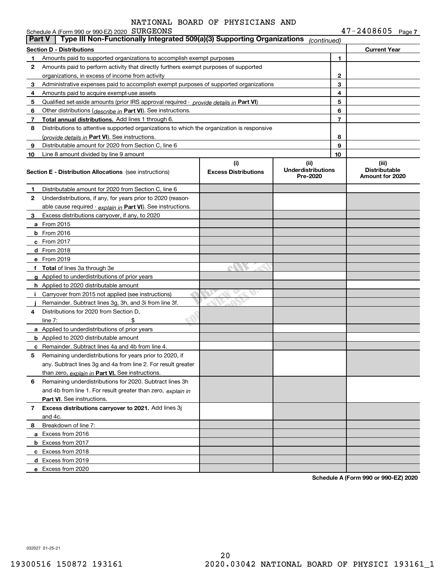Schedule A (Form 990 or 990-EZ) 2020 SURGEONS

**7** SURGEONS 47-2408605

| <b>Part V</b> | Type III Non-Functionally Integrated 509(a)(3) Supporting Organizations                                                   |                                    | (continued)                                    |                |                                                  |
|---------------|---------------------------------------------------------------------------------------------------------------------------|------------------------------------|------------------------------------------------|----------------|--------------------------------------------------|
|               | <b>Section D - Distributions</b>                                                                                          |                                    |                                                |                | <b>Current Year</b>                              |
|               | Amounts paid to supported organizations to accomplish exempt purposes                                                     |                                    | 1                                              |                |                                                  |
| 2             | Amounts paid to perform activity that directly furthers exempt purposes of supported                                      |                                    |                                                |                |                                                  |
|               | organizations, in excess of income from activity                                                                          |                                    |                                                | 2              |                                                  |
| з             | Administrative expenses paid to accomplish exempt purposes of supported organizations                                     |                                    |                                                | 3              |                                                  |
| 4             | Amounts paid to acquire exempt-use assets                                                                                 |                                    |                                                | 4              |                                                  |
| 5             | Qualified set-aside amounts (prior IRS approval required - provide details in Part VI)                                    |                                    |                                                | 5              |                                                  |
| 6             | Other distributions ( <i>describe in</i> Part VI). See instructions.                                                      |                                    |                                                | 6              |                                                  |
| 7             | Total annual distributions. Add lines 1 through 6.                                                                        |                                    |                                                | $\overline{7}$ |                                                  |
| 8             | Distributions to attentive supported organizations to which the organization is responsive                                |                                    |                                                |                |                                                  |
|               | (provide details in <b>Part VI</b> ). See instructions.                                                                   |                                    |                                                | 8              |                                                  |
| 9             | Distributable amount for 2020 from Section C, line 6                                                                      |                                    |                                                | 9              |                                                  |
| 10            | Line 8 amount divided by line 9 amount                                                                                    |                                    |                                                | 10             |                                                  |
|               | <b>Section E - Distribution Allocations</b> (see instructions)                                                            | (i)<br><b>Excess Distributions</b> | (iii)<br><b>Underdistributions</b><br>Pre-2020 |                | (iii)<br><b>Distributable</b><br>Amount for 2020 |
| 1             | Distributable amount for 2020 from Section C, line 6                                                                      |                                    |                                                |                |                                                  |
| 2             | Underdistributions, if any, for years prior to 2020 (reason-                                                              |                                    |                                                |                |                                                  |
|               | able cause required - explain in Part VI). See instructions.                                                              |                                    |                                                |                |                                                  |
| з             | Excess distributions carryover, if any, to 2020                                                                           |                                    |                                                |                |                                                  |
|               | <b>a</b> From 2015                                                                                                        |                                    |                                                |                |                                                  |
|               | <b>b</b> From $2016$                                                                                                      |                                    |                                                |                |                                                  |
|               | $c$ From 2017                                                                                                             |                                    |                                                |                |                                                  |
|               | <b>d</b> From 2018                                                                                                        |                                    |                                                |                |                                                  |
|               | e From 2019                                                                                                               |                                    |                                                |                |                                                  |
|               | f Total of lines 3a through 3e                                                                                            |                                    |                                                |                |                                                  |
|               | <b>g</b> Applied to underdistributions of prior years                                                                     |                                    |                                                |                |                                                  |
|               | <b>h</b> Applied to 2020 distributable amount                                                                             |                                    |                                                |                |                                                  |
|               | Carryover from 2015 not applied (see instructions)                                                                        |                                    |                                                |                |                                                  |
|               | Remainder. Subtract lines 3g, 3h, and 3i from line 3f.                                                                    |                                    |                                                |                |                                                  |
| 4             | Distributions for 2020 from Section D,                                                                                    |                                    |                                                |                |                                                  |
|               | line $7:$                                                                                                                 |                                    |                                                |                |                                                  |
|               | <b>a</b> Applied to underdistributions of prior years                                                                     |                                    |                                                |                |                                                  |
|               | <b>b</b> Applied to 2020 distributable amount                                                                             |                                    |                                                |                |                                                  |
| с             | Remainder. Subtract lines 4a and 4b from line 4.                                                                          |                                    |                                                |                |                                                  |
| 5             | Remaining underdistributions for years prior to 2020, if<br>any. Subtract lines 3g and 4a from line 2. For result greater |                                    |                                                |                |                                                  |
|               |                                                                                                                           |                                    |                                                |                |                                                  |
| 6             | than zero, explain in Part VI. See instructions.<br>Remaining underdistributions for 2020. Subtract lines 3h              |                                    |                                                |                |                                                  |
|               | and 4b from line 1. For result greater than zero, explain in                                                              |                                    |                                                |                |                                                  |
|               | Part VI. See instructions.                                                                                                |                                    |                                                |                |                                                  |
| 7             | Excess distributions carryover to 2021. Add lines 3j                                                                      |                                    |                                                |                |                                                  |
|               | and 4c.                                                                                                                   |                                    |                                                |                |                                                  |
| 8             | Breakdown of line 7:                                                                                                      |                                    |                                                |                |                                                  |
|               | a Excess from 2016                                                                                                        |                                    |                                                |                |                                                  |
|               | <b>b</b> Excess from 2017                                                                                                 |                                    |                                                |                |                                                  |
|               | c Excess from 2018                                                                                                        |                                    |                                                |                |                                                  |
|               | d Excess from 2019                                                                                                        |                                    |                                                |                |                                                  |
|               | e Excess from 2020                                                                                                        |                                    |                                                |                |                                                  |
|               |                                                                                                                           |                                    |                                                |                |                                                  |

**Schedule A (Form 990 or 990-EZ) 2020**

032027 01-25-21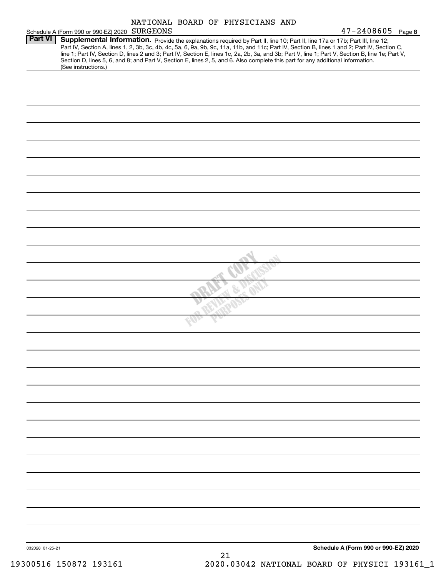|                |                                                                                                                                                                                                         |  | NATIONAL BOARD OF PHYSICIANS AND | $47 - 2408605$ Page 8                                                                                                                                                                                                                                                                                                                                                                                                             |
|----------------|---------------------------------------------------------------------------------------------------------------------------------------------------------------------------------------------------------|--|----------------------------------|-----------------------------------------------------------------------------------------------------------------------------------------------------------------------------------------------------------------------------------------------------------------------------------------------------------------------------------------------------------------------------------------------------------------------------------|
| <b>Part VI</b> | Schedule A (Form 990 or 990-EZ) 2020 SURGEONS<br>Section D, lines 5, 6, and 8; and Part V, Section E, lines 2, 5, and 6. Also complete this part for any additional information.<br>(See instructions.) |  |                                  | Supplemental Information. Provide the explanations required by Part II, line 10; Part II, line 17a or 17b; Part III, line 12;<br>Part IV, Section A, lines 1, 2, 3b, 3c, 4b, 4c, 5a, 6, 9a, 9b, 9c, 11a, 11b, and 11c; Part IV, Section B, lines 1 and 2; Part IV, Section C,<br>line 1; Part IV, Section D, lines 2 and 3; Part IV, Section E, lines 1c, 2a, 2b, 3a, and 3b; Part V, line 1; Part V, Section B, line 1e; Part V, |
|                |                                                                                                                                                                                                         |  |                                  |                                                                                                                                                                                                                                                                                                                                                                                                                                   |
|                |                                                                                                                                                                                                         |  |                                  |                                                                                                                                                                                                                                                                                                                                                                                                                                   |
|                |                                                                                                                                                                                                         |  |                                  |                                                                                                                                                                                                                                                                                                                                                                                                                                   |
|                |                                                                                                                                                                                                         |  |                                  |                                                                                                                                                                                                                                                                                                                                                                                                                                   |
|                |                                                                                                                                                                                                         |  |                                  |                                                                                                                                                                                                                                                                                                                                                                                                                                   |
|                |                                                                                                                                                                                                         |  |                                  |                                                                                                                                                                                                                                                                                                                                                                                                                                   |
|                |                                                                                                                                                                                                         |  |                                  |                                                                                                                                                                                                                                                                                                                                                                                                                                   |
|                |                                                                                                                                                                                                         |  |                                  |                                                                                                                                                                                                                                                                                                                                                                                                                                   |
|                |                                                                                                                                                                                                         |  |                                  |                                                                                                                                                                                                                                                                                                                                                                                                                                   |
|                |                                                                                                                                                                                                         |  |                                  |                                                                                                                                                                                                                                                                                                                                                                                                                                   |
|                |                                                                                                                                                                                                         |  |                                  |                                                                                                                                                                                                                                                                                                                                                                                                                                   |
|                |                                                                                                                                                                                                         |  |                                  |                                                                                                                                                                                                                                                                                                                                                                                                                                   |
|                |                                                                                                                                                                                                         |  |                                  |                                                                                                                                                                                                                                                                                                                                                                                                                                   |
|                |                                                                                                                                                                                                         |  |                                  |                                                                                                                                                                                                                                                                                                                                                                                                                                   |
|                |                                                                                                                                                                                                         |  |                                  |                                                                                                                                                                                                                                                                                                                                                                                                                                   |
|                |                                                                                                                                                                                                         |  |                                  |                                                                                                                                                                                                                                                                                                                                                                                                                                   |
|                |                                                                                                                                                                                                         |  |                                  |                                                                                                                                                                                                                                                                                                                                                                                                                                   |
|                |                                                                                                                                                                                                         |  |                                  |                                                                                                                                                                                                                                                                                                                                                                                                                                   |
|                |                                                                                                                                                                                                         |  |                                  |                                                                                                                                                                                                                                                                                                                                                                                                                                   |
|                |                                                                                                                                                                                                         |  |                                  |                                                                                                                                                                                                                                                                                                                                                                                                                                   |
|                |                                                                                                                                                                                                         |  |                                  |                                                                                                                                                                                                                                                                                                                                                                                                                                   |
|                |                                                                                                                                                                                                         |  |                                  |                                                                                                                                                                                                                                                                                                                                                                                                                                   |
|                |                                                                                                                                                                                                         |  |                                  |                                                                                                                                                                                                                                                                                                                                                                                                                                   |
|                |                                                                                                                                                                                                         |  |                                  |                                                                                                                                                                                                                                                                                                                                                                                                                                   |
|                |                                                                                                                                                                                                         |  |                                  |                                                                                                                                                                                                                                                                                                                                                                                                                                   |
|                |                                                                                                                                                                                                         |  |                                  |                                                                                                                                                                                                                                                                                                                                                                                                                                   |
|                |                                                                                                                                                                                                         |  |                                  |                                                                                                                                                                                                                                                                                                                                                                                                                                   |
|                |                                                                                                                                                                                                         |  |                                  |                                                                                                                                                                                                                                                                                                                                                                                                                                   |
|                |                                                                                                                                                                                                         |  |                                  |                                                                                                                                                                                                                                                                                                                                                                                                                                   |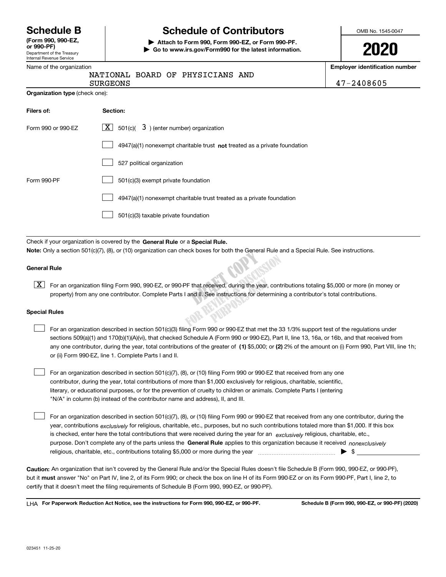Department of the Treasury Internal Revenue Service **(Form 990, 990-EZ, or 990-PF)**

## **Schedule B Schedule of Contributors**

**| Attach to Form 990, Form 990-EZ, or Form 990-PF. | Go to www.irs.gov/Form990 for the latest information.** OMB No. 1545-0047

| L | ſ | s<br>۱ |  |
|---|---|--------|--|
|   |   |        |  |

**Employer identification number**

| $\alpha$ . The contract of the contract of $\alpha$ | Employer Remandation number                                                                                                                                                                                                                                                      |            |  |  |  |
|-----------------------------------------------------|----------------------------------------------------------------------------------------------------------------------------------------------------------------------------------------------------------------------------------------------------------------------------------|------------|--|--|--|
|                                                     | NATIONAL BOARD OF PHYSICIANS AND<br><b>SURGEONS</b>                                                                                                                                                                                                                              | 47-2408605 |  |  |  |
| Organization type (check one):                      |                                                                                                                                                                                                                                                                                  |            |  |  |  |
| Filers of:                                          | Section:                                                                                                                                                                                                                                                                         |            |  |  |  |
| Form 990 or 990-EZ                                  | $\boxed{\mathbf{X}}$ 501(c)( 3) (enter number) organization                                                                                                                                                                                                                      |            |  |  |  |
|                                                     | $4947(a)(1)$ nonexempt charitable trust not treated as a private foundation                                                                                                                                                                                                      |            |  |  |  |
|                                                     | 527 political organization                                                                                                                                                                                                                                                       |            |  |  |  |
| Form 990-PF                                         | 501(c)(3) exempt private foundation                                                                                                                                                                                                                                              |            |  |  |  |
|                                                     | 4947(a)(1) nonexempt charitable trust treated as a private foundation                                                                                                                                                                                                            |            |  |  |  |
|                                                     | 501(c)(3) taxable private foundation                                                                                                                                                                                                                                             |            |  |  |  |
|                                                     |                                                                                                                                                                                                                                                                                  |            |  |  |  |
|                                                     | Check if your organization is covered by the General Rule or a Special Rule.                                                                                                                                                                                                     |            |  |  |  |
|                                                     | Note: Only a section 501(c)(7), (8), or (10) organization can check boxes for both the General Rule and a Special Rule. See instructions.                                                                                                                                        |            |  |  |  |
| <b>General Rule</b>                                 |                                                                                                                                                                                                                                                                                  |            |  |  |  |
| X                                                   | For an organization filing Form 990, 990-EZ, or 990-PF that received, during the year, contributions totaling \$5,000 or more (in money or<br>property) from any one contributor. Complete Parts I and II. See instructions for determining a contributor's total contributions. |            |  |  |  |
| <b>Special Rules</b>                                |                                                                                                                                                                                                                                                                                  |            |  |  |  |

### **Special Rules**

| For an organization described in section 501(c)(3) filing Form 990 or 990-EZ that met the 33 1/3% support test of the regulations under               |
|-------------------------------------------------------------------------------------------------------------------------------------------------------|
| sections 509(a)(1) and 170(b)(1)(A)(vi), that checked Schedule A (Form 990 or 990-EZ), Part II, line 13, 16a, or 16b, and that received from          |
| any one contributor, during the year, total contributions of the greater of (1) \$5,000; or (2) 2% of the amount on (i) Form 990, Part VIII, line 1h; |
| or (ii) Form 990-EZ, line 1. Complete Parts I and II.                                                                                                 |

For an organization described in section 501(c)(7), (8), or (10) filing Form 990 or 990-EZ that received from any one contributor, during the year, total contributions of more than \$1,000 exclusively for religious, charitable, scientific, literary, or educational purposes, or for the prevention of cruelty to children or animals. Complete Parts I (entering "N/A" in column (b) instead of the contributor name and address), II, and III.

purpose. Don't complete any of the parts unless the **General Rule** applies to this organization because it received *nonexclusively* year, contributions <sub>exclusively</sub> for religious, charitable, etc., purposes, but no such contributions totaled more than \$1,000. If this box is checked, enter here the total contributions that were received during the year for an  $\;$ exclusively religious, charitable, etc., For an organization described in section 501(c)(7), (8), or (10) filing Form 990 or 990-EZ that received from any one contributor, during the religious, charitable, etc., contributions totaling \$5,000 or more during the year  $\Box$ — $\Box$   $\Box$  $\mathcal{L}^{\text{max}}$ 

**Caution:**  An organization that isn't covered by the General Rule and/or the Special Rules doesn't file Schedule B (Form 990, 990-EZ, or 990-PF), but it **must** answer "No" on Part IV, line 2, of its Form 990; or check the box on line H of its Form 990-EZ or on its Form 990-PF, Part I, line 2, to<br>cortify that it doesn't meet the filipe requirements of Schodule B (Fer certify that it doesn't meet the filing requirements of Schedule B (Form 990, 990-EZ, or 990-PF).

**For Paperwork Reduction Act Notice, see the instructions for Form 990, 990-EZ, or 990-PF. Schedule B (Form 990, 990-EZ, or 990-PF) (2020)** LHA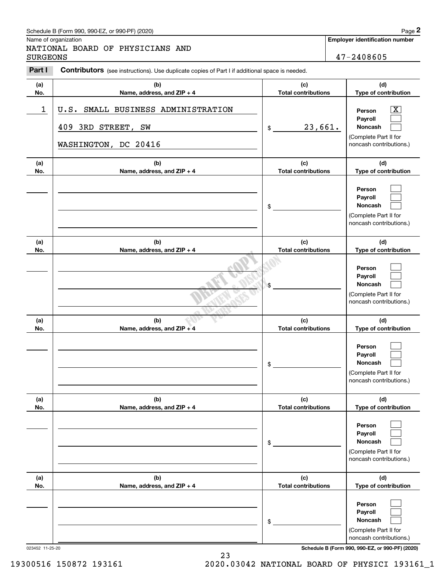## Schedule B (Form 990, 990-EZ, or 990-PF) (2020) **Page 2** Page 2

|                 | Schedule B (Form 990, 990-EZ, or 990-PF) (2020)                                                |                                   | Page 2                                                                                           |
|-----------------|------------------------------------------------------------------------------------------------|-----------------------------------|--------------------------------------------------------------------------------------------------|
| <b>SURGEONS</b> | Name of organization<br>NATIONAL BOARD OF PHYSICIANS AND                                       |                                   | <b>Employer identification number</b><br>47-2408605                                              |
| Part I          | Contributors (see instructions). Use duplicate copies of Part I if additional space is needed. |                                   |                                                                                                  |
| (a)<br>No.      | (b)<br>Name, address, and ZIP + 4                                                              | (c)<br><b>Total contributions</b> | (d)<br>Type of contribution                                                                      |
| 1               | SMALL BUSINESS ADMINISTRATION<br>U.S.<br>409 3RD STREET, SW<br>WASHINGTON, DC 20416            | 23,661.<br>\$                     | $\mathbf{X}$<br>Person<br>Payroll<br>Noncash<br>(Complete Part II for<br>noncash contributions.) |
| (a)<br>No.      | (b)<br>Name, address, and ZIP + 4                                                              | (c)<br><b>Total contributions</b> | (d)<br>Type of contribution                                                                      |
|                 |                                                                                                | \$                                | Person<br>Payroll<br>Noncash<br>(Complete Part II for<br>noncash contributions.)                 |
| (a)<br>No.      | (b)<br>Name, address, and ZIP + 4                                                              | (c)<br><b>Total contributions</b> | (d)<br>Type of contribution                                                                      |
|                 |                                                                                                | \$                                | Person<br>Payroll<br>Noncash<br>(Complete Part II for<br>noncash contributions.)                 |
| (a)<br>No.      | (b)<br>Name, address, and ZIP + 4                                                              | (c)<br><b>Total contributions</b> | (d)<br>Type of contribution                                                                      |
|                 |                                                                                                | \$                                | Person<br>Payroll<br>Noncash<br>(Complete Part II for<br>noncash contributions.)                 |
| (a)<br>No.      | (b)<br>Name, address, and ZIP + 4                                                              | (c)<br><b>Total contributions</b> | (d)<br>Type of contribution                                                                      |
|                 |                                                                                                | \$                                | Person<br>Payroll<br>Noncash<br>(Complete Part II for<br>noncash contributions.)                 |
| (a)<br>No.      | (b)<br>Name, address, and ZIP + 4                                                              | (c)<br><b>Total contributions</b> | (d)<br>Type of contribution                                                                      |
|                 |                                                                                                | \$                                | Person<br>Payroll<br>Noncash<br>(Complete Part II for<br>noncash contributions.)                 |

023452 11-25-20 **Schedule B (Form 990, 990-EZ, or 990-PF) (2020)**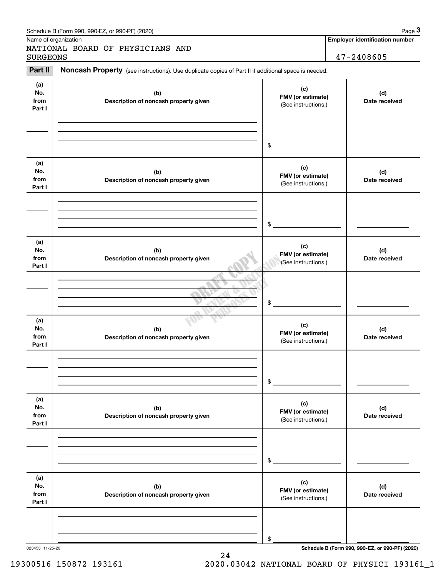| <b>SURGEONS</b>              | NATIONAL BOARD OF PHYSICIANS AND                                                                    |                                                 | 47-2408605           |
|------------------------------|-----------------------------------------------------------------------------------------------------|-------------------------------------------------|----------------------|
| Part II                      | Noncash Property (see instructions). Use duplicate copies of Part II if additional space is needed. |                                                 |                      |
| (a)<br>No.<br>from<br>Part I | (b)<br>Description of noncash property given                                                        | (c)<br>FMV (or estimate)<br>(See instructions.) | (d)<br>Date received |
|                              |                                                                                                     | \$                                              |                      |
| (a)<br>No.<br>from<br>Part I | (b)<br>Description of noncash property given                                                        | (c)<br>FMV (or estimate)<br>(See instructions.) | (d)<br>Date received |
|                              |                                                                                                     | \$                                              |                      |
| (a)<br>No.<br>from<br>Part I | (b)<br>Description of noncash property given                                                        | (c)<br>FMV (or estimate)<br>(See instructions.) | (d)<br>Date received |
|                              |                                                                                                     | \$                                              |                      |
| (a)<br>No.<br>from<br>Part I | (b)<br>Description of noncash property given                                                        | (c)<br>FMV (or estimate)<br>(See instructions.) | (d)<br>Date received |
|                              |                                                                                                     | \$                                              |                      |
| (a)<br>No.<br>from<br>Part I | (b)<br>Description of noncash property given                                                        | (c)<br>FMV (or estimate)<br>(See instructions.) | (d)<br>Date received |
|                              |                                                                                                     | \$                                              |                      |
| (a)<br>No.<br>from<br>Part I | (b)<br>Description of noncash property given                                                        | (c)<br>FMV (or estimate)<br>(See instructions.) | (d)<br>Date received |
|                              |                                                                                                     |                                                 |                      |

24

19300516 150872 193161 2020.03042 NATIONAL BOARD OF PHYSICI 193161\_1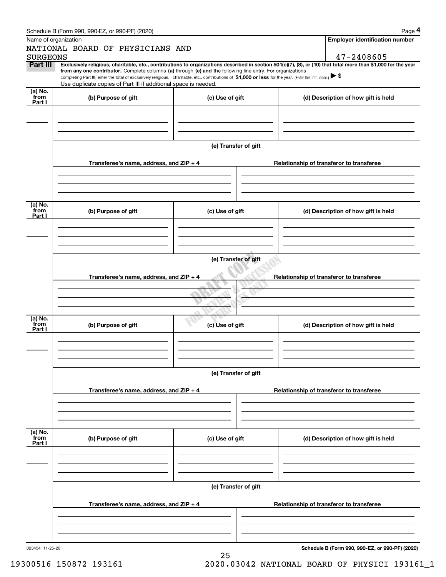|                 | Schedule B (Form 990, 990-EZ, or 990-PF) (2020)                                                                                                                                                                                                                                                 |                      |                                          | Page 4                                          |  |  |  |  |
|-----------------|-------------------------------------------------------------------------------------------------------------------------------------------------------------------------------------------------------------------------------------------------------------------------------------------------|----------------------|------------------------------------------|-------------------------------------------------|--|--|--|--|
|                 | Name of organization                                                                                                                                                                                                                                                                            |                      |                                          | <b>Employer identification number</b>           |  |  |  |  |
|                 | NATIONAL BOARD OF PHYSICIANS AND                                                                                                                                                                                                                                                                |                      |                                          |                                                 |  |  |  |  |
| <b>SURGEONS</b> |                                                                                                                                                                                                                                                                                                 |                      |                                          | 47-2408605                                      |  |  |  |  |
| Part III        | Exclusively religious, charitable, etc., contributions to organizations described in section 501(c)(7), (8), or (10) that total more than \$1,000 for the year                                                                                                                                  |                      |                                          |                                                 |  |  |  |  |
|                 | from any one contributor. Complete columns (a) through (e) and the following line entry. For organizations<br>completing Part III, enter the total of exclusively religious, charitable, etc., contributions of \$1,000 or less for the year. (Enter this info. once.) $\blacktriangleright$ \$ |                      |                                          |                                                 |  |  |  |  |
|                 | Use duplicate copies of Part III if additional space is needed.                                                                                                                                                                                                                                 |                      |                                          |                                                 |  |  |  |  |
| (a) No.         |                                                                                                                                                                                                                                                                                                 |                      |                                          |                                                 |  |  |  |  |
| from<br>Part I  | (b) Purpose of gift                                                                                                                                                                                                                                                                             | (c) Use of gift      |                                          | (d) Description of how gift is held             |  |  |  |  |
|                 |                                                                                                                                                                                                                                                                                                 |                      |                                          |                                                 |  |  |  |  |
|                 |                                                                                                                                                                                                                                                                                                 |                      |                                          |                                                 |  |  |  |  |
|                 |                                                                                                                                                                                                                                                                                                 |                      |                                          |                                                 |  |  |  |  |
|                 |                                                                                                                                                                                                                                                                                                 |                      |                                          |                                                 |  |  |  |  |
|                 |                                                                                                                                                                                                                                                                                                 | (e) Transfer of gift |                                          |                                                 |  |  |  |  |
|                 |                                                                                                                                                                                                                                                                                                 |                      |                                          |                                                 |  |  |  |  |
|                 | Transferee's name, address, and ZIP + 4                                                                                                                                                                                                                                                         |                      | Relationship of transferor to transferee |                                                 |  |  |  |  |
|                 |                                                                                                                                                                                                                                                                                                 |                      |                                          |                                                 |  |  |  |  |
|                 |                                                                                                                                                                                                                                                                                                 |                      |                                          |                                                 |  |  |  |  |
|                 |                                                                                                                                                                                                                                                                                                 |                      |                                          |                                                 |  |  |  |  |
|                 |                                                                                                                                                                                                                                                                                                 |                      |                                          |                                                 |  |  |  |  |
| (a) No.<br>from | (b) Purpose of gift                                                                                                                                                                                                                                                                             | (c) Use of gift      |                                          | (d) Description of how gift is held             |  |  |  |  |
| Part I          |                                                                                                                                                                                                                                                                                                 |                      |                                          |                                                 |  |  |  |  |
|                 |                                                                                                                                                                                                                                                                                                 |                      |                                          |                                                 |  |  |  |  |
|                 |                                                                                                                                                                                                                                                                                                 |                      |                                          |                                                 |  |  |  |  |
|                 |                                                                                                                                                                                                                                                                                                 |                      |                                          |                                                 |  |  |  |  |
|                 | (e) Transfer of gift                                                                                                                                                                                                                                                                            |                      |                                          |                                                 |  |  |  |  |
|                 |                                                                                                                                                                                                                                                                                                 |                      |                                          |                                                 |  |  |  |  |
|                 | Transferee's name, address, and ZIP + 4<br>Relationship of transferor to transferee                                                                                                                                                                                                             |                      |                                          |                                                 |  |  |  |  |
|                 |                                                                                                                                                                                                                                                                                                 |                      |                                          |                                                 |  |  |  |  |
|                 |                                                                                                                                                                                                                                                                                                 |                      |                                          |                                                 |  |  |  |  |
|                 |                                                                                                                                                                                                                                                                                                 |                      |                                          |                                                 |  |  |  |  |
|                 |                                                                                                                                                                                                                                                                                                 |                      |                                          |                                                 |  |  |  |  |
| (a) No.<br>from | (b) Purpose of gift                                                                                                                                                                                                                                                                             | (c) Use of gift      |                                          | (d) Description of how gift is held             |  |  |  |  |
| Part I          |                                                                                                                                                                                                                                                                                                 |                      |                                          |                                                 |  |  |  |  |
|                 |                                                                                                                                                                                                                                                                                                 |                      |                                          |                                                 |  |  |  |  |
|                 |                                                                                                                                                                                                                                                                                                 |                      |                                          |                                                 |  |  |  |  |
|                 |                                                                                                                                                                                                                                                                                                 |                      |                                          |                                                 |  |  |  |  |
|                 |                                                                                                                                                                                                                                                                                                 | (e) Transfer of gift |                                          |                                                 |  |  |  |  |
|                 |                                                                                                                                                                                                                                                                                                 |                      |                                          |                                                 |  |  |  |  |
|                 | Transferee's name, address, and ZIP + 4                                                                                                                                                                                                                                                         |                      |                                          | Relationship of transferor to transferee        |  |  |  |  |
|                 |                                                                                                                                                                                                                                                                                                 |                      |                                          |                                                 |  |  |  |  |
|                 |                                                                                                                                                                                                                                                                                                 |                      |                                          |                                                 |  |  |  |  |
|                 |                                                                                                                                                                                                                                                                                                 |                      |                                          |                                                 |  |  |  |  |
|                 |                                                                                                                                                                                                                                                                                                 |                      |                                          |                                                 |  |  |  |  |
| (a) No.<br>from | (b) Purpose of gift                                                                                                                                                                                                                                                                             | (c) Use of gift      |                                          | (d) Description of how gift is held             |  |  |  |  |
| Part I          |                                                                                                                                                                                                                                                                                                 |                      |                                          |                                                 |  |  |  |  |
|                 |                                                                                                                                                                                                                                                                                                 |                      |                                          |                                                 |  |  |  |  |
|                 |                                                                                                                                                                                                                                                                                                 |                      |                                          |                                                 |  |  |  |  |
|                 |                                                                                                                                                                                                                                                                                                 |                      |                                          |                                                 |  |  |  |  |
|                 |                                                                                                                                                                                                                                                                                                 |                      |                                          |                                                 |  |  |  |  |
|                 |                                                                                                                                                                                                                                                                                                 | (e) Transfer of gift |                                          |                                                 |  |  |  |  |
|                 | Transferee's name, address, and $ZIP + 4$                                                                                                                                                                                                                                                       |                      |                                          | Relationship of transferor to transferee        |  |  |  |  |
|                 |                                                                                                                                                                                                                                                                                                 |                      |                                          |                                                 |  |  |  |  |
|                 |                                                                                                                                                                                                                                                                                                 |                      |                                          |                                                 |  |  |  |  |
|                 |                                                                                                                                                                                                                                                                                                 |                      |                                          |                                                 |  |  |  |  |
|                 |                                                                                                                                                                                                                                                                                                 |                      |                                          |                                                 |  |  |  |  |
| 023454 11-25-20 |                                                                                                                                                                                                                                                                                                 |                      |                                          | Schedule B (Form 990, 990-EZ, or 990-PF) (2020) |  |  |  |  |
|                 |                                                                                                                                                                                                                                                                                                 | 25                   |                                          |                                                 |  |  |  |  |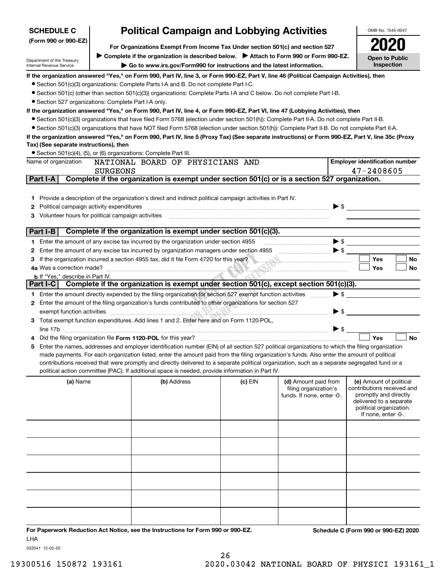| <b>SCHEDULE C</b>                                          | <b>Political Campaign and Lobbying Activities</b><br>For Organizations Exempt From Income Tax Under section 501(c) and section 527 |                                                                                                                                                                                                                                                                                                  |         |                            | OMB No. 1545-0047                                |
|------------------------------------------------------------|------------------------------------------------------------------------------------------------------------------------------------|--------------------------------------------------------------------------------------------------------------------------------------------------------------------------------------------------------------------------------------------------------------------------------------------------|---------|----------------------------|--------------------------------------------------|
| (Form 990 or 990-EZ)                                       |                                                                                                                                    |                                                                                                                                                                                                                                                                                                  |         |                            |                                                  |
|                                                            |                                                                                                                                    | ► Complete if the organization is described below. ► Attach to Form 990 or Form 990-EZ.                                                                                                                                                                                                          |         |                            | <b>Open to Public</b>                            |
| Department of the Treasury<br>Internal Revenue Service     | Go to www.irs.gov/Form990 for instructions and the latest information.                                                             |                                                                                                                                                                                                                                                                                                  |         |                            |                                                  |
|                                                            |                                                                                                                                    | If the organization answered "Yes," on Form 990, Part IV, line 3, or Form 990-EZ, Part V, line 46 (Political Campaign Activities), then                                                                                                                                                          |         |                            |                                                  |
|                                                            |                                                                                                                                    | • Section 501(c)(3) organizations: Complete Parts I-A and B. Do not complete Part I-C.                                                                                                                                                                                                           |         |                            |                                                  |
|                                                            |                                                                                                                                    | • Section 501(c) (other than section 501(c)(3)) organizations: Complete Parts I-A and C below. Do not complete Part I-B.                                                                                                                                                                         |         |                            |                                                  |
| • Section 527 organizations: Complete Part I-A only.       |                                                                                                                                    |                                                                                                                                                                                                                                                                                                  |         |                            |                                                  |
|                                                            |                                                                                                                                    | If the organization answered "Yes," on Form 990, Part IV, line 4, or Form 990-EZ, Part VI, line 47 (Lobbying Activities), then                                                                                                                                                                   |         |                            |                                                  |
|                                                            |                                                                                                                                    | • Section 501(c)(3) organizations that have filed Form 5768 (election under section 501(h)): Complete Part II-A. Do not complete Part II-B.                                                                                                                                                      |         |                            |                                                  |
|                                                            |                                                                                                                                    | • Section 501(c)(3) organizations that have NOT filed Form 5768 (election under section 501(h)): Complete Part II-B. Do not complete Part II-A.                                                                                                                                                  |         |                            |                                                  |
|                                                            |                                                                                                                                    | If the organization answered "Yes," on Form 990, Part IV, line 5 (Proxy Tax) (See separate instructions) or Form 990-EZ, Part V, line 35c (Proxy                                                                                                                                                 |         |                            |                                                  |
| Tax) (See separate instructions), then                     |                                                                                                                                    |                                                                                                                                                                                                                                                                                                  |         |                            |                                                  |
| Name of organization                                       |                                                                                                                                    | • Section 501(c)(4), (5), or (6) organizations: Complete Part III.<br>NATIONAL BOARD OF PHYSICIANS AND                                                                                                                                                                                           |         |                            | <b>Employer identification number</b>            |
|                                                            | <b>SURGEONS</b>                                                                                                                    |                                                                                                                                                                                                                                                                                                  |         |                            | 47-2408605                                       |
| Part I-A                                                   |                                                                                                                                    | Complete if the organization is exempt under section 501(c) or is a section 527 organization.                                                                                                                                                                                                    |         |                            |                                                  |
|                                                            |                                                                                                                                    |                                                                                                                                                                                                                                                                                                  |         |                            |                                                  |
|                                                            |                                                                                                                                    | 1 Provide a description of the organization's direct and indirect political campaign activities in Part IV.                                                                                                                                                                                      |         |                            |                                                  |
| Political campaign activity expenditures<br>2              |                                                                                                                                    |                                                                                                                                                                                                                                                                                                  |         |                            | $\triangleright$ \$                              |
| <b>3</b> Volunteer hours for political campaign activities |                                                                                                                                    |                                                                                                                                                                                                                                                                                                  |         |                            |                                                  |
|                                                            |                                                                                                                                    |                                                                                                                                                                                                                                                                                                  |         |                            |                                                  |
| Part I-B                                                   |                                                                                                                                    | Complete if the organization is exempt under section 501(c)(3).                                                                                                                                                                                                                                  |         |                            |                                                  |
|                                                            |                                                                                                                                    | 1 Enter the amount of any excise tax incurred by the organization under section 4955                                                                                                                                                                                                             |         |                            |                                                  |
|                                                            |                                                                                                                                    |                                                                                                                                                                                                                                                                                                  |         |                            |                                                  |
|                                                            |                                                                                                                                    |                                                                                                                                                                                                                                                                                                  |         |                            | Yes<br>No                                        |
|                                                            |                                                                                                                                    |                                                                                                                                                                                                                                                                                                  |         |                            | Yes<br>No                                        |
| <b>b</b> If "Yes," describe in Part IV.                    |                                                                                                                                    |                                                                                                                                                                                                                                                                                                  |         |                            |                                                  |
|                                                            |                                                                                                                                    | Part I-C Complete if the organization is exempt under section 501(c), except section 501(c)(3).                                                                                                                                                                                                  |         |                            |                                                  |
|                                                            |                                                                                                                                    | 1 Enter the amount directly expended by the filing organization for section 527 exempt function activities                                                                                                                                                                                       |         |                            | $\blacktriangleright$ \$                         |
|                                                            |                                                                                                                                    | 2 Enter the amount of the filing organization's funds contributed to other organizations for section 527                                                                                                                                                                                         |         |                            |                                                  |
| exempt function activities                                 |                                                                                                                                    |                                                                                                                                                                                                                                                                                                  |         |                            | $\blacktriangleright$ \$                         |
|                                                            |                                                                                                                                    | 3 Total exempt function expenditures. Add lines 1 and 2. Enter here and on Form 1120-POL,                                                                                                                                                                                                        |         |                            |                                                  |
|                                                            |                                                                                                                                    |                                                                                                                                                                                                                                                                                                  |         |                            | $\blacktriangleright$ \$<br>Yes<br><b>No</b>     |
|                                                            |                                                                                                                                    | Did the filing organization file Form 1120-POL for this year?                                                                                                                                                                                                                                    |         |                            |                                                  |
|                                                            |                                                                                                                                    | 5 Enter the names, addresses and employer identification number (EIN) of all section 527 political organizations to which the filing organization<br>made payments. For each organization listed, enter the amount paid from the filing organization's funds. Also enter the amount of political |         |                            |                                                  |
|                                                            |                                                                                                                                    | contributions received that were promptly and directly delivered to a separate political organization, such as a separate segregated fund or a                                                                                                                                                   |         |                            |                                                  |
|                                                            |                                                                                                                                    | political action committee (PAC). If additional space is needed, provide information in Part IV.                                                                                                                                                                                                 |         |                            |                                                  |
| (a) Name                                                   |                                                                                                                                    | (b) Address                                                                                                                                                                                                                                                                                      | (c) EIN | (d) Amount paid from       | (e) Amount of political                          |
|                                                            |                                                                                                                                    |                                                                                                                                                                                                                                                                                                  |         | filing organization's      | contributions received and                       |
|                                                            |                                                                                                                                    |                                                                                                                                                                                                                                                                                                  |         | funds. If none, enter -0-. | promptly and directly<br>delivered to a separate |
|                                                            |                                                                                                                                    |                                                                                                                                                                                                                                                                                                  |         |                            | political organization.                          |
|                                                            |                                                                                                                                    |                                                                                                                                                                                                                                                                                                  |         |                            | If none, enter -0-.                              |
|                                                            |                                                                                                                                    |                                                                                                                                                                                                                                                                                                  |         |                            |                                                  |
|                                                            |                                                                                                                                    |                                                                                                                                                                                                                                                                                                  |         |                            |                                                  |
|                                                            |                                                                                                                                    |                                                                                                                                                                                                                                                                                                  |         |                            |                                                  |
|                                                            |                                                                                                                                    |                                                                                                                                                                                                                                                                                                  |         |                            |                                                  |
|                                                            |                                                                                                                                    |                                                                                                                                                                                                                                                                                                  |         |                            |                                                  |
|                                                            |                                                                                                                                    |                                                                                                                                                                                                                                                                                                  |         |                            |                                                  |
|                                                            |                                                                                                                                    |                                                                                                                                                                                                                                                                                                  |         |                            |                                                  |
|                                                            |                                                                                                                                    |                                                                                                                                                                                                                                                                                                  |         |                            |                                                  |
|                                                            |                                                                                                                                    |                                                                                                                                                                                                                                                                                                  |         |                            |                                                  |
|                                                            |                                                                                                                                    |                                                                                                                                                                                                                                                                                                  |         |                            |                                                  |
|                                                            |                                                                                                                                    |                                                                                                                                                                                                                                                                                                  |         |                            |                                                  |
|                                                            |                                                                                                                                    | For Paperwork Reduction Act Notice, see the Instructions for Form 990 or 990-EZ.                                                                                                                                                                                                                 |         |                            | Schedule C (Form 990 or 990-EZ) 2020             |

LHA

032041 12-02-20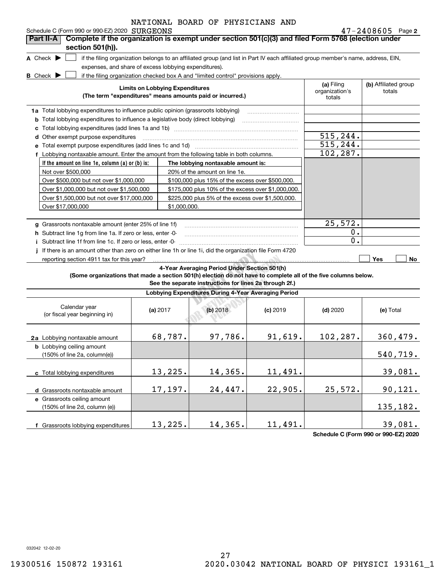## Schedule C (Form 990 or 990-EZ) 2020 SURGEONS NATIONAL BOARD OF PHYSICIANS AND

(Some organizations that made a section 501(h) election do not have to complete all of the five columns below.<br>See the separate instructions for lines 2a through 2f.) **If the amount on line 1e, column (a) or (b) is: 2** SURGEONS 47-2408605 A Check  $\blacktriangleright$ **B** Check  $\blacktriangleright$ **Limits on Lobbying Expenditures (The term "expenditures" means amounts paid or incurred.) (a) (b)**  Filing **1a**Total lobbying expenditures to influence public opinion (grassroots lobbying) **b** Total lobbying expenditures to influence a legislative body (direct lobbying) **c**Total lobbying expenditures (add lines 1a and 1b) ~~~~~~~~~~~~~~~~~~~~~~~~**d**Other exempt purpose expenditures ~~~~~~~~~~~~~~~~~~~~~~~~~~~~~~**efThe lobbying nontaxable amount is: g**Grassroots nontaxable amount (enter 25% of line 1f) **h** Subtract line 1g from line 1a. If zero or less, enter -0**ij**If there is an amount other than zero on either line 1h or line 1i, did the organization file Form 4720 **Yes No 4-Year Averaging Period Under Section 501(h)** if the filing organization belongs to an affiliated group (and list in Part IV each affiliated group member's name, address, EIN, expenses, and share of excess lobbying expenditures). if the filing organization checked box A and "limited control" provisions apply. organization's totals(b) Affiliated group totalsTotal exempt purpose expenditures (add lines 1c and 1d) Lobbying nontaxable amount. Enter the amount from the following table in both columns. Not over \$500,000 Over \$500,000 but not over \$1,000,000 Over \$1,000,000 but not over \$1,500,000 Over \$1,500,000 but not over \$17,000,000 Over \$17,000,000 20% of the amount on line 1e. \$100,000 plus 15% of the excess over \$500,000. \$175,000 plus 10% of the excess over \$1,000,000. \$225,000 plus 5% of the excess over \$1,500,000. \$1,000,000.Subtract line 1f from line 1c. If zero or less, enter -0- ~~~~~~~~~~~~~~~~~~~~~~~reporting section 4911 tax for this year? **Part II-A Complete if the organization is exempt under section 501(c)(3) and filed Form 5768 (election under section 501(h)).**  $\mathcal{L}^{\text{max}}$  $\overline{\phantom{a}}$ 515,244. 515,244. 102,287. 25,572. 0. 0.

**See the separate instructions for lines 2a through 2f.)**

| Lobbying Expenditures During 4-Year Averaging Period                              |            |            |            |            |           |  |  |
|-----------------------------------------------------------------------------------|------------|------------|------------|------------|-----------|--|--|
| Calendar year<br>(or fiscal year beginning in)                                    | (a) $2017$ | $(b)$ 2018 | $(c)$ 2019 | $(d)$ 2020 | (e) Total |  |  |
| 2a Lobbying nontaxable amount<br><b>b</b> Lobbying ceiling amount                 | 68,787.    | 97,786.    | 91,619.    | 102, 287.  | 360,479.  |  |  |
| $(150\% \text{ of line } 2a, \text{ column}(e))$                                  |            |            |            |            | 540,719.  |  |  |
| c Total lobbying expenditures                                                     | 13,225.    | 14,365.    | 11,491.    |            | 39,081.   |  |  |
| d Grassroots nontaxable amount                                                    | 17,197.    | 24,447.    | 22,905.    | 25,572.    | 90, 121.  |  |  |
| e Grassroots ceiling amount<br>$(150\% \text{ of line } 2d, \text{ column } (e))$ |            |            |            |            | 135,182.  |  |  |
| Grassroots lobbying expenditures                                                  | 13,225.    | 14,365.    | 11,491.    |            | 39,081.   |  |  |
|                                                                                   |            |            |            |            |           |  |  |

**Schedule C (Form 990 or 990-EZ) 2020**

032042 12-02-20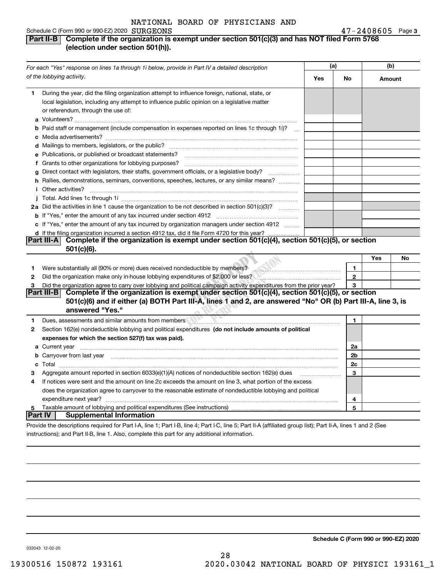| Schedule C (Form 990 or 990-EZ) 2020 $\cdot$ $\text{SURGEONS}$ | $47 - 2408605$ Page 3 |  |
|----------------------------------------------------------------|-----------------------|--|
|----------------------------------------------------------------|-----------------------|--|

## **Part II-B** Complete if the organization is exempt under section 501(c)(3) and has NOT filed Form 5768 **(election under section 501(h)).**

|              | For each "Yes" response on lines 1a through 1i below, provide in Part IV a detailed description                                                                                                                                                                                                                                                               |     |                | (b)    |    |  |  |
|--------------|---------------------------------------------------------------------------------------------------------------------------------------------------------------------------------------------------------------------------------------------------------------------------------------------------------------------------------------------------------------|-----|----------------|--------|----|--|--|
|              | of the lobbying activity.                                                                                                                                                                                                                                                                                                                                     | Yes | No             | Amount |    |  |  |
| 1.           | During the year, did the filing organization attempt to influence foreign, national, state, or<br>local legislation, including any attempt to influence public opinion on a legislative matter<br>or referendum, through the use of:<br><b>b</b> Paid staff or management (include compensation in expenses reported on lines 1c through 1i)?<br>$\mathbf{r}$ |     |                |        |    |  |  |
|              |                                                                                                                                                                                                                                                                                                                                                               |     |                |        |    |  |  |
|              |                                                                                                                                                                                                                                                                                                                                                               |     |                |        |    |  |  |
|              | e Publications, or published or broadcast statements?                                                                                                                                                                                                                                                                                                         |     |                |        |    |  |  |
|              | f Grants to other organizations for lobbying purposes?                                                                                                                                                                                                                                                                                                        |     |                |        |    |  |  |
| g            | Direct contact with legislators, their staffs, government officials, or a legislative body?                                                                                                                                                                                                                                                                   |     |                |        |    |  |  |
|              | h Rallies, demonstrations, seminars, conventions, speeches, lectures, or any similar means?                                                                                                                                                                                                                                                                   |     |                |        |    |  |  |
|              | <i>i</i> Other activities?                                                                                                                                                                                                                                                                                                                                    |     |                |        |    |  |  |
|              |                                                                                                                                                                                                                                                                                                                                                               |     |                |        |    |  |  |
|              | 2a Did the activities in line 1 cause the organization to be not described in section 501(c)(3)?                                                                                                                                                                                                                                                              |     |                |        |    |  |  |
|              |                                                                                                                                                                                                                                                                                                                                                               |     |                |        |    |  |  |
|              | c If "Yes," enter the amount of any tax incurred by organization managers under section 4912<br>d If the filing organization incurred a section 4912 tax, did it file Form 4720 for this year?                                                                                                                                                                |     |                |        |    |  |  |
|              | Complete if the organization is exempt under section 501(c)(4), section 501(c)(5), or section<br>Part III-A<br>501(c)(6).                                                                                                                                                                                                                                     |     |                | Yes    | No |  |  |
| 1            | Were substantially all (90% or more) dues received nondeductible by members? [10] Were substantially all (90% or more) dues received nondeductible by members?                                                                                                                                                                                                |     | $\mathbf{1}$   |        |    |  |  |
| $\mathbf{2}$ | Did the organization make only in house lobbying expenditures of \$2,000 or less?                                                                                                                                                                                                                                                                             |     | $\mathbf{2}$   |        |    |  |  |
| 3            | Did the organization agree to carry over lobbying and political campaign activity expenditures from the prior year?                                                                                                                                                                                                                                           |     | 3              |        |    |  |  |
|              | Complete if the organization is exempt under section $501(c)(4)$ , section $501(c)(5)$ , or section<br> Part III-B <br>501(c)(6) and if either (a) BOTH Part III-A, lines 1 and 2, are answered "No" OR (b) Part III-A, line 3, is<br>answered "Yes."                                                                                                         |     |                |        |    |  |  |
| 1            |                                                                                                                                                                                                                                                                                                                                                               |     | $\mathbf{1}$   |        |    |  |  |
| 2            | Section 162(e) nondeductible lobbying and political expenditures (do not include amounts of political<br>expenses for which the section 527(f) tax was paid).                                                                                                                                                                                                 |     |                |        |    |  |  |
|              | <b>a</b> Current year                                                                                                                                                                                                                                                                                                                                         |     | 2a             |        |    |  |  |
|              | b Carryover from last year manufactured and contract the contract of the contract of the contract of the contract of contract of contract of contract of contract of contract of contract of contract of contract of contract                                                                                                                                 |     | 2 <sub>b</sub> |        |    |  |  |
|              |                                                                                                                                                                                                                                                                                                                                                               |     | 2c             |        |    |  |  |
| З            | Aggregate amount reported in section 6033(e)(1)(A) notices of nondeductible section 162(e) dues                                                                                                                                                                                                                                                               |     | 3              |        |    |  |  |
| 4            | If notices were sent and the amount on line 2c exceeds the amount on line 3, what portion of the excess                                                                                                                                                                                                                                                       |     |                |        |    |  |  |
|              | does the organization agree to carryover to the reasonable estimate of nondeductible lobbying and political                                                                                                                                                                                                                                                   |     |                |        |    |  |  |
|              | expenditure next year?                                                                                                                                                                                                                                                                                                                                        |     | 4              |        |    |  |  |
| 5            |                                                                                                                                                                                                                                                                                                                                                               |     | 5              |        |    |  |  |
| Part IV      | <b>Supplemental Information</b>                                                                                                                                                                                                                                                                                                                               |     |                |        |    |  |  |
|              | Provide the descriptions required for Part I-A, line 1; Part I-B, line 4; Part I-C, line 5; Part II-A (affiliated group list); Part II-A, lines 1 and 2 (See                                                                                                                                                                                                  |     |                |        |    |  |  |

instructions); and Part II-B, line 1. Also, complete this part for any additional information.

**Schedule C (Form 990 or 990-EZ) 2020**

032043 12-02-20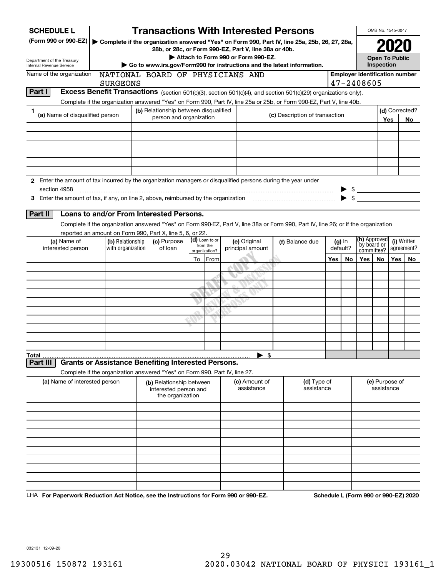|                   | <b>SCHEDULE L</b>               |                                                                            |  |                                                                  |            |                           | <b>Transactions With Interested Persons</b>                                                                                                            |                                |                 |     |                          |                                       | OMB No. 1545-0047     |      |                                      |
|-------------------|---------------------------------|----------------------------------------------------------------------------|--|------------------------------------------------------------------|------------|---------------------------|--------------------------------------------------------------------------------------------------------------------------------------------------------|--------------------------------|-----------------|-----|--------------------------|---------------------------------------|-----------------------|------|--------------------------------------|
|                   | (Form 990 or 990-EZ)            |                                                                            |  |                                                                  |            |                           | Complete if the organization answered "Yes" on Form 990, Part IV, line 25a, 25b, 26, 27, 28a,<br>28b, or 28c, or Form 990-EZ, Part V, line 38a or 40b. |                                |                 |     |                          |                                       |                       | 2021 |                                      |
|                   | Department of the Treasury      |                                                                            |  |                                                                  |            |                           | Attach to Form 990 or Form 990-EZ.                                                                                                                     |                                |                 |     |                          | <b>Open To Public</b>                 |                       |      |                                      |
|                   | Internal Revenue Service        |                                                                            |  |                                                                  |            |                           | Go to www.irs.gov/Form990 for instructions and the latest information.                                                                                 |                                |                 |     |                          | Inspection                            |                       |      |                                      |
|                   | Name of the organization        |                                                                            |  |                                                                  |            |                           | NATIONAL BOARD OF PHYSICIANS AND                                                                                                                       |                                |                 |     |                          | <b>Employer identification number</b> |                       |      |                                      |
|                   |                                 | <b>SURGEONS</b>                                                            |  |                                                                  |            |                           |                                                                                                                                                        |                                |                 |     |                          | 47-2408605                            |                       |      |                                      |
| Part I            |                                 |                                                                            |  |                                                                  |            |                           | Excess Benefit Transactions (section 501(c)(3), section 501(c)(4), and section 501(c)(29) organizations only).                                         |                                |                 |     |                          |                                       |                       |      |                                      |
|                   |                                 |                                                                            |  |                                                                  |            |                           | Complete if the organization answered "Yes" on Form 990, Part IV, line 25a or 25b, or Form 990-EZ, Part V, line 40b.                                   |                                |                 |     |                          |                                       |                       |      |                                      |
| 1                 | (a) Name of disqualified person |                                                                            |  | (b) Relationship between disqualified<br>person and organization |            |                           |                                                                                                                                                        | (c) Description of transaction |                 |     |                          |                                       | (d) Corrected?<br>Yes |      |                                      |
|                   |                                 |                                                                            |  |                                                                  |            |                           |                                                                                                                                                        |                                |                 |     |                          |                                       |                       |      | No.                                  |
|                   |                                 |                                                                            |  |                                                                  |            |                           |                                                                                                                                                        |                                |                 |     |                          |                                       |                       |      |                                      |
|                   |                                 |                                                                            |  |                                                                  |            |                           |                                                                                                                                                        |                                |                 |     |                          |                                       |                       |      |                                      |
|                   |                                 |                                                                            |  |                                                                  |            |                           |                                                                                                                                                        |                                |                 |     |                          |                                       |                       |      |                                      |
|                   |                                 |                                                                            |  |                                                                  |            |                           |                                                                                                                                                        |                                |                 |     |                          |                                       |                       |      |                                      |
|                   |                                 |                                                                            |  |                                                                  |            |                           |                                                                                                                                                        |                                |                 |     |                          |                                       |                       |      |                                      |
|                   |                                 |                                                                            |  |                                                                  |            |                           | 2 Enter the amount of tax incurred by the organization managers or disqualified persons during the year under                                          |                                |                 |     |                          |                                       |                       |      |                                      |
|                   | section 4958                    |                                                                            |  |                                                                  |            |                           |                                                                                                                                                        |                                |                 |     |                          | $$$ $$$                               |                       |      |                                      |
|                   |                                 |                                                                            |  |                                                                  |            |                           |                                                                                                                                                        |                                |                 |     | $\blacktriangleright$ \$ |                                       |                       |      |                                      |
| Part II           |                                 | Loans to and/or From Interested Persons.                                   |  |                                                                  |            |                           |                                                                                                                                                        |                                |                 |     |                          |                                       |                       |      |                                      |
|                   |                                 |                                                                            |  |                                                                  |            |                           |                                                                                                                                                        |                                |                 |     |                          |                                       |                       |      |                                      |
|                   |                                 | reported an amount on Form 990, Part X, line 5, 6, or 22.                  |  |                                                                  |            |                           | Complete if the organization answered "Yes" on Form 990-EZ, Part V, line 38a or Form 990, Part IV, line 26; or if the organization                     |                                |                 |     |                          |                                       |                       |      |                                      |
|                   | (a) Name of                     | (b) Relationship                                                           |  | (c) Purpose                                                      |            | (d) Loan to or            | (e) Original                                                                                                                                           |                                | (f) Balance due |     | $(g)$ In                 | (h) Approved                          |                       |      | (i) Written                          |
|                   | interested person               | with organization                                                          |  | of loan                                                          |            | from the<br>organization? | principal amount                                                                                                                                       |                                |                 |     | default?                 | by board or<br>committee?             |                       |      | agreement?                           |
|                   |                                 |                                                                            |  |                                                                  | To<br>From |                           |                                                                                                                                                        |                                |                 | Yes | No.                      | Yes                                   | No.                   | Yes  | No.                                  |
|                   |                                 |                                                                            |  |                                                                  |            |                           |                                                                                                                                                        |                                |                 |     |                          |                                       |                       |      |                                      |
|                   |                                 |                                                                            |  |                                                                  |            |                           |                                                                                                                                                        |                                |                 |     |                          |                                       |                       |      |                                      |
|                   |                                 |                                                                            |  |                                                                  |            |                           |                                                                                                                                                        |                                |                 |     |                          |                                       |                       |      |                                      |
|                   |                                 |                                                                            |  |                                                                  |            |                           |                                                                                                                                                        |                                |                 |     |                          |                                       |                       |      |                                      |
|                   |                                 |                                                                            |  |                                                                  |            |                           |                                                                                                                                                        |                                |                 |     |                          |                                       |                       |      |                                      |
|                   |                                 |                                                                            |  |                                                                  |            |                           |                                                                                                                                                        |                                |                 |     |                          |                                       |                       |      |                                      |
|                   |                                 |                                                                            |  |                                                                  |            |                           |                                                                                                                                                        |                                |                 |     |                          |                                       |                       |      |                                      |
|                   |                                 |                                                                            |  |                                                                  |            |                           |                                                                                                                                                        |                                |                 |     |                          |                                       |                       |      |                                      |
|                   |                                 |                                                                            |  |                                                                  |            |                           |                                                                                                                                                        |                                |                 |     |                          |                                       |                       |      |                                      |
|                   |                                 |                                                                            |  |                                                                  |            |                           |                                                                                                                                                        |                                |                 |     |                          |                                       |                       |      |                                      |
| Total<br>Part III |                                 | <b>Grants or Assistance Benefiting Interested Persons.</b>                 |  |                                                                  |            |                           | - \$                                                                                                                                                   |                                |                 |     |                          |                                       |                       |      |                                      |
|                   |                                 | Complete if the organization answered "Yes" on Form 990, Part IV, line 27. |  |                                                                  |            |                           |                                                                                                                                                        |                                |                 |     |                          |                                       |                       |      |                                      |
|                   | (a) Name of interested person   |                                                                            |  | (b) Relationship between                                         |            |                           | (c) Amount of                                                                                                                                          |                                | (d) Type of     |     |                          |                                       | (e) Purpose of        |      |                                      |
|                   |                                 |                                                                            |  | interested person and                                            |            |                           | assistance                                                                                                                                             |                                | assistance      |     |                          |                                       | assistance            |      |                                      |
|                   |                                 |                                                                            |  | the organization                                                 |            |                           |                                                                                                                                                        |                                |                 |     |                          |                                       |                       |      |                                      |
|                   |                                 |                                                                            |  |                                                                  |            |                           |                                                                                                                                                        |                                |                 |     |                          |                                       |                       |      |                                      |
|                   |                                 |                                                                            |  |                                                                  |            |                           |                                                                                                                                                        |                                |                 |     |                          |                                       |                       |      |                                      |
|                   |                                 |                                                                            |  |                                                                  |            |                           |                                                                                                                                                        |                                |                 |     |                          |                                       |                       |      |                                      |
|                   |                                 |                                                                            |  |                                                                  |            |                           |                                                                                                                                                        |                                |                 |     |                          |                                       |                       |      |                                      |
|                   |                                 |                                                                            |  |                                                                  |            |                           |                                                                                                                                                        |                                |                 |     |                          |                                       |                       |      |                                      |
|                   |                                 |                                                                            |  |                                                                  |            |                           |                                                                                                                                                        |                                |                 |     |                          |                                       |                       |      |                                      |
|                   |                                 |                                                                            |  |                                                                  |            |                           |                                                                                                                                                        |                                |                 |     |                          |                                       |                       |      |                                      |
|                   |                                 |                                                                            |  |                                                                  |            |                           |                                                                                                                                                        |                                |                 |     |                          |                                       |                       |      |                                      |
|                   |                                 |                                                                            |  |                                                                  |            |                           |                                                                                                                                                        |                                |                 |     |                          |                                       |                       |      |                                      |
|                   |                                 |                                                                            |  |                                                                  |            |                           |                                                                                                                                                        |                                |                 |     |                          |                                       |                       |      |                                      |
|                   |                                 |                                                                            |  |                                                                  |            |                           | LHA For Paperwork Reduction Act Notice, see the Instructions for Form 990 or 990-EZ.                                                                   |                                |                 |     |                          |                                       |                       |      | Schedule L (Form 990 or 990-EZ) 2020 |

032131 12-09-20

29 19300516 150872 193161 2020.03042 NATIONAL BOARD OF PHYSICI 193161\_1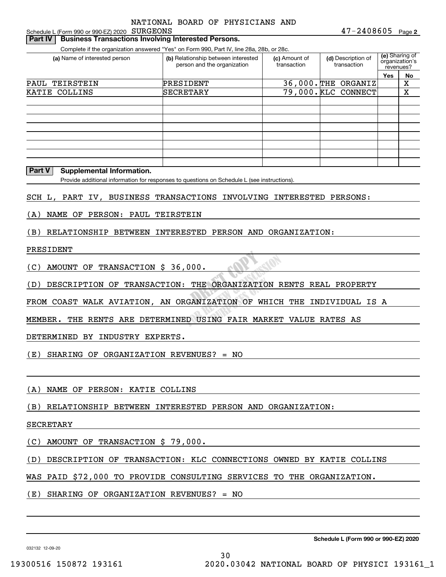Schedule L (Form 990 or 990-EZ) 2020 Page SURGEONS

## **Part IV** | Business Transactions Involving Interested Persons.

Complete if the organization answered "Yes" on Form 990, Part IV, line 28a, 28b, or 28c.

| (a) Name of interested person | (b) Relationship between interested<br>person and the organization | (c) Amount of<br>transaction | (d) Description of<br>transaction |     | (e) Sharing of<br>organization's<br>revenues? |
|-------------------------------|--------------------------------------------------------------------|------------------------------|-----------------------------------|-----|-----------------------------------------------|
|                               |                                                                    |                              |                                   | Yes | No                                            |
| PAUL<br>TEIRSTEIN             | PRESIDENT                                                          |                              | $36,000$ . THE ORGANIZ            |     | х                                             |
| KATIE COLLINS                 | SECRETARY                                                          |                              | 79,000. KLC CONNECT               |     | X                                             |
|                               |                                                                    |                              |                                   |     |                                               |
|                               |                                                                    |                              |                                   |     |                                               |
|                               |                                                                    |                              |                                   |     |                                               |
|                               |                                                                    |                              |                                   |     |                                               |
|                               |                                                                    |                              |                                   |     |                                               |
|                               |                                                                    |                              |                                   |     |                                               |
|                               |                                                                    |                              |                                   |     |                                               |
|                               |                                                                    |                              |                                   |     |                                               |

### **Part V Supplemental Information.**

Provide additional information for responses to questions on Schedule L (see instructions).

SCH L, PART IV, BUSINESS TRANSACTIONS INVOLVING INTERESTED PERSONS:

(A) NAME OF PERSON: PAUL TEIRSTEIN

(B) RELATIONSHIP BETWEEN INTERESTED PERSON AND ORGANIZATION:

## PRESIDENT

(C) AMOUNT OF TRANSACTION \$ 36,000.

...<br>(D) DESCRIPTION OF TRANSACTION: THE ORGANIZATION RENTS REAL PROPERTY

<u>ATION OF WHI</u> FROM COAST WALK AVIATION, AN ORGANIZATION OF WHICH THE INDIVIDUAL IS A

MEMBER. THE RENTS ARE DETERMINED USING FAIR MARKET VALUE RATES AS

DETERMINED BY INDUSTRY EXPERTS.

(E) SHARING OF ORGANIZATION REVENUES? = NO

(A) NAME OF PERSON: KATIE COLLINS

(B) RELATIONSHIP BETWEEN INTERESTED PERSON AND ORGANIZATION:

## SECRETARY

(C) AMOUNT OF TRANSACTION \$ 79,000.

(D) DESCRIPTION OF TRANSACTION: KLC CONNECTIONS OWNED BY KATIE COLLINS

30

WAS PAID \$72,000 TO PROVIDE CONSULTING SERVICES TO THE ORGANIZATION.

(E) SHARING OF ORGANIZATION REVENUES? = NO

**Schedule L (Form 990 or 990-EZ) 2020**

032132 12-09-20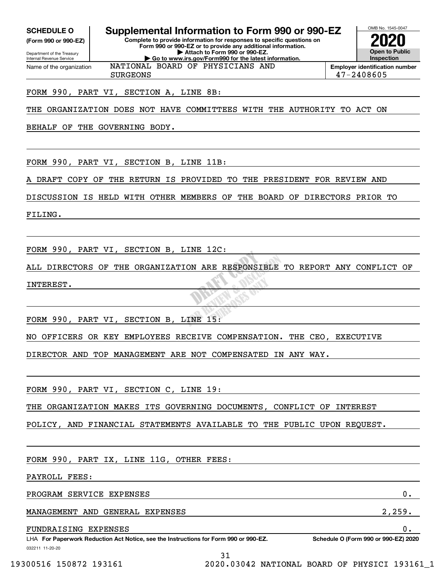Internal Revenue Service

Department of the Treasury **(Form 990 or 990-EZ)**

Name of the organization

## **SCHEDULE O Supplemental Information to Form 990 or 990-EZ**

**Complete to provide information for responses to specific questions on Form 990 or 990-EZ or to provide any additional information. | Attach to Form 990 or 990-EZ. | Go to www.irs.gov/Form990 for the latest information.**

**Open to Public Inspection2020**

OMB No. 1545-0047

**Employer identification number** SURGEONS 47-2408605

## FORM 990, PART VI, SECTION A, LINE 8B:

THE ORGANIZATION DOES NOT HAVE COMMITTEES WITH THE AUTHORITY TO ACT ON

NATIONAL BOARD OF PHYSICIANS AND

BEHALF OF THE GOVERNING BODY.

FORM 990, PART VI, SECTION B, LINE 11B:

DRAFT COPY OF THE RETURN IS PROVIDED TO THE PRESIDENT FOR REVIEW AND

DISCUSSION IS HELD WITH OTHER MEMBERS OF THE BOARD OF DIRECTORS PRIOR TO

FILING.

FORM 990, PART VI, SECTION B, LINE 12C:

**BAFF** & Discos ALL DIRECTORS OF THE ORGANIZATION ARE RESPONSIBLE TO REPORT ANY CONFLICT OF INTEREST.

Where's a

FORM 990, PART VI, SECTION B, LINE 15:

NO OFFICERS OR KEY EMPLOYEES RECEIVE COMPENSATION. THE CEO, EXECUTIVE

DIRECTOR AND TOP MANAGEMENT ARE NOT COMPENSATED IN ANY WAY.

FORM 990, PART VI, SECTION C, LINE 19:

THE ORGANIZATION MAKES ITS GOVERNING DOCUMENTS, CONFLICT OF INTEREST

POLICY, AND FINANCIAL STATEMENTS AVAILABLE TO THE PUBLIC UPON REQUEST.

FORM 990, PART IX, LINE 11G, OTHER FEES:

PAYROLL FEES:

PROGRAM SERVICE EXPENSES 0.

MANAGEMENT AND GENERAL EXPENSES 2,259.

FUNDRAISING EXPENSES 0.

032211 11-20-20 LHA For Paperwork Reduction Act Notice, see the Instructions for Form 990 or 990-EZ. Schedule O (Form 990 or 990-EZ) 2020

31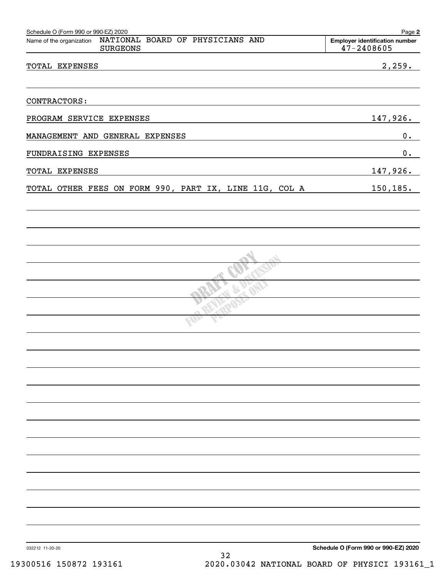| NATIONAL BOARD OF PHYSICIANS AND<br>Name of the organization<br><b>SURGEONS</b> | <b>Employer identification number</b><br>47-2408605 |
|---------------------------------------------------------------------------------|-----------------------------------------------------|
| TOTAL EXPENSES                                                                  | 2,259.                                              |
| CONTRACTORS:                                                                    |                                                     |
| PROGRAM SERVICE EXPENSES                                                        | 147,926.                                            |
| MANAGEMENT AND GENERAL EXPENSES                                                 | $0 \cdot$                                           |
| FUNDRAISING EXPENSES                                                            | 0.                                                  |
| TOTAL EXPENSES                                                                  | 147,926.                                            |
| TOTAL OTHER FEES ON FORM 990, PART IX, LINE 11G, COL A                          | 150,185.                                            |
|                                                                                 |                                                     |
|                                                                                 |                                                     |
|                                                                                 |                                                     |
|                                                                                 |                                                     |
|                                                                                 |                                                     |
|                                                                                 |                                                     |
|                                                                                 |                                                     |
|                                                                                 |                                                     |
|                                                                                 |                                                     |
|                                                                                 |                                                     |
|                                                                                 |                                                     |
|                                                                                 |                                                     |
|                                                                                 |                                                     |
|                                                                                 |                                                     |
|                                                                                 |                                                     |
|                                                                                 |                                                     |
|                                                                                 |                                                     |
|                                                                                 |                                                     |
|                                                                                 |                                                     |
|                                                                                 |                                                     |
| 032212 11-20-20                                                                 | Schedule O (Form 990 or 990-EZ) 2020                |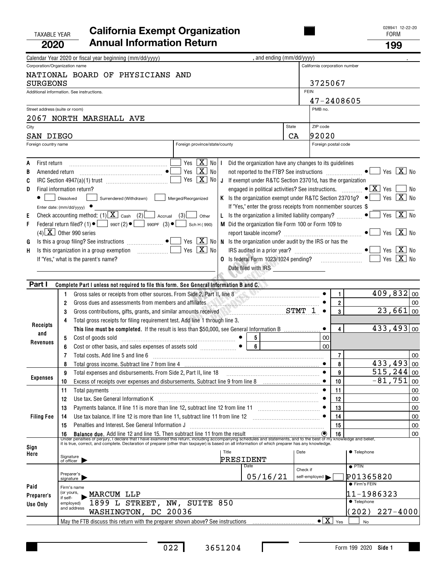## TAXABLE YEAR FORM **California Exempt Organization 2020Annual Information Return <sup>199</sup>**

|                                                       | Calendar Year 2020 or fiscal year beginning (mm/dd/yyyy)                                                                                                                                                                                                                                                                                                                                                                                                                                                                                                                                                                                                                                                                                                                                                                                                                                                                                                                                                                                                                                                                                                                                                                                                          | , and ending (mm/dd/yyyy)                                                                                                                                                                                                                        |                        |                                               |                                                                                                                                           |          |
|-------------------------------------------------------|-------------------------------------------------------------------------------------------------------------------------------------------------------------------------------------------------------------------------------------------------------------------------------------------------------------------------------------------------------------------------------------------------------------------------------------------------------------------------------------------------------------------------------------------------------------------------------------------------------------------------------------------------------------------------------------------------------------------------------------------------------------------------------------------------------------------------------------------------------------------------------------------------------------------------------------------------------------------------------------------------------------------------------------------------------------------------------------------------------------------------------------------------------------------------------------------------------------------------------------------------------------------|--------------------------------------------------------------------------------------------------------------------------------------------------------------------------------------------------------------------------------------------------|------------------------|-----------------------------------------------|-------------------------------------------------------------------------------------------------------------------------------------------|----------|
| Corporation/Organization name                         | NATIONAL BOARD OF PHYSICIANS AND                                                                                                                                                                                                                                                                                                                                                                                                                                                                                                                                                                                                                                                                                                                                                                                                                                                                                                                                                                                                                                                                                                                                                                                                                                  |                                                                                                                                                                                                                                                  |                        | California corporation number                 |                                                                                                                                           |          |
| SURGEONS                                              |                                                                                                                                                                                                                                                                                                                                                                                                                                                                                                                                                                                                                                                                                                                                                                                                                                                                                                                                                                                                                                                                                                                                                                                                                                                                   |                                                                                                                                                                                                                                                  | 3725067<br><b>FEIN</b> |                                               |                                                                                                                                           |          |
|                                                       | Additional information. See instructions.                                                                                                                                                                                                                                                                                                                                                                                                                                                                                                                                                                                                                                                                                                                                                                                                                                                                                                                                                                                                                                                                                                                                                                                                                         |                                                                                                                                                                                                                                                  |                        | 47-2408605                                    |                                                                                                                                           |          |
| Street address (suite or room)                        |                                                                                                                                                                                                                                                                                                                                                                                                                                                                                                                                                                                                                                                                                                                                                                                                                                                                                                                                                                                                                                                                                                                                                                                                                                                                   |                                                                                                                                                                                                                                                  | PMB no.                |                                               |                                                                                                                                           |          |
|                                                       | 2067 NORTH MARSHALL AVE                                                                                                                                                                                                                                                                                                                                                                                                                                                                                                                                                                                                                                                                                                                                                                                                                                                                                                                                                                                                                                                                                                                                                                                                                                           |                                                                                                                                                                                                                                                  |                        |                                               |                                                                                                                                           |          |
| City                                                  |                                                                                                                                                                                                                                                                                                                                                                                                                                                                                                                                                                                                                                                                                                                                                                                                                                                                                                                                                                                                                                                                                                                                                                                                                                                                   | State                                                                                                                                                                                                                                            | ZIP code               |                                               |                                                                                                                                           |          |
| SAN DIEGO                                             |                                                                                                                                                                                                                                                                                                                                                                                                                                                                                                                                                                                                                                                                                                                                                                                                                                                                                                                                                                                                                                                                                                                                                                                                                                                                   | CA                                                                                                                                                                                                                                               | 92020                  |                                               |                                                                                                                                           |          |
| Foreign country name                                  | Foreign province/state/county                                                                                                                                                                                                                                                                                                                                                                                                                                                                                                                                                                                                                                                                                                                                                                                                                                                                                                                                                                                                                                                                                                                                                                                                                                     |                                                                                                                                                                                                                                                  | Foreign postal code    |                                               |                                                                                                                                           |          |
| First return<br>A<br>В<br>C<br>D<br>Ε<br>F<br>G<br>H. | $\boxed{\text{X}}$ No $\boxed{\text{I}}$<br>Yes<br>Yes $\boxed{\mathbf{X}}$ No<br>Yes $\boxed{\mathbf{X}}$ No<br>J If exempt under R&TC Section 23701d, has the organization<br>Final information return?<br>K Is the organization exempt under R&TC Section 23701g? $\bullet$   Yes $\boxed{\mathbf{X}}$ No<br>Merged/Reorganized<br>Surrendered (Withdrawn)<br>Dissolved<br>Enter date: (mm/dd/yyyy)<br>Check accounting method: (1) $X$ Cash (2) $\Box$ Accrual (3)<br>L Is the organization a limited liability company? $\Box$<br>Other<br>Federal return filed? (1) $\bullet$ $\Box$ 990T (2) $\bullet$ $\Box$ 990PF (3) $\bullet$ $\Box$<br>M Did the organization file Form 100 or Form 109 to<br>Sch H (990)<br>$(4)$ X Other 990 series<br>Is this a group filing? See instructions $\begin{picture}(16,17) \put(0,0){\line(1,0){15}} \put(0,0){\line(1,0){15}} \put(0,0){\line(1,0){15}} \put(0,0){\line(1,0){15}} \put(0,0){\line(1,0){15}} \put(0,0){\line(1,0){15}} \put(0,0){\line(1,0){15}} \put(0,0){\line(1,0){15}} \put(0,0){\line(1,0){15}} \put(0,0){\line(1,0){1$<br>N Is the organization under audit by the IRS or has the<br>Yes $\boxed{\mathbf{X}}$ No<br>O Is federal Form 1023/1024 pending?<br>If "Yes," what is the parent's name? | Did the organization have any changes to its guidelines<br>engaged in political activities? See instructions. $\Box$ $\bullet$ <b>X</b> Yes<br>If "Yes," enter the gross receipts from nonmember sources \$<br>Date filed with IRS North and Sea |                        |                                               | $\sqrt{}$ Yes $\sqrt{}$ $\overline{{\bf X}}$ No<br>Yes $X$ No<br>Yes $\boxed{\mathbf{X}}$ No<br>Yes $\boxed{\mathbf{X}}$ No<br>Yes $X$ No | No       |
| Part I                                                | Complete Part I unless not required to file this form. See General Information B and C.                                                                                                                                                                                                                                                                                                                                                                                                                                                                                                                                                                                                                                                                                                                                                                                                                                                                                                                                                                                                                                                                                                                                                                           |                                                                                                                                                                                                                                                  |                        |                                               |                                                                                                                                           |          |
|                                                       | Gross sales or receipts from other sources. From Side 2, Part II, line 8<br>1<br>$\overline{2}$<br>Gross dues and assessments from members and affiliates <b>Supplied and Series and American</b> Series and American Series and American Series and American Series and American Series and American Series and American Series and A<br>Gross contributions, gifts, grants, and similar amounts received STMT 1<br>3<br>Total gross receipts for filing requirement test. Add line 1 through line 3.<br>4                                                                                                                                                                                                                                                                                                                                                                                                                                                                                                                                                                                                                                                                                                                                                       |                                                                                                                                                                                                                                                  |                        | $\mathbf{1}$<br>$2^{\circ}$<br>$\overline{3}$ | 409,832 00<br>$23,661$ 00                                                                                                                 | 00       |
| Receipts                                              | This line must be completed. If the result is less than \$50,000, see General Information B                                                                                                                                                                                                                                                                                                                                                                                                                                                                                                                                                                                                                                                                                                                                                                                                                                                                                                                                                                                                                                                                                                                                                                       |                                                                                                                                                                                                                                                  |                        | $\vert$ 4                                     | 433, 493 00                                                                                                                               |          |
| and                                                   | Cost of goods sold<br>5 <sup>1</sup><br>5                                                                                                                                                                                                                                                                                                                                                                                                                                                                                                                                                                                                                                                                                                                                                                                                                                                                                                                                                                                                                                                                                                                                                                                                                         |                                                                                                                                                                                                                                                  | 00                     |                                               |                                                                                                                                           |          |
| Revenues                                              | $\overline{6}$<br>6                                                                                                                                                                                                                                                                                                                                                                                                                                                                                                                                                                                                                                                                                                                                                                                                                                                                                                                                                                                                                                                                                                                                                                                                                                               |                                                                                                                                                                                                                                                  | 00                     |                                               |                                                                                                                                           |          |
|                                                       | Total costs. Add line 5 and line 6<br>7                                                                                                                                                                                                                                                                                                                                                                                                                                                                                                                                                                                                                                                                                                                                                                                                                                                                                                                                                                                                                                                                                                                                                                                                                           |                                                                                                                                                                                                                                                  |                        | $\overline{7}$                                |                                                                                                                                           | 00       |
|                                                       | 8                                                                                                                                                                                                                                                                                                                                                                                                                                                                                                                                                                                                                                                                                                                                                                                                                                                                                                                                                                                                                                                                                                                                                                                                                                                                 |                                                                                                                                                                                                                                                  |                        | 8                                             | $433, 493$ 00                                                                                                                             |          |
| <b>Expenses</b>                                       | 9<br>Total expenses and disbursements. From Side 2, Part II, line 18                                                                                                                                                                                                                                                                                                                                                                                                                                                                                                                                                                                                                                                                                                                                                                                                                                                                                                                                                                                                                                                                                                                                                                                              |                                                                                                                                                                                                                                                  | $\bullet$              | 9                                             | 515, 244 00                                                                                                                               |          |
|                                                       | 10                                                                                                                                                                                                                                                                                                                                                                                                                                                                                                                                                                                                                                                                                                                                                                                                                                                                                                                                                                                                                                                                                                                                                                                                                                                                |                                                                                                                                                                                                                                                  |                        | 10                                            | $-81,751$                                                                                                                                 | 00       |
|                                                       | Total payments [111] matter and the contract of the contract of the contract of the contract of the contract of the contract of the contract of the contract of the contract of the contract of the contract of the contract o<br>11                                                                                                                                                                                                                                                                                                                                                                                                                                                                                                                                                                                                                                                                                                                                                                                                                                                                                                                                                                                                                              |                                                                                                                                                                                                                                                  |                        | 11                                            |                                                                                                                                           | 00       |
|                                                       | Use tax. See General Information K<br>12                                                                                                                                                                                                                                                                                                                                                                                                                                                                                                                                                                                                                                                                                                                                                                                                                                                                                                                                                                                                                                                                                                                                                                                                                          |                                                                                                                                                                                                                                                  |                        | 12<br>13                                      |                                                                                                                                           | 00<br>00 |
| <b>Filing Fee</b>                                     | 13<br>Use tax balance. If line 12 is more than line 11, subtract line 11 from line 12<br>14                                                                                                                                                                                                                                                                                                                                                                                                                                                                                                                                                                                                                                                                                                                                                                                                                                                                                                                                                                                                                                                                                                                                                                       |                                                                                                                                                                                                                                                  |                        | 14                                            |                                                                                                                                           | 00       |
|                                                       | Penalties and Interest. See General Information J<br>15                                                                                                                                                                                                                                                                                                                                                                                                                                                                                                                                                                                                                                                                                                                                                                                                                                                                                                                                                                                                                                                                                                                                                                                                           |                                                                                                                                                                                                                                                  |                        | 15                                            |                                                                                                                                           | 00       |
|                                                       |                                                                                                                                                                                                                                                                                                                                                                                                                                                                                                                                                                                                                                                                                                                                                                                                                                                                                                                                                                                                                                                                                                                                                                                                                                                                   |                                                                                                                                                                                                                                                  |                        |                                               |                                                                                                                                           | 00       |
|                                                       | 16 Balance due. Add line 12 and line 15. Then subtract line 11 from the result<br>Under penalties of perjury, I declare that I have examined this return, including accompanying schedules and statements, and to the best of my                                                                                                                                                                                                                                                                                                                                                                                                                                                                                                                                                                                                                                                                                                                                                                                                                                                                                                                                                                                                                                  |                                                                                                                                                                                                                                                  |                        |                                               |                                                                                                                                           |          |
| Sign<br>Here                                          | Title<br>Signature<br>of officer<br>PRESIDENT                                                                                                                                                                                                                                                                                                                                                                                                                                                                                                                                                                                                                                                                                                                                                                                                                                                                                                                                                                                                                                                                                                                                                                                                                     | Date                                                                                                                                                                                                                                             |                        | ● Telephone                                   |                                                                                                                                           |          |
|                                                       | Date                                                                                                                                                                                                                                                                                                                                                                                                                                                                                                                                                                                                                                                                                                                                                                                                                                                                                                                                                                                                                                                                                                                                                                                                                                                              | Check if                                                                                                                                                                                                                                         |                        | $\overline{\bullet}$ PTIN                     |                                                                                                                                           |          |
|                                                       | Preparer's<br>signature                                                                                                                                                                                                                                                                                                                                                                                                                                                                                                                                                                                                                                                                                                                                                                                                                                                                                                                                                                                                                                                                                                                                                                                                                                           | 05/16/21                                                                                                                                                                                                                                         | self-employed          |                                               | P01365820                                                                                                                                 |          |
| Paid                                                  | Firm's name                                                                                                                                                                                                                                                                                                                                                                                                                                                                                                                                                                                                                                                                                                                                                                                                                                                                                                                                                                                                                                                                                                                                                                                                                                                       |                                                                                                                                                                                                                                                  |                        | <b>•</b> Firm's FEIN                          |                                                                                                                                           |          |
| Preparer's                                            | (or yours,<br>MARCUM LLP<br>if self-                                                                                                                                                                                                                                                                                                                                                                                                                                                                                                                                                                                                                                                                                                                                                                                                                                                                                                                                                                                                                                                                                                                                                                                                                              |                                                                                                                                                                                                                                                  |                        |                                               | 11-1986323                                                                                                                                |          |
| Use Only                                              | 1899 L STREET, NW, SUITE 850<br>employed)<br>and address                                                                                                                                                                                                                                                                                                                                                                                                                                                                                                                                                                                                                                                                                                                                                                                                                                                                                                                                                                                                                                                                                                                                                                                                          |                                                                                                                                                                                                                                                  |                        | ● Telephone                                   |                                                                                                                                           |          |
|                                                       | WASHINGTON, DC 20036                                                                                                                                                                                                                                                                                                                                                                                                                                                                                                                                                                                                                                                                                                                                                                                                                                                                                                                                                                                                                                                                                                                                                                                                                                              |                                                                                                                                                                                                                                                  |                        | 202)                                          | $227 - 4000$                                                                                                                              |          |
|                                                       | May the FTB discuss this return with the preparer shown above? See instructions                                                                                                                                                                                                                                                                                                                                                                                                                                                                                                                                                                                                                                                                                                                                                                                                                                                                                                                                                                                                                                                                                                                                                                                   |                                                                                                                                                                                                                                                  | $\bullet$ $\boxed{X}$  | Yes<br><b>No</b>                              |                                                                                                                                           |          |

 $\mathbf I$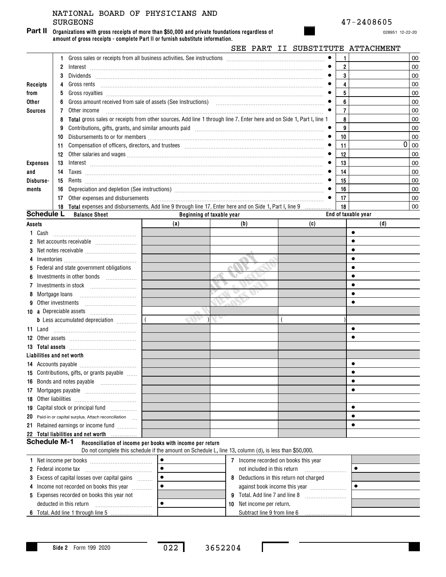## SURGEONS 47-2408605 NATIONAL BOARD OF PHYSICIANS AND

**Organizations with gross receipts of more than \$50,000 and private foundations regardless of amount of gross receipts - complete Part II or furnish substitute information. Part II**

028951 12-22-20

|                             |                                                                                                                                                                                                                                                                                                                                                                                                                                                                                                               |           |                                                                                                                                                                                                                                                                                                                                                                                                                                                                                                                           | SEE PART II SUBSTITUTE ATTACHMENT       |                     |      |
|-----------------------------|---------------------------------------------------------------------------------------------------------------------------------------------------------------------------------------------------------------------------------------------------------------------------------------------------------------------------------------------------------------------------------------------------------------------------------------------------------------------------------------------------------------|-----------|---------------------------------------------------------------------------------------------------------------------------------------------------------------------------------------------------------------------------------------------------------------------------------------------------------------------------------------------------------------------------------------------------------------------------------------------------------------------------------------------------------------------------|-----------------------------------------|---------------------|------|
|                             | 1.                                                                                                                                                                                                                                                                                                                                                                                                                                                                                                            |           |                                                                                                                                                                                                                                                                                                                                                                                                                                                                                                                           |                                         |                     | 00   |
|                             | 2                                                                                                                                                                                                                                                                                                                                                                                                                                                                                                             |           | $Interest \begin{tabular}{@{}l@{}} \hline \multicolumn{3}{c}{\textbf{Interest}} \end{tabular} \begin{tabular}{@{}l@{}} \hline \multicolumn{3}{c}{\textbf{Interest}} \end{tabular} \begin{tabular}{@{}l@{}} \hline \multicolumn{3}{c}{\textbf{Interest}} \end{tabular} \begin{tabular}{@{}l@{}} \hline \multicolumn{3}{c}{\textbf{Interest}} \end{tabular} \begin{tabular}{@{}l@{}} \hline \multicolumn{3}{c}{\textbf{Interest}} \end{tabular} \begin{tabular}{@{}l@{}} \hline \multicolumn{3}{c}{\textbf{Interest}} \end$ |                                         | $\overline{2}$      | 00   |
|                             | 3                                                                                                                                                                                                                                                                                                                                                                                                                                                                                                             |           |                                                                                                                                                                                                                                                                                                                                                                                                                                                                                                                           |                                         | 3                   | 00   |
| <b>Receipts</b>             | 4                                                                                                                                                                                                                                                                                                                                                                                                                                                                                                             |           |                                                                                                                                                                                                                                                                                                                                                                                                                                                                                                                           |                                         |                     | 00   |
| from                        | 5                                                                                                                                                                                                                                                                                                                                                                                                                                                                                                             |           |                                                                                                                                                                                                                                                                                                                                                                                                                                                                                                                           |                                         | 5                   | 00   |
| Other                       | 6                                                                                                                                                                                                                                                                                                                                                                                                                                                                                                             |           | Gross amount received from sale of assets (See Instructions) [11] [12] Chross amount received from sale of assets (See Instructions) [11] [12] Chross amount received from sale of assets (See Instructions) [12] [12] $\alpha$                                                                                                                                                                                                                                                                                           |                                         | 6                   | 00   |
| <b>Sources</b>              | Other income<br>7                                                                                                                                                                                                                                                                                                                                                                                                                                                                                             |           |                                                                                                                                                                                                                                                                                                                                                                                                                                                                                                                           |                                         |                     | 00   |
|                             | 8                                                                                                                                                                                                                                                                                                                                                                                                                                                                                                             |           | Total gross sales or receipts from other sources. Add line 1 through line 7. Enter here and on Side 1, Part I, line 1                                                                                                                                                                                                                                                                                                                                                                                                     |                                         | 8                   | 00   |
|                             | 9                                                                                                                                                                                                                                                                                                                                                                                                                                                                                                             |           |                                                                                                                                                                                                                                                                                                                                                                                                                                                                                                                           |                                         | 9                   | 00   |
|                             | 10                                                                                                                                                                                                                                                                                                                                                                                                                                                                                                            |           |                                                                                                                                                                                                                                                                                                                                                                                                                                                                                                                           |                                         | 10                  | 00   |
|                             | Compensation of officers, directors, and trustees [11,11] compared and trustees [11,11] compensation of officers, directors, and trustees [11,11] compared and trustees [11] compared and trustees [11] compared and trustees<br>11                                                                                                                                                                                                                                                                           |           |                                                                                                                                                                                                                                                                                                                                                                                                                                                                                                                           |                                         | 11                  | 0 00 |
|                             |                                                                                                                                                                                                                                                                                                                                                                                                                                                                                                               |           |                                                                                                                                                                                                                                                                                                                                                                                                                                                                                                                           |                                         | 12                  | 00   |
| <b>Expenses</b>             | 13<br>$Interest \begin{tabular}{@{}c@{}} \hline \hline \hline \hline \end{tabular} \begin{tabular}{@{}c@{}} \hline \hline \end{tabular} \begin{tabular}{@{}c@{}} \hline \hline \end{tabular} \begin{tabular}{@{}c@{}} \hline \end{tabular} \begin{tabular}{@{}c@{}} \hline \end{tabular} \begin{tabular}{@{}c@{}} \hline \end{tabular} \begin{tabular}{@{}c@{}} \hline \end{tabular} \begin{tabular}{@{}c@{}} \hline \end{tabular} \begin{tabular}{@{}c@{}} \hline \end{tabular} \begin{tabular}{@{}c@{}} \h$ |           |                                                                                                                                                                                                                                                                                                                                                                                                                                                                                                                           |                                         | 13                  | 00   |
| and                         | 14                                                                                                                                                                                                                                                                                                                                                                                                                                                                                                            |           |                                                                                                                                                                                                                                                                                                                                                                                                                                                                                                                           |                                         | 14                  | 00   |
| Disburse-                   |                                                                                                                                                                                                                                                                                                                                                                                                                                                                                                               |           |                                                                                                                                                                                                                                                                                                                                                                                                                                                                                                                           |                                         | 15                  | 00   |
| ments                       | 16                                                                                                                                                                                                                                                                                                                                                                                                                                                                                                            |           |                                                                                                                                                                                                                                                                                                                                                                                                                                                                                                                           |                                         | 16                  | 00   |
|                             | 17                                                                                                                                                                                                                                                                                                                                                                                                                                                                                                            |           | Other expenses and disbursements [ www.community.community.community.community.community.community.community.com                                                                                                                                                                                                                                                                                                                                                                                                          |                                         | 17                  | 00   |
|                             | 18 Total expenses and disbursements. Add line 9 through line 17. Enter here and on Side 1, Part I, line 9                                                                                                                                                                                                                                                                                                                                                                                                     |           |                                                                                                                                                                                                                                                                                                                                                                                                                                                                                                                           | .                                       | 18                  | 00   |
| <b>Schedule L</b>           | <b>Balance Sheet</b>                                                                                                                                                                                                                                                                                                                                                                                                                                                                                          |           | Beginning of taxable year                                                                                                                                                                                                                                                                                                                                                                                                                                                                                                 |                                         | End of taxable year |      |
| Assets                      |                                                                                                                                                                                                                                                                                                                                                                                                                                                                                                               | (a)       | (b)                                                                                                                                                                                                                                                                                                                                                                                                                                                                                                                       | (c)                                     |                     | (d)  |
| 1 Cash                      |                                                                                                                                                                                                                                                                                                                                                                                                                                                                                                               |           |                                                                                                                                                                                                                                                                                                                                                                                                                                                                                                                           |                                         | $\bullet$           |      |
|                             |                                                                                                                                                                                                                                                                                                                                                                                                                                                                                                               |           |                                                                                                                                                                                                                                                                                                                                                                                                                                                                                                                           |                                         |                     |      |
| 3                           |                                                                                                                                                                                                                                                                                                                                                                                                                                                                                                               |           |                                                                                                                                                                                                                                                                                                                                                                                                                                                                                                                           |                                         |                     |      |
| 4                           |                                                                                                                                                                                                                                                                                                                                                                                                                                                                                                               |           |                                                                                                                                                                                                                                                                                                                                                                                                                                                                                                                           |                                         |                     |      |
| 5                           | Federal and state government obligations                                                                                                                                                                                                                                                                                                                                                                                                                                                                      |           |                                                                                                                                                                                                                                                                                                                                                                                                                                                                                                                           |                                         |                     |      |
|                             | Investments in other bonds                                                                                                                                                                                                                                                                                                                                                                                                                                                                                    |           |                                                                                                                                                                                                                                                                                                                                                                                                                                                                                                                           |                                         |                     |      |
| 7                           |                                                                                                                                                                                                                                                                                                                                                                                                                                                                                                               |           |                                                                                                                                                                                                                                                                                                                                                                                                                                                                                                                           |                                         |                     |      |
| 8                           | Mortgage loans                                                                                                                                                                                                                                                                                                                                                                                                                                                                                                |           |                                                                                                                                                                                                                                                                                                                                                                                                                                                                                                                           |                                         |                     |      |
|                             | Other investments                                                                                                                                                                                                                                                                                                                                                                                                                                                                                             |           |                                                                                                                                                                                                                                                                                                                                                                                                                                                                                                                           |                                         |                     |      |
|                             |                                                                                                                                                                                                                                                                                                                                                                                                                                                                                                               |           |                                                                                                                                                                                                                                                                                                                                                                                                                                                                                                                           |                                         |                     |      |
|                             | <b>b</b> Less accumulated depreciation <i></i>                                                                                                                                                                                                                                                                                                                                                                                                                                                                |           |                                                                                                                                                                                                                                                                                                                                                                                                                                                                                                                           |                                         |                     |      |
| 11 Land                     |                                                                                                                                                                                                                                                                                                                                                                                                                                                                                                               |           |                                                                                                                                                                                                                                                                                                                                                                                                                                                                                                                           |                                         | $\bullet$           |      |
|                             |                                                                                                                                                                                                                                                                                                                                                                                                                                                                                                               |           |                                                                                                                                                                                                                                                                                                                                                                                                                                                                                                                           |                                         |                     |      |
|                             |                                                                                                                                                                                                                                                                                                                                                                                                                                                                                                               |           |                                                                                                                                                                                                                                                                                                                                                                                                                                                                                                                           |                                         |                     |      |
|                             | Liabilities and net worth                                                                                                                                                                                                                                                                                                                                                                                                                                                                                     |           |                                                                                                                                                                                                                                                                                                                                                                                                                                                                                                                           |                                         |                     |      |
|                             |                                                                                                                                                                                                                                                                                                                                                                                                                                                                                                               |           |                                                                                                                                                                                                                                                                                                                                                                                                                                                                                                                           |                                         |                     |      |
|                             | 15 Contributions, gifts, or grants payable                                                                                                                                                                                                                                                                                                                                                                                                                                                                    |           |                                                                                                                                                                                                                                                                                                                                                                                                                                                                                                                           |                                         |                     |      |
|                             |                                                                                                                                                                                                                                                                                                                                                                                                                                                                                                               |           |                                                                                                                                                                                                                                                                                                                                                                                                                                                                                                                           |                                         | $\bullet$           |      |
|                             |                                                                                                                                                                                                                                                                                                                                                                                                                                                                                                               |           |                                                                                                                                                                                                                                                                                                                                                                                                                                                                                                                           |                                         | $\bullet$           |      |
| <b>18</b> Other liabilities |                                                                                                                                                                                                                                                                                                                                                                                                                                                                                                               |           |                                                                                                                                                                                                                                                                                                                                                                                                                                                                                                                           |                                         |                     |      |
|                             | 19 Capital stock or principal fund                                                                                                                                                                                                                                                                                                                                                                                                                                                                            |           |                                                                                                                                                                                                                                                                                                                                                                                                                                                                                                                           |                                         | $\bullet$           |      |
|                             | 20 Paid-in or capital surplus. Attach reconciliation                                                                                                                                                                                                                                                                                                                                                                                                                                                          |           |                                                                                                                                                                                                                                                                                                                                                                                                                                                                                                                           |                                         | $\bullet$           |      |
|                             | 21 Retained earnings or income fund                                                                                                                                                                                                                                                                                                                                                                                                                                                                           |           |                                                                                                                                                                                                                                                                                                                                                                                                                                                                                                                           |                                         | $\bullet$           |      |
|                             | 22 Total liabilities and net worth<br><b>Schedule M-1</b>                                                                                                                                                                                                                                                                                                                                                                                                                                                     |           |                                                                                                                                                                                                                                                                                                                                                                                                                                                                                                                           |                                         |                     |      |
|                             | Reconciliation of income per books with income per return                                                                                                                                                                                                                                                                                                                                                                                                                                                     |           | Do not complete this schedule if the amount on Schedule L, line 13, column (d), is less than \$50,000.                                                                                                                                                                                                                                                                                                                                                                                                                    |                                         |                     |      |
|                             |                                                                                                                                                                                                                                                                                                                                                                                                                                                                                                               | $\bullet$ |                                                                                                                                                                                                                                                                                                                                                                                                                                                                                                                           |                                         |                     |      |
|                             |                                                                                                                                                                                                                                                                                                                                                                                                                                                                                                               |           | 7 Income recorded on books this year                                                                                                                                                                                                                                                                                                                                                                                                                                                                                      |                                         | $\bullet$           |      |
|                             | <b>2</b> Federal income tax                                                                                                                                                                                                                                                                                                                                                                                                                                                                                   |           | not included in this return                                                                                                                                                                                                                                                                                                                                                                                                                                                                                               |                                         |                     |      |
|                             | 3 Excess of capital losses over capital gains                                                                                                                                                                                                                                                                                                                                                                                                                                                                 |           |                                                                                                                                                                                                                                                                                                                                                                                                                                                                                                                           | 8 Deductions in this return not charged |                     |      |
|                             | 4 Income not recorded on books this year                                                                                                                                                                                                                                                                                                                                                                                                                                                                      |           |                                                                                                                                                                                                                                                                                                                                                                                                                                                                                                                           | against book income this year           |                     |      |
|                             | 5 Expenses recorded on books this year not                                                                                                                                                                                                                                                                                                                                                                                                                                                                    |           |                                                                                                                                                                                                                                                                                                                                                                                                                                                                                                                           |                                         |                     |      |
|                             | deducted in this return                                                                                                                                                                                                                                                                                                                                                                                                                                                                                       |           | 10 Net income per return.                                                                                                                                                                                                                                                                                                                                                                                                                                                                                                 |                                         |                     |      |
|                             |                                                                                                                                                                                                                                                                                                                                                                                                                                                                                                               |           |                                                                                                                                                                                                                                                                                                                                                                                                                                                                                                                           |                                         |                     |      |

**6** Total. Add line 1 through line 5

<sup>022</sup> <sup>3652204</sup>

П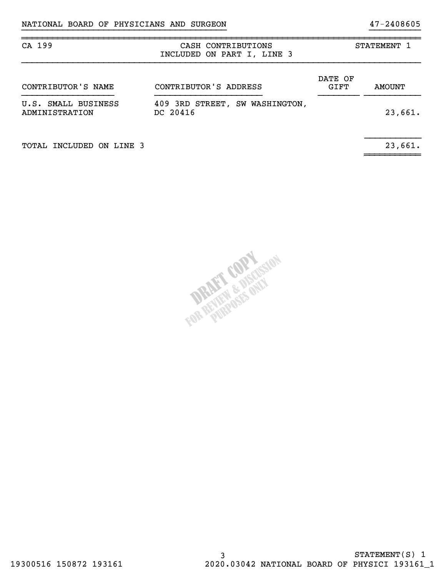| CA 199                                                                              | CASH CONTRIBUTIONS<br>INCLUDED ON PART I, LINE 3 |                 | STATEMENT 1   |
|-------------------------------------------------------------------------------------|--------------------------------------------------|-----------------|---------------|
| CONTRIBUTOR'S NAME                                                                  | CONTRIBUTOR'S ADDRESS                            | DATE OF<br>GIFT | <b>AMOUNT</b> |
| 409 3RD STREET, SW WASHINGTON,<br>U.S. SMALL BUSINESS<br>DC 20416<br>ADMINISTRATION |                                                  |                 | 23,661.       |
|                                                                                     |                                                  |                 |               |

~~~~~~~~~~~

}}}}}}}}}}}}}}}}}}}}}}}}}}}}}}}}}}}}}}}} }}}}}}}}}}

~~~~~~~~~~~~~~~~~~~~~~~~~~~~~~~~~~~~~~~~~~~~~~~~~~~~~~~~~~~~~~~~~~~~~~~~~~~~~~

TOTAL INCLUDED ON LINE 3 23,661.

ant's pieces When St.